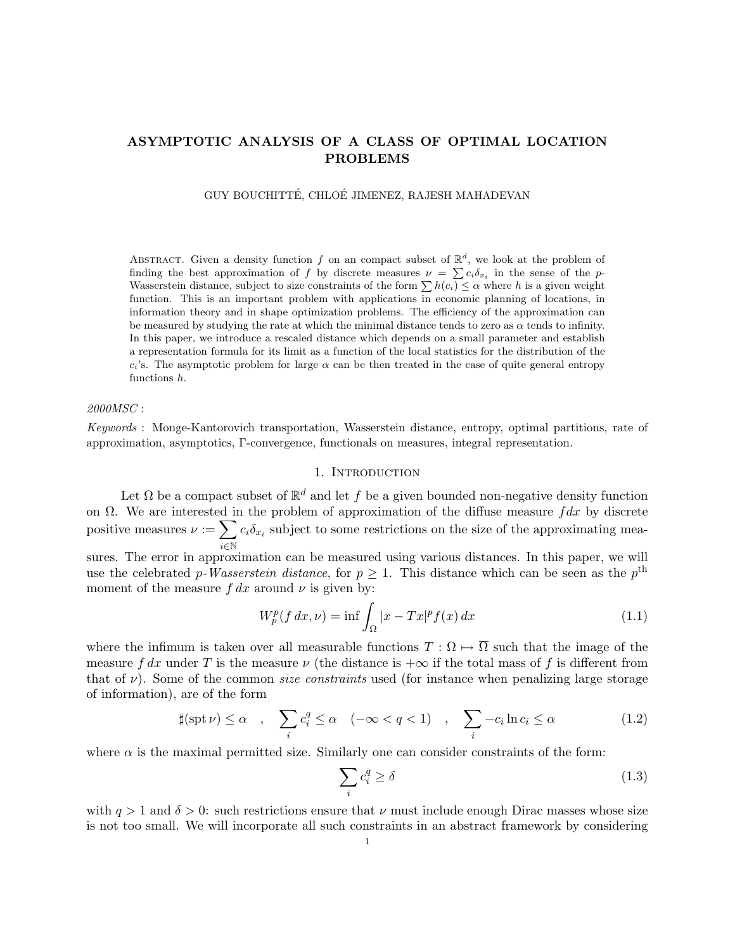## ASYMPTOTIC ANALYSIS OF A CLASS OF OPTIMAL LOCATION PROBLEMS

GUY BOUCHITTÉ, CHLOÉ JIMENEZ, RAJESH MAHADEVAN

ABSTRACT. Given a density function f on an compact subset of  $\mathbb{R}^d$ , we look at the problem of finding the best approximation of f by discrete measures  $\nu = \sum c_i \delta_{x_i}$  in the sense of the p-Wasserstein distance, subject to size constraints of the form  $\sum h(c_i) \leq \alpha$  where h is a given weight function. This is an important problem with applications in economic planning of locations, in information theory and in shape optimization problems. The efficiency of the approximation can be measured by studying the rate at which the minimal distance tends to zero as  $\alpha$  tends to infinity. In this paper, we introduce a rescaled distance which depends on a small parameter and establish a representation formula for its limit as a function of the local statistics for the distribution of the  $c_i$ 's. The asymptotic problem for large  $\alpha$  can be then treated in the case of quite general entropy functions h.

## *2000MSC* :

*Keywords* : Monge-Kantorovich transportation, Wasserstein distance, entropy, optimal partitions, rate of approximation, asymptotics, Γ-convergence, functionals on measures, integral representation.

#### 1. INTRODUCTION

Let  $\Omega$  be a compact subset of  $\mathbb{R}^d$  and let f be a given bounded non-negative density function on  $\Omega$ . We are interested in the problem of approximation of the diffuse measure fdx by discrete positive measures  $\nu := \sum c_i \delta_{x_i}$  subject to some restrictions on the size of the approximating measures. The error in approximation can be measured using various distances. In this paper, we will

use the celebrated p-Wasserstein distance, for  $p \geq 1$ . This distance which can be seen as the p<sup>th</sup> moment of the measure  $f dx$  around  $\nu$  is given by:

$$
W_p^p(f dx, \nu) = \inf \int_{\Omega} |x - Tx|^p f(x) dx \qquad (1.1)
$$

where the infimum is taken over all measurable functions  $T : \Omega \mapsto \overline{\Omega}$  such that the image of the measure f dx under T is the measure  $\nu$  (the distance is  $+\infty$  if the total mass of f is different from that of  $\nu$ ). Some of the common *size constraints* used (for instance when penalizing large storage of information), are of the form

$$
\sharp(\operatorname{spt}\nu) \leq \alpha \quad , \quad \sum_{i} c_i^q \leq \alpha \quad (-\infty < q < 1) \quad , \quad \sum_{i} -c_i \ln c_i \leq \alpha \tag{1.2}
$$

where  $\alpha$  is the maximal permitted size. Similarly one can consider constraints of the form:

$$
\sum_{i} c_i^q \ge \delta \tag{1.3}
$$

with  $q > 1$  and  $\delta > 0$ : such restrictions ensure that  $\nu$  must include enough Dirac masses whose size is not too small. We will incorporate all such constraints in an abstract framework by considering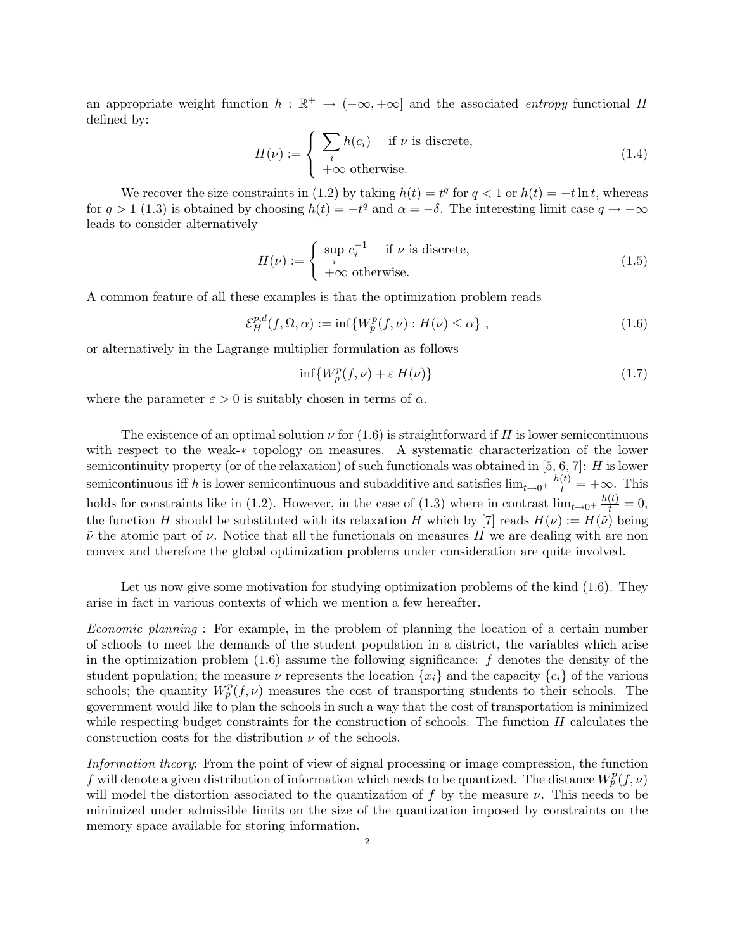an appropriate weight function  $h : \mathbb{R}^+ \to (-\infty, +\infty]$  and the associated *entropy* functional H defined by:

$$
H(\nu) := \begin{cases} \sum_{i} h(c_i) & \text{if } \nu \text{ is discrete,} \\ +\infty & \text{otherwise.} \end{cases}
$$
 (1.4)

We recover the size constraints in (1.2) by taking  $h(t) = t^q$  for  $q < 1$  or  $h(t) = -t \ln t$ , whereas for  $q > 1$  (1.3) is obtained by choosing  $h(t) = -t^q$  and  $\alpha = -\delta$ . The interesting limit case  $q \to -\infty$ leads to consider alternatively

$$
H(\nu) := \begin{cases} \sup_{i} c_i^{-1} & \text{if } \nu \text{ is discrete,} \\ +\infty & \text{otherwise.} \end{cases}
$$
 (1.5)

A common feature of all these examples is that the optimization problem reads

$$
\mathcal{E}_H^{p,d}(f,\Omega,\alpha) := \inf \{ W_p^p(f,\nu) : H(\nu) \le \alpha \},\tag{1.6}
$$

or alternatively in the Lagrange multiplier formulation as follows

$$
\inf \{ W_p^p(f,\nu) + \varepsilon H(\nu) \} \tag{1.7}
$$

where the parameter  $\varepsilon > 0$  is suitably chosen in terms of  $\alpha$ .

The existence of an optimal solution  $\nu$  for (1.6) is straightforward if H is lower semicontinuous with respect to the weak-∗ topology on measures. A systematic characterization of the lower semicontinuity property (or of the relaxation) of such functionals was obtained in [5, 6, 7]:  $H$  is lower semicontinuous if h is lower semicontinuous and subadditive and satisfies  $\lim_{t\to 0^+} \frac{h(t)}{t} = +\infty$ . This holds for constraints like in (1.2). However, in the case of  $(1.3)$  where in contrast  $\lim_{t\to 0^+} \frac{h(t)}{t} = 0$ , the function H should be substituted with its relaxation  $\overline{H}$  which by [7] reads  $\overline{H}(\nu) := H(\tilde{\nu})$  being  $\tilde{\nu}$  the atomic part of  $\nu$ . Notice that all the functionals on measures H we are dealing with are non convex and therefore the global optimization problems under consideration are quite involved.

Let us now give some motivation for studying optimization problems of the kind  $(1.6)$ . They arise in fact in various contexts of which we mention a few hereafter.

*Economic planning* : For example, in the problem of planning the location of a certain number of schools to meet the demands of the student population in a district, the variables which arise in the optimization problem  $(1.6)$  assume the following significance: f denotes the density of the student population; the measure  $\nu$  represents the location  $\{x_i\}$  and the capacity  $\{c_i\}$  of the various schools; the quantity  $W_p^p(f, \nu)$  measures the cost of transporting students to their schools. The government would like to plan the schools in such a way that the cost of transportation is minimized while respecting budget constraints for the construction of schools. The function  $H$  calculates the construction costs for the distribution  $\nu$  of the schools.

*Information theory*: From the point of view of signal processing or image compression, the function f will denote a given distribution of information which needs to be quantized. The distance  $W_p^p(f, \nu)$ will model the distortion associated to the quantization of f by the measure  $\nu$ . This needs to be minimized under admissible limits on the size of the quantization imposed by constraints on the memory space available for storing information.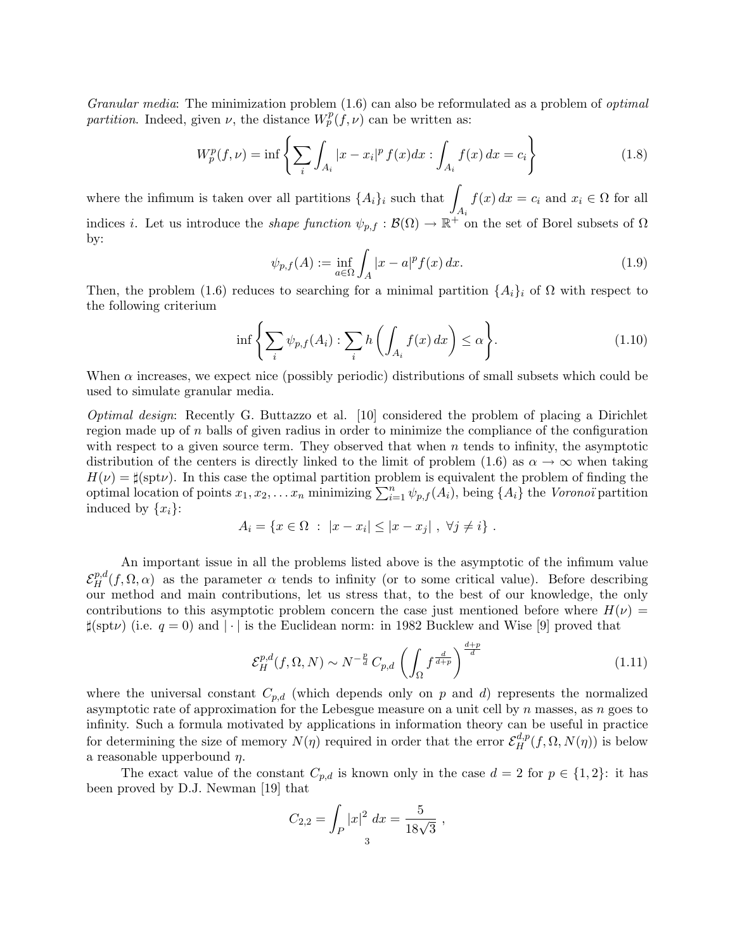*Granular media*: The minimization problem (1.6) can also be reformulated as a problem of *optimal partition*. Indeed, given  $\nu$ , the distance  $W_p^p(f, \nu)$  can be written as:

$$
W_p^p(f,\nu) = \inf \left\{ \sum_i \int_{A_i} |x - x_i|^p f(x) dx : \int_{A_i} f(x) dx = c_i \right\}
$$
 (1.8)

where the infimum is taken over all partitions  $\{A_i\}_i$  such that  $\int_{A_i} f(x) dx = c_i$  and  $x_i \in \Omega$  for all indices *i*. Let us introduce the *shape function*  $\psi_{p,f} : \mathcal{B}(\Omega) \to \mathbb{R}^+$  on the set of Borel subsets of  $\Omega$ by:

$$
\psi_{p,f}(A) := \inf_{a \in \Omega} \int_A |x - a|^p f(x) \, dx. \tag{1.9}
$$

Then, the problem (1.6) reduces to searching for a minimal partition  $\{A_i\}_i$  of  $\Omega$  with respect to the following criterium

$$
\inf \left\{ \sum_{i} \psi_{p,f}(A_i) : \sum_{i} h\left(\int_{A_i} f(x) \, dx\right) \le \alpha \right\}.
$$
\n(1.10)

When  $\alpha$  increases, we expect nice (possibly periodic) distributions of small subsets which could be used to simulate granular media.

*Optimal design*: Recently G. Buttazzo et al. [10] considered the problem of placing a Dirichlet region made up of  $n$  balls of given radius in order to minimize the compliance of the configuration with respect to a given source term. They observed that when  $n$  tends to infinity, the asymptotic distribution of the centers is directly linked to the limit of problem (1.6) as  $\alpha \to \infty$  when taking  $H(\nu) = \sharp(\text{spt}\nu)$ . In this case the optimal partition problem is equivalent the problem of finding the optimal location of points  $x_1, x_2, \ldots x_n$  minimizing  $\sum_{i=1}^n \psi_{p,f}(A_i)$ , being  $\{A_i\}$  the *Voronoï* partition induced by  $\{x_i\}$ :

$$
A_i = \{ x \in \Omega : |x - x_i| \le |x - x_j| , \ \forall j \neq i \} .
$$

An important issue in all the problems listed above is the asymptotic of the infimum value  $\mathcal{E}^{p,d}_H(f,\Omega,\alpha)$  as the parameter  $\alpha$  tends to infinity (or to some critical value). Before describing our method and main contributions, let us stress that, to the best of our knowledge, the only contributions to this asymptotic problem concern the case just mentioned before where  $H(\nu)$  =  $\sharp(\text{spt}\nu)$  (i.e.  $q=0$ ) and  $|\cdot|$  is the Euclidean norm: in 1982 Bucklew and Wise [9] proved that

$$
\mathcal{E}_H^{p,d}(f,\Omega,N) \sim N^{-\frac{p}{d}} C_{p,d} \left( \int_{\Omega} f^{\frac{d}{d+p}} \right)^{\frac{d+p}{d}} \tag{1.11}
$$

where the universal constant  $C_{p,d}$  (which depends only on p and d) represents the normalized asymptotic rate of approximation for the Lebesgue measure on a unit cell by  $n$  masses, as  $n$  goes to infinity. Such a formula motivated by applications in information theory can be useful in practice for determining the size of memory  $N(\eta)$  required in order that the error  $\mathcal{E}_{H}^{d,p}(f,\Omega,N(\eta))$  is below a reasonable upperbound  $\eta$ .

The exact value of the constant  $C_{p,d}$  is known only in the case  $d = 2$  for  $p \in \{1,2\}$ : it has been proved by D.J. Newman [19] that

$$
C_{2,2} = \int_P |x|^2 dx = \frac{5}{18\sqrt{3}},
$$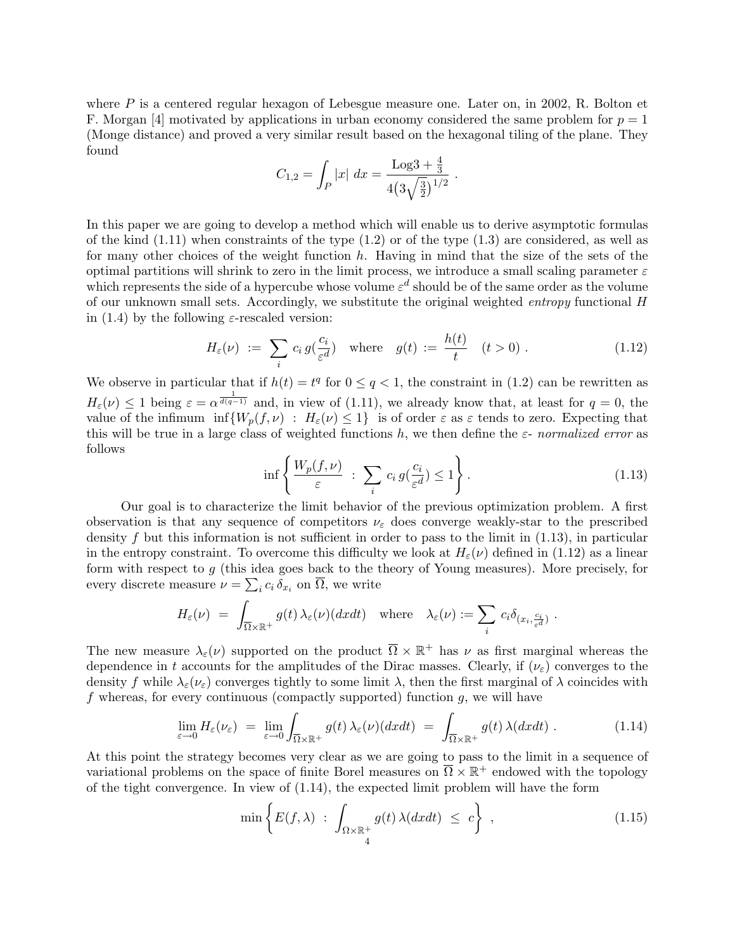where  $P$  is a centered regular hexagon of Lebesgue measure one. Later on, in 2002, R. Bolton et F. Morgan [4] motivated by applications in urban economy considered the same problem for  $p = 1$ (Monge distance) and proved a very similar result based on the hexagonal tiling of the plane. They found

$$
C_{1,2} = \int_P |x| \ dx = \frac{\text{Log}3 + \frac{4}{3}}{4(3\sqrt{\frac{3}{2}})^{1/2}} \ .
$$

In this paper we are going to develop a method which will enable us to derive asymptotic formulas of the kind  $(1.11)$  when constraints of the type  $(1.2)$  or of the type  $(1.3)$  are considered, as well as for many other choices of the weight function  $h$ . Having in mind that the size of the sets of the optimal partitions will shrink to zero in the limit process, we introduce a small scaling parameter  $\varepsilon$ which represents the side of a hypercube whose volume  $\varepsilon^d$  should be of the same order as the volume of our unknown small sets. Accordingly, we substitute the original weighted *entropy* functional H in (1.4) by the following  $\varepsilon$ -rescaled version:

$$
H_{\varepsilon}(\nu) := \sum_{i} c_{i} g(\frac{c_{i}}{\varepsilon^{d}}) \quad \text{where} \quad g(t) := \frac{h(t)}{t} \quad (t > 0) \; . \tag{1.12}
$$

We observe in particular that if  $h(t) = t^q$  for  $0 \le q < 1$ , the constraint in (1.2) can be rewritten as  $H_{\varepsilon}(\nu) \leq 1$  being  $\varepsilon = \alpha^{\frac{1}{d(q-1)}}$  and, in view of (1.11), we already know that, at least for  $q = 0$ , the value of the infimum  $\inf\{W_p(f, \nu) : H_\varepsilon(\nu) \leq 1\}$  is of order  $\varepsilon$  as  $\varepsilon$  tends to zero. Expecting that this will be true in a large class of weighted functions h, we then define the  $\varepsilon$ - *normalized error* as follows

$$
\inf \left\{ \frac{W_p(f,\nu)}{\varepsilon} \ : \ \sum_i c_i \, g(\frac{c_i}{\varepsilon^d}) \le 1 \right\}.
$$
\n(1.13)

Our goal is to characterize the limit behavior of the previous optimization problem. A first observation is that any sequence of competitors  $\nu_{\varepsilon}$  does converge weakly-star to the prescribed density  $f$  but this information is not sufficient in order to pass to the limit in  $(1.13)$ , in particular in the entropy constraint. To overcome this difficulty we look at  $H_{\varepsilon}(\nu)$  defined in (1.12) as a linear form with respect to  $g$  (this idea goes back to the theory of Young measures). More precisely, for every discrete measure  $\nu = \sum_i c_i \, \delta_{x_i}$  on  $\overline{\Omega}$ , we write

$$
H_{\varepsilon}(\nu) = \int_{\overline{\Omega}\times\mathbb{R}^+} g(t) \,\lambda_{\varepsilon}(\nu)(dxdt) \quad \text{where} \quad \lambda_{\varepsilon}(\nu) := \sum_{i} c_i \delta_{(x_i, \frac{c_i}{\varepsilon^d})}.
$$

The new measure  $\lambda_{\varepsilon}(\nu)$  supported on the product  $\overline{\Omega} \times \mathbb{R}^+$  has  $\nu$  as first marginal whereas the dependence in t accounts for the amplitudes of the Dirac masses. Clearly, if  $(\nu_{\varepsilon})$  converges to the density f while  $\lambda_{\varepsilon}(\nu_{\varepsilon})$  converges tightly to some limit  $\lambda$ , then the first marginal of  $\lambda$  coincides with f whereas, for every continuous (compactly supported) function  $g$ , we will have

$$
\lim_{\varepsilon \to 0} H_{\varepsilon}(\nu_{\varepsilon}) = \lim_{\varepsilon \to 0} \int_{\overline{\Omega} \times \mathbb{R}^+} g(t) \,\lambda_{\varepsilon}(\nu)(dxdt) = \int_{\overline{\Omega} \times \mathbb{R}^+} g(t) \,\lambda(dxdt) \,.
$$
 (1.14)

At this point the strategy becomes very clear as we are going to pass to the limit in a sequence of variational problems on the space of finite Borel measures on  $\overline{\Omega} \times \mathbb{R}^+$  endowed with the topology of the tight convergence. In view of (1.14), the expected limit problem will have the form

$$
\min\left\{E(f,\lambda)\;:\;\int_{\Omega\times\mathbb{R}^+_4}g(t)\,\lambda(dxdt)\;\le\;c\right\}\;,
$$
\n(1.15)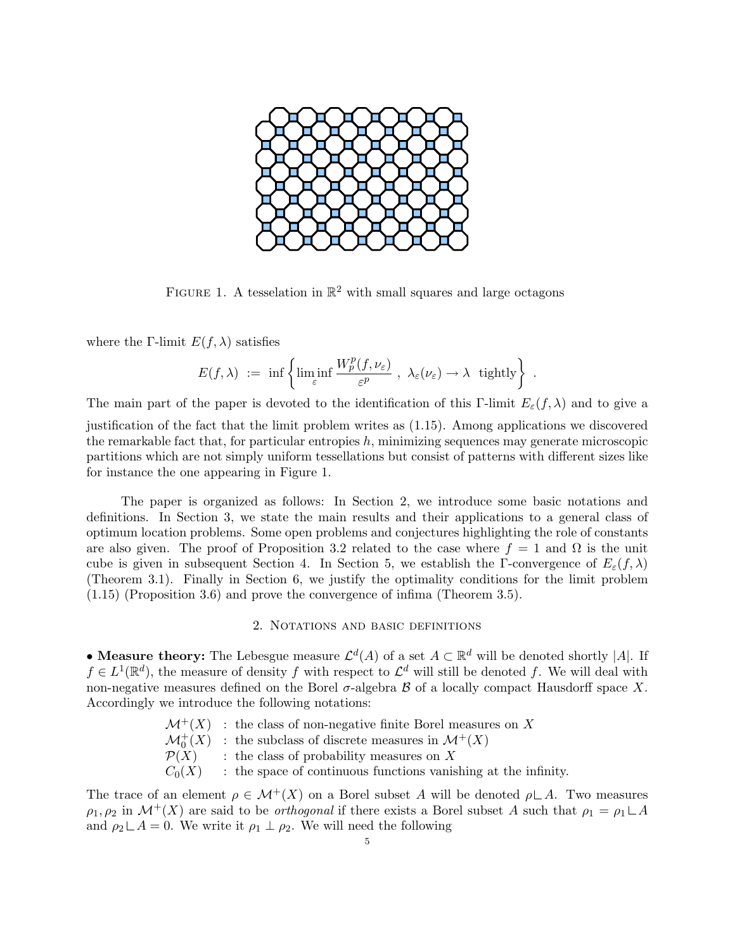

FIGURE 1. A tesselation in  $\mathbb{R}^2$  with small squares and large octagons

where the Γ-limit  $E(f, \lambda)$  satisfies

$$
E(f,\lambda) \ := \ \inf \left\{ \liminf_{\varepsilon} \frac{W^p_p(f,\nu_{\varepsilon})}{\varepsilon^p} \ , \ \lambda_{\varepsilon}(\nu_{\varepsilon}) \to \lambda \ \ \text{tightly} \right\} \ .
$$

The main part of the paper is devoted to the identification of this Γ-limit  $E_{\varepsilon}(f,\lambda)$  and to give a justification of the fact that the limit problem writes as (1.15). Among applications we discovered the remarkable fact that, for particular entropies  $h$ , minimizing sequences may generate microscopic partitions which are not simply uniform tessellations but consist of patterns with different sizes like for instance the one appearing in Figure 1.

The paper is organized as follows: In Section 2, we introduce some basic notations and definitions. In Section 3, we state the main results and their applications to a general class of optimum location problems. Some open problems and conjectures highlighting the role of constants are also given. The proof of Proposition 3.2 related to the case where  $f = 1$  and  $\Omega$  is the unit cube is given in subsequent Section 4. In Section 5, we establish the Γ-convergence of  $E_{\varepsilon}(f,\lambda)$ (Theorem 3.1). Finally in Section 6, we justify the optimality conditions for the limit problem (1.15) (Proposition 3.6) and prove the convergence of infima (Theorem 3.5).

#### 2. NOTATIONS AND BASIC DEFINITIONS

• Measure theory: The Lebesgue measure  $\mathcal{L}^d(A)$  of a set  $A \subset \mathbb{R}^d$  will be denoted shortly |A|. If  $f \in L^1(\mathbb{R}^d)$ , the measure of density f with respect to  $\mathcal{L}^d$  will still be denoted f. We will deal with non-negative measures defined on the Borel  $\sigma$ -algebra  $\beta$  of a locally compact Hausdorff space X. Accordingly we introduce the following notations:

|                  | $\mathcal{M}^+(X)$ : the class of non-negative finite Borel measures on X      |
|------------------|--------------------------------------------------------------------------------|
|                  | $\mathcal{M}_0^+(X)$ : the subclass of discrete measures in $\mathcal{M}^+(X)$ |
| $\mathcal{P}(X)$ | : the class of probability measures on $X$                                     |
| $C_0(X)$         | : the space of continuous functions vanishing at the infinity.                 |
|                  |                                                                                |

The trace of an element  $\rho \in \mathcal{M}^+(X)$  on a Borel subset A will be denoted  $\rho \subset A$ . Two measures  $\rho_1, \rho_2$  in  $\mathcal{M}^+(X)$  are said to be *orthogonal* if there exists a Borel subset A such that  $\rho_1 = \rho_1 \sqcup A$ and  $\rho_2 \perp A = 0$ . We write it  $\rho_1 \perp \rho_2$ . We will need the following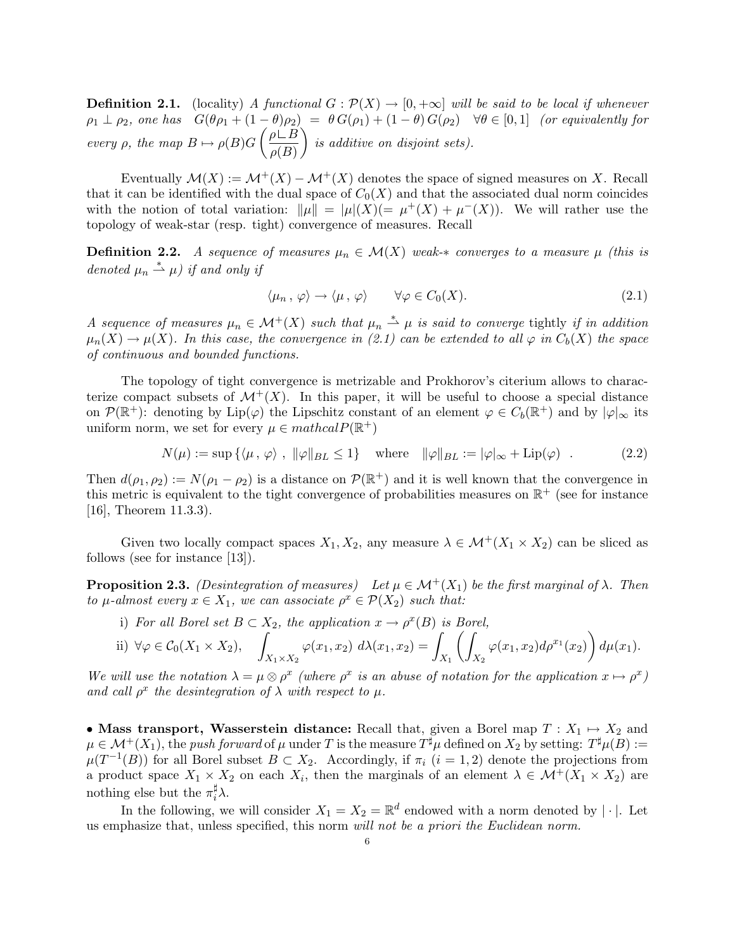**Definition 2.1.** (locality) *A functional*  $G: \mathcal{P}(X) \to [0, +\infty]$  *will be said to be local if whenever*  $\rho_1 \perp \rho_2$ *, one has*  $G(\theta \rho_1 + (1 - \theta)\rho_2) = \theta G(\rho_1) + (1 - \theta) G(\rho_2) \quad \forall \theta \in [0, 1]$  *(or equivalently for every*  $\rho$ *, the map*  $B \mapsto \rho(B)G$  $\int \rho \overset{\cdot}{\Box} B$  $\rho(B)$  $\setminus$ *is additive on disjoint sets).*

Eventually  $\mathcal{M}(X) := \mathcal{M}^+(X) - \mathcal{M}^+(X)$  denotes the space of signed measures on X. Recall that it can be identified with the dual space of  $C_0(X)$  and that the associated dual norm coincides with the notion of total variation:  $\|\mu\| = |\mu|(X)(=\mu^+(X)+\mu^-(X)).$  We will rather use the topology of weak-star (resp. tight) convergence of measures. Recall

**Definition 2.2.** *A sequence of measures*  $\mu_n \in \mathcal{M}(X)$  *weak-\* converges to a measure*  $\mu$  *(this is denoted*  $\mu_n \stackrel{*}{\rightharpoonup} \mu$  *if and only if* 

$$
\langle \mu_n, \varphi \rangle \to \langle \mu, \varphi \rangle \qquad \forall \varphi \in C_0(X). \tag{2.1}
$$

*A* sequence of measures  $\mu_n \in \mathcal{M}^+(X)$  such that  $\mu_n \stackrel{*}{\rightharpoonup} \mu$  is said to converge tightly if in addition  $\mu_n(X) \to \mu(X)$ . In this case, the convergence in (2.1) can be extended to all  $\varphi$  in  $C_b(X)$  the space *of continuous and bounded functions.*

The topology of tight convergence is metrizable and Prokhorov's citerium allows to characterize compact subsets of  $\mathcal{M}^+(X)$ . In this paper, it will be useful to choose a special distance on  $\mathcal{P}(\mathbb{R}^+)$ : denoting by Lip( $\varphi$ ) the Lipschitz constant of an element  $\varphi \in C_b(\mathbb{R}^+)$  and by  $|\varphi|_{\infty}$  its uniform norm, we set for every  $\mu \in \mathit{mathcalP}(\mathbb{R}^+)$ 

$$
N(\mu) := \sup \{ \langle \mu, \varphi \rangle, \ \|\varphi\|_{BL} \le 1 \} \quad \text{where} \quad \|\varphi\|_{BL} := |\varphi|_{\infty} + \text{Lip}(\varphi) \quad . \tag{2.2}
$$

Then  $d(\rho_1, \rho_2) := N(\rho_1 - \rho_2)$  is a distance on  $\mathcal{P}(\mathbb{R}^+)$  and it is well known that the convergence in this metric is equivalent to the tight convergence of probabilities measures on  $\mathbb{R}^+$  (see for instance [16], Theorem 11.3.3).

Given two locally compact spaces  $X_1, X_2$ , any measure  $\lambda \in \mathcal{M}^+(X_1 \times X_2)$  can be sliced as follows (see for instance [13]).

**Proposition 2.3.** *(Desintegration of measures)* Let  $\mu \in \mathcal{M}^+(X_1)$  be the first marginal of  $\lambda$ *. Then to*  $\mu$ -almost every  $x \in X_1$ , we can associate  $\rho^x \in \mathcal{P}(X_2)$  *such that:* 

i) *For all Borel set*  $B \subset X_2$ *, the application*  $x \to \rho^x(B)$  *is Borel,* 

ii) 
$$
\forall \varphi \in C_0(X_1 \times X_2)
$$
,  $\int_{X_1 \times X_2} \varphi(x_1, x_2) d\lambda(x_1, x_2) = \int_{X_1} \left( \int_{X_2} \varphi(x_1, x_2) d\rho^{x_1}(x_2) \right) d\mu(x_1)$ .

*We will use the notation*  $\lambda = \mu \otimes \rho^x$  *(where*  $\rho^x$  *is an abuse of notation for the application*  $x \mapsto \rho^x$ *) and call*  $\rho^x$  *the desintegration of*  $\lambda$  *with respect to*  $\mu$ *.* 

• Mass transport, Wasserstein distance: Recall that, given a Borel map  $T : X_1 \mapsto X_2$  and  $\mu \in \mathcal{M}^+(X_1)$ , the *push forward* of  $\mu$  under T is the measure  $T^{\sharp} \mu$  defined on  $X_2$  by setting:  $T^{\sharp} \mu(B) :=$  $\mu(T^{-1}(B))$  for all Borel subset  $B \subset X_2$ . Accordingly, if  $\pi_i$   $(i = 1, 2)$  denote the projections from a product space  $X_1 \times X_2$  on each  $X_i$ , then the marginals of an element  $\lambda \in \mathcal{M}^+(X_1 \times X_2)$  are nothing else but the  $\pi_i^{\sharp} \lambda$ .

In the following, we will consider  $X_1 = X_2 = \mathbb{R}^d$  endowed with a norm denoted by |  $\cdot$  |. Let us emphasize that, unless specified, this norm *will not be a priori the Euclidean norm.*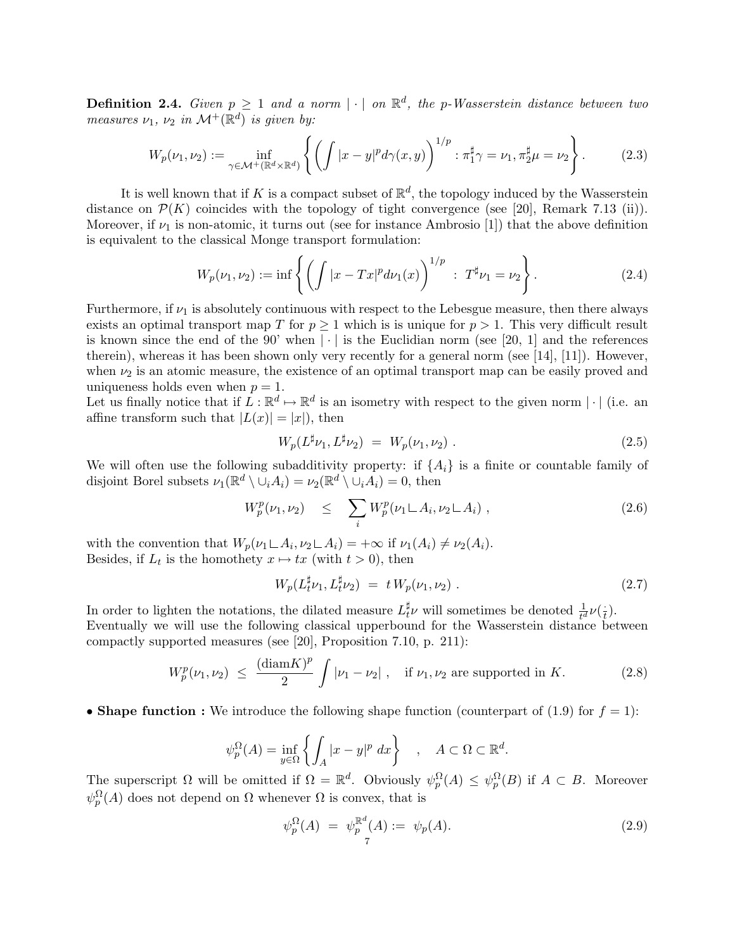**Definition 2.4.** *Given*  $p \geq 1$  *and a norm*  $|\cdot|$  *on*  $\mathbb{R}^d$ *, the p*-*Wasserstein distance between two measures*  $\nu_1$ ,  $\nu_2$  *in*  $\mathcal{M}^+(\mathbb{R}^d)$  *is given by:* 

$$
W_p(\nu_1, \nu_2) := \inf_{\gamma \in \mathcal{M}^+(\mathbb{R}^d \times \mathbb{R}^d)} \left\{ \left( \int |x - y|^p d\gamma(x, y) \right)^{1/p} : \pi_1^{\sharp} \gamma = \nu_1, \pi_2^{\sharp} \mu = \nu_2 \right\}.
$$
 (2.3)

It is well known that if K is a compact subset of  $\mathbb{R}^d$ , the topology induced by the Wasserstein distance on  $\mathcal{P}(K)$  coincides with the topology of tight convergence (see [20], Remark 7.13 (ii)). Moreover, if  $\nu_1$  is non-atomic, it turns out (see for instance Ambrosio [1]) that the above definition is equivalent to the classical Monge transport formulation:

$$
W_p(\nu_1, \nu_2) := \inf \left\{ \left( \int |x - Tx|^p d\nu_1(x) \right)^{1/p} \; : \; T^{\sharp} \nu_1 = \nu_2 \right\}.
$$
 (2.4)

Furthermore, if  $\nu_1$  is absolutely continuous with respect to the Lebesgue measure, then there always exists an optimal transport map T for  $p \geq 1$  which is is unique for  $p > 1$ . This very difficult result is known since the end of the 90' when  $|\cdot|$  is the Euclidian norm (see [20, 1] and the references therein), whereas it has been shown only very recently for a general norm (see [14], [11]). However, when  $\nu_2$  is an atomic measure, the existence of an optimal transport map can be easily proved and uniqueness holds even when  $p = 1$ .

Let us finally notice that if  $L : \mathbb{R}^d \mapsto \mathbb{R}^d$  is an isometry with respect to the given norm  $|\cdot|$  (i.e. an affine transform such that  $|L(x)| = |x|$ , then

$$
W_p(L^{\sharp}\nu_1, L^{\sharp}\nu_2) = W_p(\nu_1, \nu_2).
$$
\n(2.5)

We will often use the following subadditivity property: if  $\{A_i\}$  is a finite or countable family of disjoint Borel subsets  $\nu_1(\mathbb{R}^d \setminus \overline{\cup}_i A_i) = \nu_2(\mathbb{R}^d \setminus \overline{\cup}_i A_i) = 0$ , then

$$
W_p^p(\nu_1, \nu_2) \leq \sum_i W_p^p(\nu_1 \sqcup A_i, \nu_2 \sqcup A_i) , \qquad (2.6)
$$

with the convention that  $W_p(\nu_1 \sqcup A_i, \nu_2 \sqcup A_i) = +\infty$  if  $\nu_1(A_i) \neq \nu_2(A_i)$ . Besides, if  $L_t$  is the homothety  $x \mapsto tx$  (with  $t > 0$ ), then

$$
W_p(L_t^{\sharp} \nu_1, L_t^{\sharp} \nu_2) = t W_p(\nu_1, \nu_2).
$$
 (2.7)

In order to lighten the notations, the dilated measure  $L_t^{\sharp} \nu$  will sometimes be denoted  $\frac{1}{t^d} \nu(\frac{1}{t})$ . Eventually we will use the following classical upperbound for the Wasserstein distance between compactly supported measures (see [20], Proposition 7.10, p. 211):

$$
W_p^p(\nu_1, \nu_2) \le \frac{(\text{diam} K)^p}{2} \int |\nu_1 - \nu_2| \ , \quad \text{if } \nu_1, \nu_2 \text{ are supported in } K. \tag{2.8}
$$

• Shape function : We introduce the following shape function (counterpart of (1.9) for  $f = 1$ ):

$$
\psi_p^{\Omega}(A) = \inf_{y \in \Omega} \left\{ \int_A |x - y|^p \ dx \right\} , \quad A \subset \Omega \subset \mathbb{R}^d.
$$

The superscript  $\Omega$  will be omitted if  $\Omega = \mathbb{R}^d$ . Obviously  $\psi_p^{\Omega}(A) \leq \psi_p^{\Omega}(B)$  if  $A \subset B$ . Moreover  $\psi_p^{\Omega}(A)$  does not depend on  $\Omega$  whenever  $\Omega$  is convex, that is

$$
\psi_p^{\Omega}(A) = \psi_p^{\mathbb{R}^d}(A) := \psi_p(A). \tag{2.9}
$$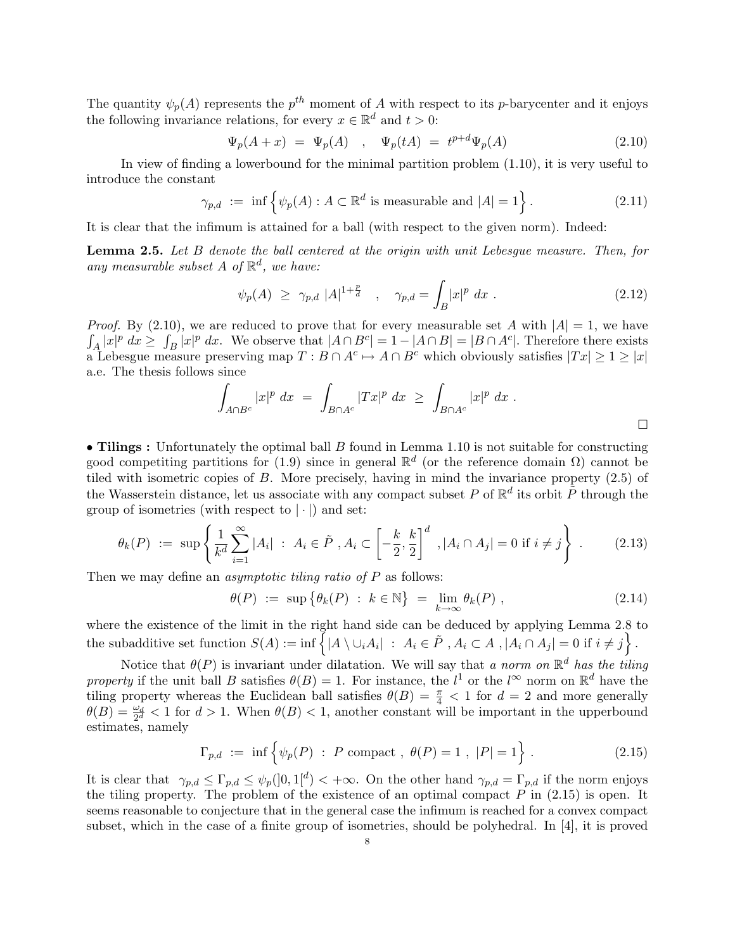The quantity  $\psi_p(A)$  represents the  $p^{th}$  moment of A with respect to its p-barycenter and it enjoys the following invariance relations, for every  $x \in \mathbb{R}^d$  and  $t > 0$ :

$$
\Psi_p(A+x) = \Psi_p(A) , \quad \Psi_p(tA) = t^{p+d} \Psi_p(A)
$$
\n(2.10)

In view of finding a lowerbound for the minimal partition problem (1.10), it is very useful to introduce the constant

$$
\gamma_{p,d} := \inf \left\{ \psi_p(A) : A \subset \mathbb{R}^d \text{ is measurable and } |A| = 1 \right\}. \tag{2.11}
$$

It is clear that the infimum is attained for a ball (with respect to the given norm). Indeed:

Lemma 2.5. *Let* B *denote the ball centered at the origin with unit Lebesgue measure. Then, for* any measurable subset  $A$  of  $\mathbb{R}^d$ , we have:

$$
\psi_p(A) \geq \gamma_{p,d} |A|^{1+\frac{p}{d}}, \quad \gamma_{p,d} = \int_B |x|^p dx.
$$
\n(2.12)

*Proof.* By (2.10), we are reduced to prove that for every measurable set A with  $|A| = 1$ , we have  $\int_A |x|^p dx \ge \int_B |x|^p dx$ . We observe that  $|A \cap B^c| = 1 - |A \cap B| = |B \cap A^c|$ . Therefore there exists a Lebesgue measure preserving map  $T : B \cap A^c \mapsto A \cap B^c$  which obviously satisfies  $|Tx| \geq 1 \geq |x|$ a.e. The thesis follows since

$$
\int_{A\cap B^c} |x|^p \ dx \ = \ \int_{B\cap A^c} |Tx|^p \ dx \ \ge \ \int_{B\cap A^c} |x|^p \ dx \ .
$$

• Tilings : Unfortunately the optimal ball  $B$  found in Lemma 1.10 is not suitable for constructing good competiting partitions for (1.9) since in general  $\mathbb{R}^d$  (or the reference domain  $\Omega$ ) cannot be tiled with isometric copies of B. More precisely, having in mind the invariance property (2.5) of the Wasserstein distance, let us associate with any compact subset P of  $\mathbb{R}^d$  its orbit  $\tilde{P}$  through the group of isometries (with respect to  $|\cdot|$ ) and set:

$$
\theta_k(P) := \sup \left\{ \frac{1}{k^d} \sum_{i=1}^{\infty} |A_i| \; : \; A_i \in \tilde{P}, A_i \subset \left[ -\frac{k}{2}, \frac{k}{2} \right]^d \; , |A_i \cap A_j| = 0 \text{ if } i \neq j \right\} \; . \tag{2.13}
$$

Then we may define an *asymptotic tiling ratio of* P as follows:

$$
\theta(P) := \sup \{ \theta_k(P) : k \in \mathbb{N} \} = \lim_{k \to \infty} \theta_k(P) , \qquad (2.14)
$$

where the existence of the limit in the right hand side can be deduced by applying Lemma 2.8 to the subadditive set function  $S(A) := \inf \{ |A \setminus \cup_i A_i| : A_i \in \tilde{P}, A_i \subset A, |A_i \cap A_j| = 0 \text{ if } i \neq j \}.$ 

Notice that  $\theta(P)$  is invariant under dilatation. We will say that *a norm on*  $\mathbb{R}^d$  *has the tiling property* if the unit ball B satisfies  $\theta(B) = 1$ . For instance, the  $l^1$  or the  $l^{\infty}$  norm on  $\mathbb{R}^d$  have the tiling property whereas the Euclidean ball satisfies  $\theta(B) = \frac{\pi}{4} < 1$  for  $d = 2$  and more generally  $\theta(B) = \frac{\omega_d}{2^d} < 1$  for  $d > 1$ . When  $\theta(B) < 1$ , another constant will be important in the upperbound estimates, namely

$$
\Gamma_{p,d}
$$
 := inf  $\{ \psi_p(P) : P \text{ compact}, \theta(P) = 1, |P| = 1 \}$ . (2.15)

It is clear that  $\gamma_{p,d} \leq \Gamma_{p,d} \leq \psi_p(]0,1[^d] < +\infty$ . On the other hand  $\gamma_{p,d} = \Gamma_{p,d}$  if the norm enjoys the tiling property. The problem of the existence of an optimal compact  $P$  in  $(2.15)$  is open. It seems reasonable to conjecture that in the general case the infimum is reached for a convex compact subset, which in the case of a finite group of isometries, should be polyhedral. In [4], it is proved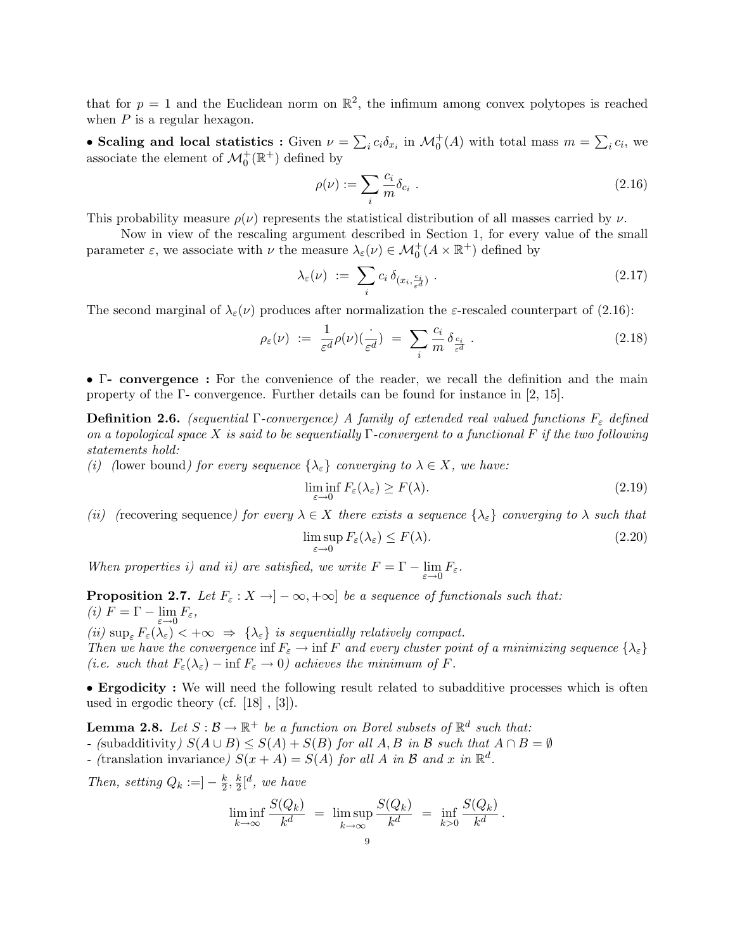that for  $p = 1$  and the Euclidean norm on  $\mathbb{R}^2$ , the infimum among convex polytopes is reached when  $P$  is a regular hexagon.

• Scaling and local statistics : Given  $\nu = \sum_i c_i \delta_{x_i}$  in  $\mathcal{M}_0^+(A)$  with total mass  $m = \sum_i c_i$ , we associate the element of  $\mathcal{M}_0^+(\mathbb{R}^+)$  defined by

$$
\rho(\nu) := \sum_{i} \frac{c_i}{m} \delta_{c_i} \tag{2.16}
$$

This probability measure  $\rho(\nu)$  represents the statistical distribution of all masses carried by  $\nu$ .

Now in view of the rescaling argument described in Section 1, for every value of the small parameter  $\varepsilon$ , we associate with  $\nu$  the measure  $\lambda_{\varepsilon}(\nu) \in \mathcal{M}_0^+(A \times \mathbb{R}^+)$  defined by

$$
\lambda_{\varepsilon}(\nu) := \sum_{i} c_{i} \, \delta_{(x_{i}, \frac{c_{i}}{\varepsilon^{d}})} \,. \tag{2.17}
$$

The second marginal of  $\lambda_{\varepsilon}(\nu)$  produces after normalization the  $\varepsilon$ -rescaled counterpart of (2.16):

$$
\rho_{\varepsilon}(\nu) := \frac{1}{\varepsilon^d} \rho(\nu) \left(\frac{\cdot}{\varepsilon^d}\right) = \sum_{i} \frac{c_i}{m} \delta_{\frac{c_i}{\varepsilon^d}} \,. \tag{2.18}
$$

• Γ- convergence : For the convenience of the reader, we recall the definition and the main property of the Γ- convergence. Further details can be found for instance in [2, 15].

**Definition 2.6.** *(sequential*  $\Gamma$ *-convergence)* A family of extended real valued functions  $F_{\varepsilon}$  defined *on a topological space* X *is said to be sequentially* Γ*-convergent to a functional* F *if the two following statements hold:*

*(i)* (lower bound) for every sequence  $\{\lambda_{\varepsilon}\}\$  converging to  $\lambda \in X$ , we have:

$$
\liminf_{\varepsilon \to 0} F_{\varepsilon}(\lambda_{\varepsilon}) \ge F(\lambda). \tag{2.19}
$$

*(ii)* (recovering sequence) for every  $\lambda \in X$  there exists a sequence  $\{\lambda_{\varepsilon}\}\)$  *converging to*  $\lambda$  *such that* 

$$
\limsup_{\varepsilon \to 0} F_{\varepsilon}(\lambda_{\varepsilon}) \le F(\lambda). \tag{2.20}
$$

*When properties i) and ii) are satisfied, we write*  $F = \Gamma - \lim_{\varepsilon \to 0} F_{\varepsilon}$ .

**Proposition 2.7.** *Let*  $F_{\varepsilon}: X \to ]-\infty, +\infty]$  *be a sequence of functionals such that:*  $(i)$   $F = \Gamma - \lim_{\varepsilon \to 0} F_{\varepsilon},$ <br> $(i)$ 

*(ii)*  $\sup_{\varepsilon} F_{\varepsilon}(\lambda_{\varepsilon}) < +\infty \Rightarrow {\lambda_{\varepsilon}}$  *is sequentially relatively compact. Then we have the convergence* inf  $F_{\varepsilon} \to \inf F$  *and every cluster point of a minimizing sequence*  $\{\lambda_{\varepsilon}\}\$ *(i.e. such that*  $F_{\varepsilon}(\lambda_{\varepsilon}) - \inf F_{\varepsilon} \to 0$ *) achieves the minimum of* F.

• Ergodicity : We will need the following result related to subadditive processes which is often used in ergodic theory (cf. [18] , [3]).

**Lemma 2.8.** *Let*  $S : \mathcal{B} \to \mathbb{R}^+$  *be a function on Borel subsets of*  $\mathbb{R}^d$  *such that: -* (subadditivity)  $S(A \cup B) \leq S(A) + S(B)$  *for all* A, B *in* B *such that*  $A \cap B = ∅$ *-* (translation invariance)  $S(x + A) = S(A)$  *for all* A *in* B *and* x *in*  $\mathbb{R}^d$ .

*Then, setting*  $Q_k := ] - \frac{k}{2}, \frac{k}{2} [d, \text{ we have}$ 

$$
\liminf_{k \to \infty} \frac{S(Q_k)}{k^d} = \limsup_{k \to \infty} \frac{S(Q_k)}{k^d} = \inf_{k > 0} \frac{S(Q_k)}{k^d}.
$$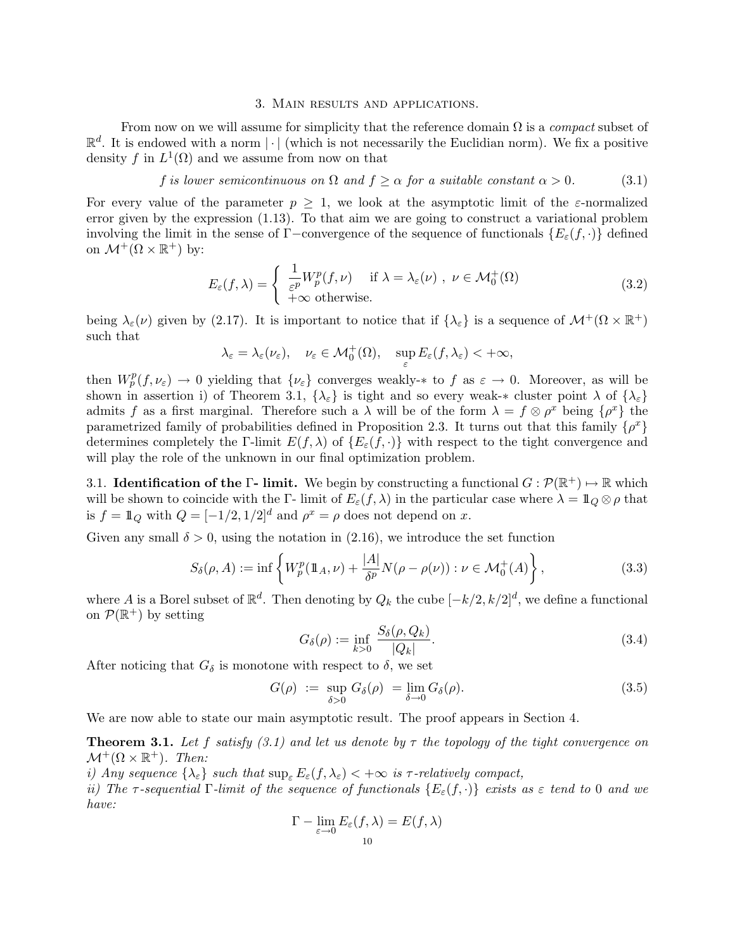#### 3. Main results and applications.

From now on we will assume for simplicity that the reference domain Ω is a *compact* subset of  $\mathbb{R}^d$ . It is endowed with a norm  $\lvert \cdot \rvert$  (which is not necessarily the Euclidian norm). We fix a positive density f in  $L^1(\Omega)$  and we assume from now on that

### f *is lower semicontinuous on*  $\Omega$  *and*  $f \ge \alpha$  *for a suitable constant*  $\alpha > 0$ . (3.1)

For every value of the parameter  $p \geq 1$ , we look at the asymptotic limit of the  $\varepsilon$ -normalized error given by the expression (1.13). To that aim we are going to construct a variational problem involving the limit in the sense of Γ−convergence of the sequence of functionals  $\{E_{\varepsilon}(f,\cdot)\}\$ on  $\mathcal{M}^+(\Omega\times\mathbb{R}^+)$  by:

$$
E_{\varepsilon}(f,\lambda) = \begin{cases} \frac{1}{\varepsilon^p} W_p^p(f,\nu) & \text{if } \lambda = \lambda_{\varepsilon}(\nu) , \ \nu \in \mathcal{M}_0^+(\Omega) \\ +\infty & \text{otherwise.} \end{cases}
$$
 (3.2)

being  $\lambda_{\varepsilon}(\nu)$  given by (2.17). It is important to notice that if  $\{\lambda_{\varepsilon}\}\$ is a sequence of  $\mathcal{M}^+(\Omega\times\mathbb{R}^+)$ such that

$$
\lambda_{\varepsilon} = \lambda_{\varepsilon}(\nu_{\varepsilon}), \quad \nu_{\varepsilon} \in \mathcal{M}_0^+(\Omega), \quad \sup_{\varepsilon} E_{\varepsilon}(f, \lambda_{\varepsilon}) < +\infty,
$$

then  $W_p^p(f, \nu_\varepsilon) \to 0$  yielding that  $\{\nu_\varepsilon\}$  converges weakly- $*$  to f as  $\varepsilon \to 0$ . Moreover, as will be shown in assertion i) of Theorem 3.1,  $\{\lambda_{\varepsilon}\}\$ is tight and so every weak-\* cluster point  $\lambda$  of  $\{\lambda_{\varepsilon}\}\$ admits f as a first marginal. Therefore such a  $\lambda$  will be of the form  $\lambda = f \otimes \rho^x$  being  $\{\rho^x\}$  the parametrized family of probabilities defined in Proposition 2.3. It turns out that this family  $\{\rho^x\}$ determines completely the Γ-limit  $E(f, \lambda)$  of  $\{E_{\varepsilon}(f, \cdot)\}\$  with respect to the tight convergence and will play the role of the unknown in our final optimization problem.

3.1. **Identification of the Γ- limit.** We begin by constructing a functional  $G : \mathcal{P}(\mathbb{R}^+) \mapsto \mathbb{R}$  which will be shown to coincide with the Γ- limit of  $E_{\varepsilon}(f,\lambda)$  in the particular case where  $\lambda = \mathbb{1}_Q \otimes \rho$  that is  $f = \mathbb{1}_Q$  with  $Q = [-1/2, 1/2]^d$  and  $\rho^x = \rho$  does not depend on x.

Given any small  $\delta > 0$ , using the notation in (2.16), we introduce the set function

$$
S_{\delta}(\rho, A) := \inf \left\{ W_p^p(\mathbb{1}_A, \nu) + \frac{|A|}{\delta^p} N(\rho - \rho(\nu)) : \nu \in \mathcal{M}_0^+(A) \right\},\tag{3.3}
$$

where A is a Borel subset of  $\mathbb{R}^d$ . Then denoting by  $Q_k$  the cube  $[-k/2, k/2]^d$ , we define a functional on  $\mathcal{P}(\mathbb{R}^+)$  by setting

$$
G_{\delta}(\rho) := \inf_{k>0} \frac{S_{\delta}(\rho, Q_k)}{|Q_k|}.
$$
\n(3.4)

After noticing that  $G_{\delta}$  is monotone with respect to  $\delta$ , we set

$$
G(\rho) := \sup_{\delta > 0} G_{\delta}(\rho) = \lim_{\delta \to 0} G_{\delta}(\rho). \tag{3.5}
$$

We are now able to state our main asymptotic result. The proof appears in Section 4.

Theorem 3.1. *Let* f *satisfy (3.1) and let us denote by* τ *the topology of the tight convergence on*  $\mathcal{M}^+(\Omega\times\mathbb{R}^+)$ *. Then:* 

*i)* Any sequence  $\{\lambda_{\varepsilon}\}\$  *such that*  $\sup_{\varepsilon} E_{\varepsilon}(f, \lambda_{\varepsilon}) < +\infty$  *is*  $\tau$ -relatively compact,

*ii)* The  $\tau$ -sequential  $\Gamma$ -limit of the sequence of functionals  $\{E_{\varepsilon}(f,\cdot)\}\)$  exists as  $\varepsilon$  tend to 0 and we *have:*

$$
\Gamma - \lim_{\varepsilon \to 0} E_{\varepsilon}(f, \lambda) = E(f, \lambda)
$$
  
10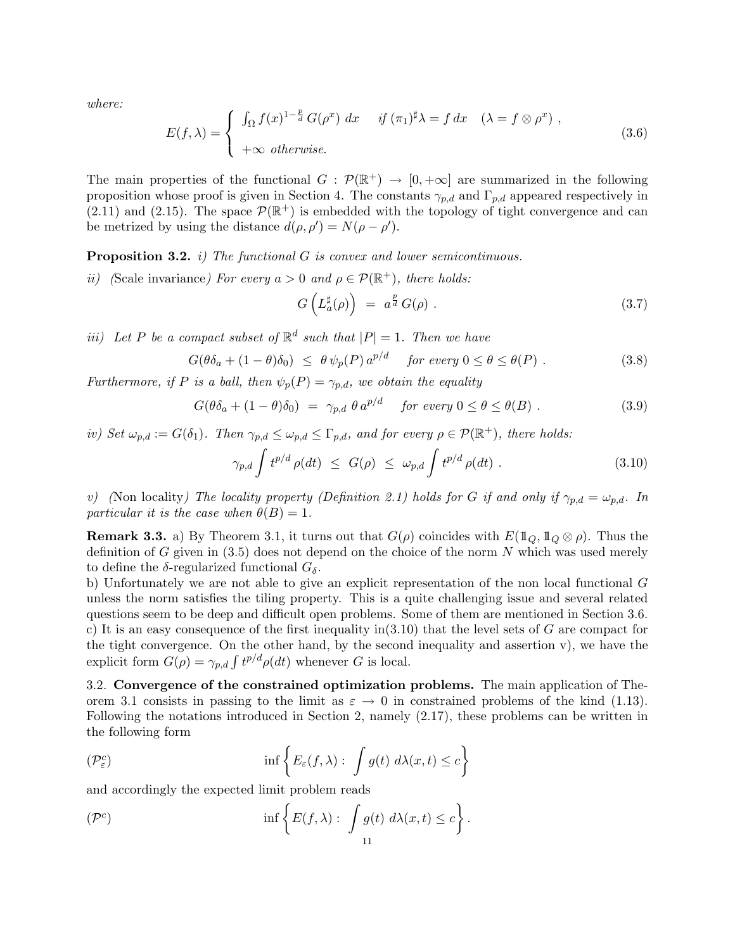*where:*

$$
E(f,\lambda) = \begin{cases} \int_{\Omega} f(x)^{1-\frac{p}{d}} G(\rho^x) dx & \text{if } (\pi_1)^{\sharp}\lambda = f dx & (\lambda = f \otimes \rho^x), \\ +\infty \text{ otherwise.} \end{cases}
$$
 (3.6)

The main properties of the functional  $G : \mathcal{P}(\mathbb{R}^+) \to [0, +\infty]$  are summarized in the following proposition whose proof is given in Section 4. The constants  $\gamma_{p,d}$  and  $\Gamma_{p,d}$  appeared respectively in  $(2.11)$  and  $(2.15)$ . The space  $\mathcal{P}(\mathbb{R}^+)$  is embedded with the topology of tight convergence and can be metrized by using the distance  $d(\rho, \rho') = N(\rho - \rho').$ 

Proposition 3.2. *i) The functional* G *is convex and lower semicontinuous.*

*ii*) (Scale invariance) For every  $a > 0$  and  $\rho \in \mathcal{P}(\mathbb{R}^+)$ , there holds:

$$
G\left(L_a^{\sharp}(\rho)\right) = a^{\frac{p}{d}} G(\rho) . \qquad (3.7)
$$

*iii)* Let P be a compact subset of  $\mathbb{R}^d$  such that  $|P| = 1$ *. Then we have* 

$$
G(\theta \delta_a + (1 - \theta)\delta_0) \le \theta \psi_p(P) a^{p/d} \quad \text{for every } 0 \le \theta \le \theta(P) . \tag{3.8}
$$

*Furthermore, if* P *is a ball, then*  $\psi_p(P) = \gamma_{p,d}$ *, we obtain the equality* 

$$
G(\theta \delta_a + (1 - \theta)\delta_0) = \gamma_{p,d} \theta a^{p/d} \quad \text{for every } 0 \le \theta \le \theta(B) \tag{3.9}
$$

*iv)* Set  $\omega_{p,d} := G(\delta_1)$ *. Then*  $\gamma_{p,d} \leq \omega_{p,d} \leq \Gamma_{p,d}$ *, and for every*  $\rho \in \mathcal{P}(\mathbb{R}^+)$ *, there holds:* 

$$
\gamma_{p,d} \int t^{p/d} \rho(dt) \leq G(\rho) \leq \omega_{p,d} \int t^{p/d} \rho(dt) . \tag{3.10}
$$

*v)* (Non locality) The locality property (Definition 2.1) holds for G if and only if  $\gamma_{p,d} = \omega_{p,d}$ . In *particular it is the case when*  $\theta(B)=1$ .

**Remark 3.3.** a) By Theorem 3.1, it turns out that  $G(\rho)$  coincides with  $E(\mathbb{1}_Q, \mathbb{1}_Q \otimes \rho)$ . Thus the definition of G given in  $(3.5)$  does not depend on the choice of the norm N which was used merely to define the  $\delta$ -regularized functional  $G_{\delta}$ .

b) Unfortunately we are not able to give an explicit representation of the non local functional G unless the norm satisfies the tiling property. This is a quite challenging issue and several related questions seem to be deep and difficult open problems. Some of them are mentioned in Section 3.6. c) It is an easy consequence of the first inequality in(3.10) that the level sets of  $G$  are compact for the tight convergence. On the other hand, by the second inequality and assertion v), we have the explicit form  $G(\rho) = \gamma_{p,d} \int t^{p/d} \rho(dt)$  whenever G is local.

3.2. Convergence of the constrained optimization problems. The main application of Theorem 3.1 consists in passing to the limit as  $\varepsilon \to 0$  in constrained problems of the kind (1.13). Following the notations introduced in Section 2, namely (2.17), these problems can be written in the following form

$$
(\mathcal{P}_{\varepsilon}^{c})\qquad \qquad \inf\left\{E_{\varepsilon}(f,\lambda):\ \int g(t)\ d\lambda(x,t)\leq c\right\}
$$

and accordingly the expected limit problem reads

$$
(\mathcal{P}^c) \qquad \qquad \inf \left\{ E(f,\lambda): \int \underset{11}{g(t)} \, d\lambda(x,t) \leq c \right\}.
$$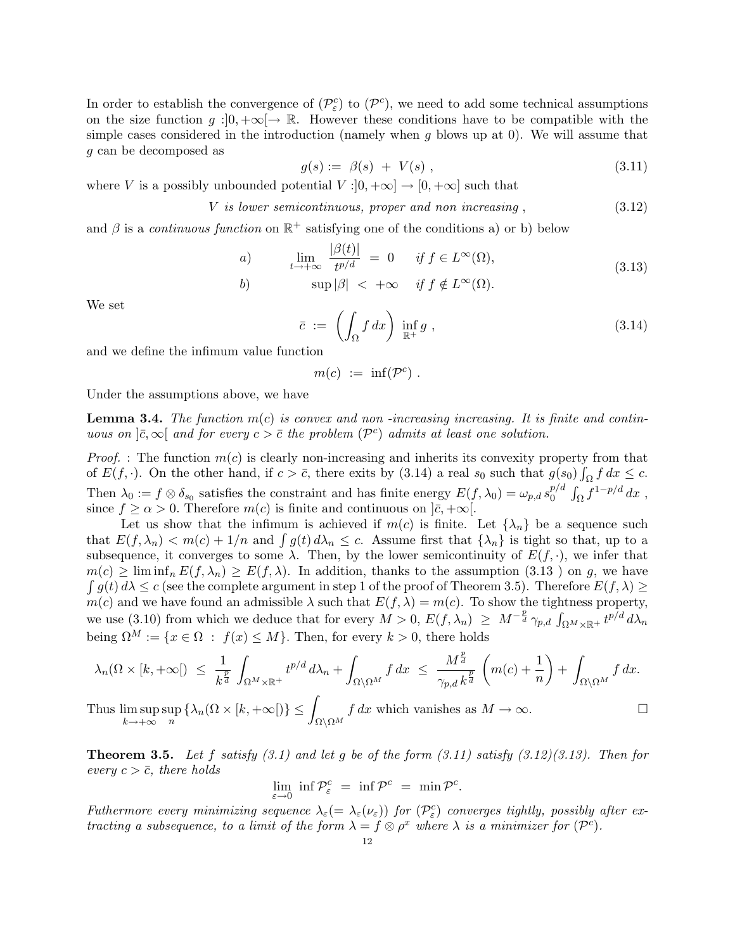In order to establish the convergence of  $(\mathcal{P}_{\varepsilon}^{c})$  to  $(\mathcal{P}_{\varepsilon}^{c})$ , we need to add some technical assumptions on the size function  $g:]0, +\infty[\rightarrow \mathbb{R}$ . However these conditions have to be compatible with the simple cases considered in the introduction (namely when q blows up at 0). We will assume that g can be decomposed as

$$
g(s) := \beta(s) + V(s) \,, \tag{3.11}
$$

where V is a possibly unbounded potential  $V : ]0, +\infty] \to [0, +\infty]$  such that

V *is lower semicontinuous, proper and non increasing* , (3.12)

and  $\beta$  is a *continuous function* on  $\mathbb{R}^+$  satisfying one of the conditions a) or b) below

a) 
$$
\lim_{t \to +\infty} \frac{|\beta(t)|}{t^{p/d}} = 0 \quad \text{if } f \in L^{\infty}(\Omega),
$$
 (3.13)

$$
b) \qquad \sup |\beta| < +\infty \quad \text{if } f \notin L^{\infty}(\Omega).
$$

We set

$$
\bar{c} := \left( \int_{\Omega} f \, dx \right) \inf_{\mathbb{R}^+} g \;, \tag{3.14}
$$

and we define the infimum value function

$$
m(c) := \inf(\mathcal{P}^c) .
$$

Under the assumptions above, we have

Lemma 3.4. *The function* m(c) *is convex and non -increasing increasing. It is finite and continuous on*  $|\bar{c}, \infty|$  *and for every*  $c > \bar{c}$  *the problem* ( $\mathcal{P}^c$ ) *admits at least one solution.* 

*Proof.* : The function  $m(c)$  is clearly non-increasing and inherits its convexity property from that of  $E(f, \cdot)$ . On the other hand, if  $c > \bar{c}$ , there exits by (3.14) a real  $s_0$  such that  $g(s_0) \int_{\Omega} f dx \leq c$ . Then  $\lambda_0 := f \otimes \delta_{s_0}$  satisfies the constraint and has finite energy  $E(f, \lambda_0) = \omega_{p,d} s_0^{p/d}$  $\int_{0}^{p/d} \int_{\Omega} f^{1-p/d} dx$ , since  $f \ge \alpha > 0$ . Therefore  $m(c)$  is finite and continuous on  $|\bar{c}| + \infty$ .

Let us show that the infimum is achieved if  $m(c)$  is finite. Let  $\{\lambda_n\}$  be a sequence such that  $E(f, \lambda_n) < m(c) + 1/n$  and  $\int g(t) d\lambda_n \leq c$ . Assume first that  $\{\lambda_n\}$  is tight so that, up to a subsequence, it converges to some  $\lambda$ . Then, by the lower semicontinuity of  $E(f, \cdot)$ , we infer that  $m(c) \geq \liminf_{n} E(f, \lambda_n) \geq E(f, \lambda)$ . In addition, thanks to the assumption (3.13) on g, we have  $\int g(t) d\lambda \leq c$  (see the complete argument in step 1 of the proof of Theorem 3.5). Therefore  $E(f, \lambda) \geq$  $m(c)$  and we have found an admissible  $\lambda$  such that  $E(f, \lambda) = m(c)$ . To show the tightness property, we use (3.10) from which we deduce that for every  $M > 0$ ,  $E(f, \lambda_n) \geq M^{-\frac{p}{d}} \gamma_{p,d} \int_{\Omega^M \times \mathbb{R}^+} t^{p/d} d\lambda_n$ being  $\Omega^M := \{x \in \Omega : f(x) \leq M\}$ . Then, for every  $k > 0$ , there holds

$$
\lambda_n(\Omega\times [k,+\infty[) \leq \frac{1}{k^{\frac{p}{d}}}\int_{\Omega^M\times \mathbb{R}^+} t^{p/d}\,d\lambda_n + \int_{\Omega\setminus \Omega^M} f\,dx \ \leq \ \frac{M^{\frac{p}{d}}}{\gamma_{p,d}\,k^{\frac{p}{d}}}\,\left(m(c)+\frac{1}{n}\right) + \int_{\Omega\setminus \Omega^M} f\,dx.
$$

Thus lim sup  $k\rightarrow+\infty$ sup  $\sup_n {\{\lambda_n(\Omega \times [k, +\infty[)\}\leq)}$ "  $\Omega\backslash\Omega^M$ f dx which vanishes as  $M \to \infty$ .  $\Box$ 

Theorem 3.5. *Let* f *satisfy (3.1) and let* g *be of the form (3.11) satisfy (3.12)(3.13). Then for every*  $c > \bar{c}$ *, there holds* 

$$
\lim_{\varepsilon \to 0} \, \inf \mathcal{P}_{\varepsilon}^c \ = \ \inf \mathcal{P}^c \ = \ \min \mathcal{P}^c.
$$

*Futhermore every minimizing sequence*  $\lambda_{\varepsilon} (= \lambda_{\varepsilon}(\nu_{\varepsilon}))$  *for*  $(\mathcal{P}_{\varepsilon}^c)$  *converges tightly, possibly after extracting a subsequence, to a limit of the form*  $\lambda = f \otimes \rho^x$  *where*  $\lambda$  *is a minimizer for*  $(\mathcal{P}^c)$ *.*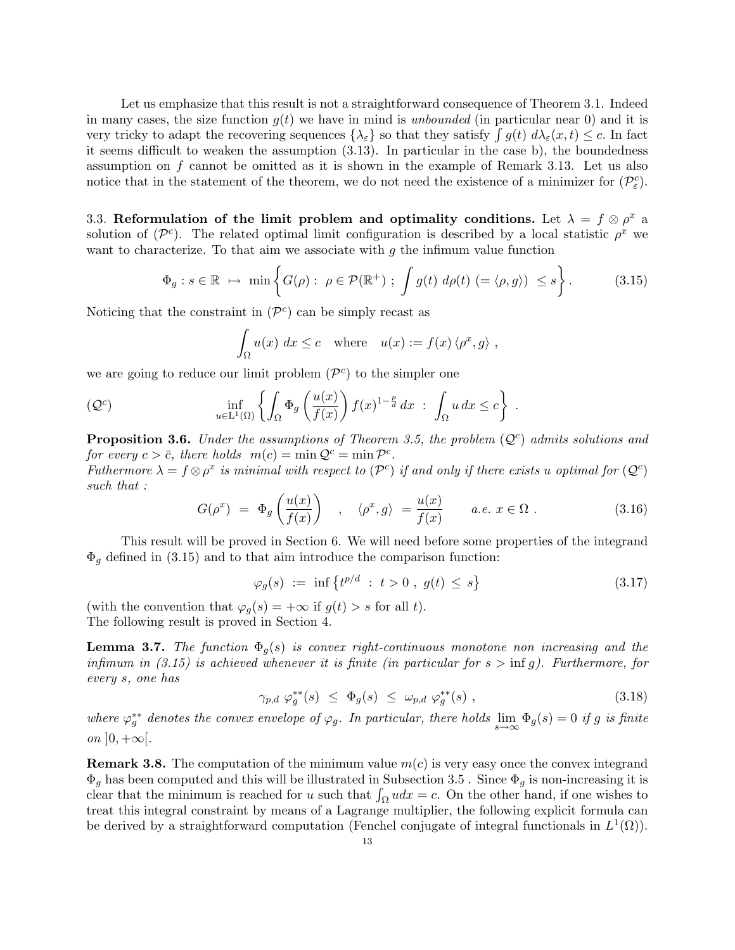Let us emphasize that this result is not a straightforward consequence of Theorem 3.1. Indeed in many cases, the size function  $q(t)$  we have in mind is *unbounded* (in particular near 0) and it is very tricky to adapt the recovering sequences  $\{\lambda_{\varepsilon}\}\$  so that they satisfy  $\int g(t) d\lambda_{\varepsilon}(x, t) \leq c$ . In fact it seems difficult to weaken the assumption (3.13). In particular in the case b), the boundedness assumption on f cannot be omitted as it is shown in the example of Remark 3.13. Let us also notice that in the statement of the theorem, we do not need the existence of a minimizer for  $(\mathcal{P}_{\varepsilon}^c)$ .

3.3. Reformulation of the limit problem and optimality conditions. Let  $\lambda = f \otimes \rho^x$  a solution of  $(\mathcal{P}^c)$ . The related optimal limit configuration is described by a local statistic  $\rho^x$  we want to characterize. To that aim we associate with  $q$  the infimum value function

$$
\Phi_g : s \in \mathbb{R} \; \mapsto \; \min\left\{ G(\rho) : \; \rho \in \mathcal{P}(\mathbb{R}^+) \; ; \; \int g(t) \; d\rho(t) \; (= \langle \rho, g \rangle) \; \leq s \right\}.
$$
 (3.15)

Noticing that the constraint in  $(\mathcal{P}^c)$  can be simply recast as

$$
\int_{\Omega} u(x) dx \leq c \quad \text{where} \quad u(x) := f(x) \langle \rho^x, g \rangle ,
$$

we are going to reduce our limit problem  $(\mathcal{P}^c)$  to the simpler one

$$
(\mathcal{Q}^c) \qquad \inf_{u \in L^1(\Omega)} \left\{ \int_{\Omega} \Phi_g \left( \frac{u(x)}{f(x)} \right) f(x)^{1-\frac{p}{d}} dx \; : \; \int_{\Omega} u \, dx \leq c \right\} \; .
$$

**Proposition 3.6.** *Under the assumptions of Theorem 3.5, the problem*  $(Q<sup>c</sup>)$  *admits solutions and for every*  $c > \overline{c}$ *, there holds*  $m(c) = \min \mathcal{Q}^c = \min \mathcal{P}^c$ *.* 

*Futhermore*  $\lambda = f \otimes \rho^x$  *is minimal with respect to* ( $\mathcal{P}^c$ ) *if and only if there exists u optimal for* ( $\mathcal{Q}^c$ ) *such that :*

$$
G(\rho^x) = \Phi_g\left(\frac{u(x)}{f(x)}\right) , \quad \langle \rho^x, g \rangle = \frac{u(x)}{f(x)} \qquad a.e. \ x \in \Omega . \tag{3.16}
$$

This result will be proved in Section 6. We will need before some properties of the integrand  $\Phi_q$  defined in (3.15) and to that aim introduce the comparison function:

$$
\varphi_g(s) := \inf \left\{ t^{p/d} : t > 0 , g(t) \le s \right\} \tag{3.17}
$$

(with the convention that  $\varphi_q(s) = +\infty$  if  $g(t) > s$  for all t). The following result is proved in Section 4.

**Lemma 3.7.** *The function*  $\Phi_q(s)$  *is convex right-continuous monotone non increasing and the infimum in (3.15) is achieved whenever it is finite (in particular for*  $s > \inf g$ ). Furthermore, for *every* s*, one has*

$$
\gamma_{p,d} \varphi_g^{**}(s) \leq \Phi_g(s) \leq \omega_{p,d} \varphi_g^{**}(s) , \qquad (3.18)
$$

*where*  $\varphi_j^{**}$  denotes the convex envelope of  $\varphi_g$ . In particular, there holds  $\lim_{s\to\infty} \Phi_g(s) = 0$  if g is finite *on*  $]0, +\infty[$ *.* 

**Remark 3.8.** The computation of the minimum value  $m(c)$  is very easy once the convex integrand  $\Phi_q$  has been computed and this will be illustrated in Subsection 3.5. Since  $\Phi_q$  is non-increasing it is clear that the minimum is reached for u such that  $\int_{\Omega} u dx = c$ . On the other hand, if one wishes to treat this integral constraint by means of a Lagrange multiplier, the following explicit formula can be derived by a straightforward computation (Fenchel conjugate of integral functionals in  $L^1(\Omega)$ ).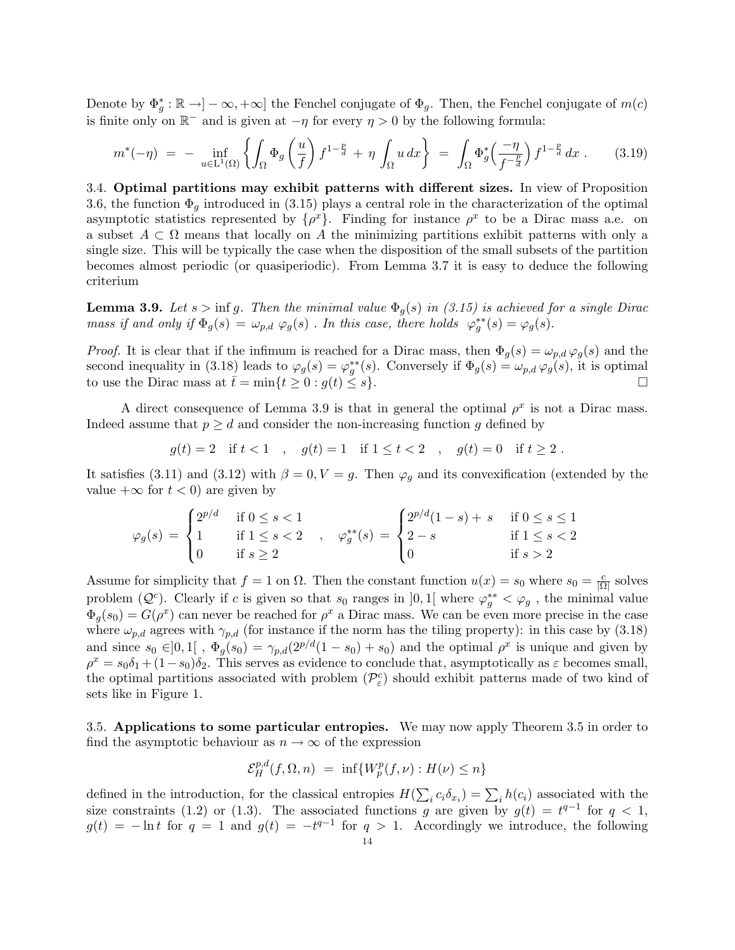Denote by  $\Phi_g^* : \mathbb{R} \to ]-\infty, +\infty]$  the Fenchel conjugate of  $\Phi_g$ . Then, the Fenchel conjugate of  $m(c)$ is finite only on  $\mathbb{R}^-$  and is given at  $-\eta$  for every  $\eta > 0$  by the following formula:

$$
m^*(-\eta) = -\inf_{u \in \mathcal{L}^1(\Omega)} \left\{ \int_{\Omega} \Phi_g \left( \frac{u}{f} \right) f^{1-\frac{p}{d}} + \eta \int_{\Omega} u \, dx \right\} = \int_{\Omega} \Phi_g^* \left( \frac{-\eta}{f^{-\frac{p}{d}}} \right) f^{1-\frac{p}{d}} dx \,. \tag{3.19}
$$

3.4. Optimal partitions may exhibit patterns with different sizes. In view of Proposition 3.6, the function  $\Phi_q$  introduced in (3.15) plays a central role in the characterization of the optimal asymptotic statistics represented by  $\{\rho^x\}$ . Finding for instance  $\rho^x$  to be a Dirac mass a.e. on a subset  $A \subset \Omega$  means that locally on A the minimizing partitions exhibit patterns with only a single size. This will be typically the case when the disposition of the small subsets of the partition becomes almost periodic (or quasiperiodic). From Lemma 3.7 it is easy to deduce the following criterium

**Lemma 3.9.** Let  $s > \inf g$ . Then the minimal value  $\Phi_q(s)$  in (3.15) is achieved for a single Dirac *mass if and only if*  $\Phi_g(s) = \omega_{p,d} \varphi_g(s)$ . *In this case, there holds*  $\varphi_g^{**}(s) = \varphi_g(s)$ .

*Proof.* It is clear that if the infimum is reached for a Dirac mass, then  $\Phi_g(s) = \omega_{p,d} \varphi_g(s)$  and the second inequality in (3.18) leads to  $\varphi_g(s) = \varphi_g^{**}(s)$ . Conversely if  $\Phi_g(s) = \omega_{p,d} \varphi_g(s)$ , it is optimal to use the Dirac mass at  $\bar{t} = \min\{t \geq 0 : g(t) \leq s\}.$  $\bar{t} = \min\{t \ge 0 : g(t) \le s\}.$ 

A direct consequence of Lemma 3.9 is that in general the optimal  $\rho^x$  is not a Dirac mass. Indeed assume that  $p \geq d$  and consider the non-increasing function g defined by

$$
g(t) = 2
$$
 if  $t < 1$ ,  $g(t) = 1$  if  $1 \le t < 2$ ,  $g(t) = 0$  if  $t \ge 2$ .

It satisfies (3.11) and (3.12) with  $\beta = 0, V = g$ . Then  $\varphi_q$  and its convexification (extended by the value  $+\infty$  for  $t < 0$  are given by

$$
\varphi_g(s) = \begin{cases}\n2^{p/d} & \text{if } 0 \le s < 1 \\
1 & \text{if } 1 \le s < 2 \\
0 & \text{if } s \ge 2\n\end{cases}, \quad \varphi_g^{**}(s) = \begin{cases}\n2^{p/d}(1-s) + s & \text{if } 0 \le s \le 1 \\
2-s & \text{if } 1 \le s < 2 \\
0 & \text{if } s > 2\n\end{cases}
$$

Assume for simplicity that  $f = 1$  on  $\Omega$ . Then the constant function  $u(x) = s_0$  where  $s_0 = \frac{c}{|\Omega|}$  solves problem  $(Q<sup>c</sup>)$ . Clearly if c is given so that  $s_0$  ranges in  $]0,1[$  where  $\varphi_g^{**} < \varphi_g$ , the minimal value  $\Phi_q(s_0) = G(\rho^x)$  can never be reached for  $\rho^x$  a Dirac mass. We can be even more precise in the case where  $\omega_{p,d}$  agrees with  $\gamma_{p,d}$  (for instance if the norm has the tiling property): in this case by (3.18) and since  $s_0 \in ]0,1[$ ,  $\Phi_g(s_0) = \gamma_{p,d}(2^{p/d}(1-s_0) + s_0)$  and the optimal  $\rho^x$  is unique and given by  $\rho^x = s_0\delta_1 + (1-s_0)\delta_2$ . This serves as evidence to conclude that, asymptotically as  $\varepsilon$  becomes small, the optimal partitions associated with problem  $(\mathcal{P}_{\varepsilon}^c)$  should exhibit patterns made of two kind of sets like in Figure 1.

3.5. Applications to some particular entropies. We may now apply Theorem 3.5 in order to find the asymptotic behaviour as  $n \to \infty$  of the expression

$$
\mathcal{E}_H^{p,d}(f,\Omega,n) = \inf \{ W_p^p(f,\nu) : H(\nu) \le n \}
$$

defined in the introduction, for the classical entropies  $H(\sum_i c_i \delta_{x_i}) = \sum_i h(c_i)$  associated with the size constraints (1.2) or (1.3). The associated functions g are given by  $g(t) = t^{q-1}$  for  $q < 1$ ,  $g(t) = -\ln t$  for  $q = 1$  and  $g(t) = -t^{q-1}$  for  $q > 1$ . Accordingly we introduce, the following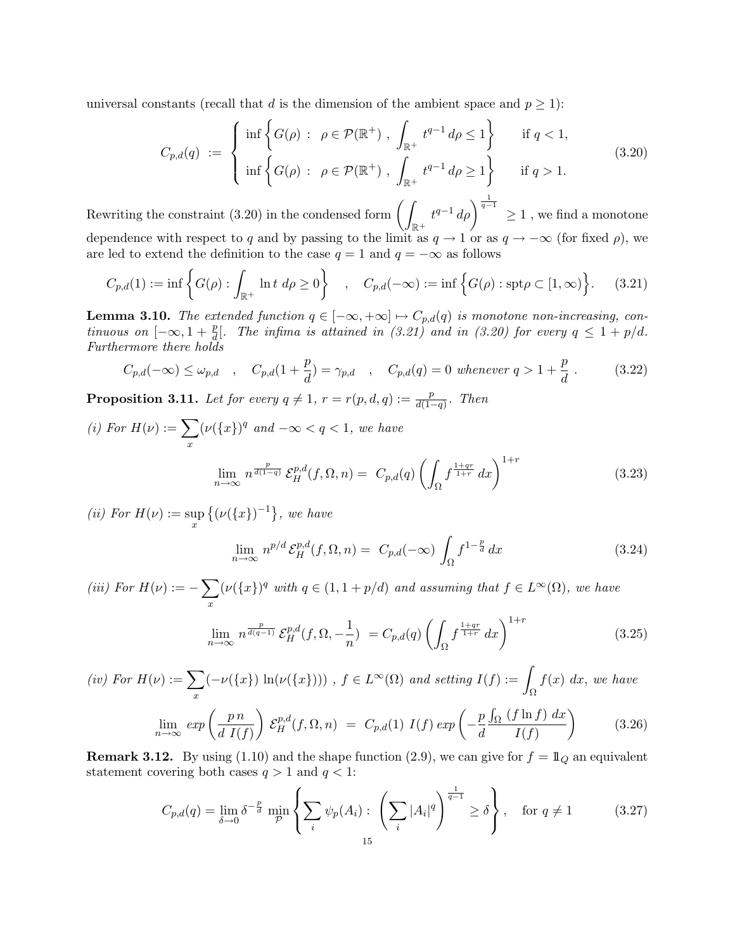universal constants (recall that d is the dimension of the ambient space and  $p \geq 1$ ):

$$
C_{p,d}(q) := \begin{cases} \inf \left\{ G(\rho) : \ \rho \in \mathcal{P}(\mathbb{R}^+) \ , \ \int_{\mathbb{R}^+} t^{q-1} d\rho \le 1 \right\} & \text{if } q < 1, \\ \inf \left\{ G(\rho) : \ \rho \in \mathcal{P}(\mathbb{R}^+) \ , \ \int_{\mathbb{R}^+} t^{q-1} d\rho \ge 1 \right\} & \text{if } q > 1. \end{cases} \tag{3.20}
$$

Rewriting the constraint (3.20) in the condensed form  $($  $\mathbb{R}^+$  $t^{q-1}$  d $\rho$  $\Big\}^{\frac{1}{q-1}}$  ≥ 1, we find a monotone dependence with respect to q and by passing to the limit as  $q \to 1$  or as  $q \to -\infty$  (for fixed  $\rho$ ), we are led to extend the definition to the case  $q = 1$  and  $q = -\infty$  as follows

$$
C_{p,d}(1) := \inf \left\{ G(\rho) : \int_{\mathbb{R}^+} \ln t \, d\rho \ge 0 \right\} \quad , \quad C_{p,d}(-\infty) := \inf \left\{ G(\rho) : \operatorname{spt}\rho \subset [1,\infty) \right\}.
$$
 (3.21)

**Lemma 3.10.** *The extended function*  $q \in [-\infty, +\infty] \mapsto C_{p,d}(q)$  *is monotone non-increasing, continuous on*  $[-\infty, 1 + \frac{p}{d}]$ . The infima is attained in (3.21) and in (3.20) for every  $q \leq 1 + p/d$ . *Furthermore there holds*

$$
C_{p,d}(-\infty) \le \omega_{p,d}
$$
,  $C_{p,d}(1+\frac{p}{d}) = \gamma_{p,d}$ ,  $C_{p,d}(q) = 0$  whenever  $q > 1 + \frac{p}{d}$ . (3.22)

**Proposition 3.11.** Let for every  $q \neq 1$ ,  $r = r(p, d, q) := \frac{p}{d(1-q)}$ . Then

(i) For 
$$
H(\nu) := \sum_{x} (\nu({x})^q
$$
 and  $-\infty < q < 1$ , we have  

$$
\lim_{n \to \infty} n^{\frac{p}{d(1-q)}} \mathcal{E}_H^{p,d}(f,\Omega,n) = C_{p,d}(q) \left( \int_{\Omega} f^{\frac{1+qr}{1+r}} dx \right)^{1+r}
$$
(3.23)

*(ii)* For  $H(\nu) := \sup_x \{ (\nu(\{x\})^{-1}) \}$ , we have

$$
\lim_{n \to \infty} n^{p/d} \mathcal{E}_H^{p,d}(f, \Omega, n) = C_{p,d}(-\infty) \int_{\Omega} f^{1-\frac{p}{d}} dx \tag{3.24}
$$

*(iii)*  $For H(\nu) := -\sum$ x  $(\nu({x})^q$  with  $q \in (1, 1 + p/d)$  and assuming that  $f \in L^{\infty}(\Omega)$ , we have

$$
\lim_{n \to \infty} n^{\frac{p}{d(q-1)}} \mathcal{E}_H^{p,d}(f,\Omega,-\frac{1}{n}) = C_{p,d}(q) \left( \int_{\Omega} f^{\frac{1+qr}{1+r}} dx \right)^{1+r}
$$
(3.25)

$$
(iv) For H(\nu) := \sum_{x} (-\nu({x}) \ln(\nu({x}))) , f \in L^{\infty}(\Omega) and setting I(f) := \int_{\Omega} f(x) dx, we have
$$

$$
\lim_{n \to \infty} exp\left(\frac{p n}{d I(f)}\right) \mathcal{E}_{H}^{p,d}(f, \Omega, n) = C_{p,d}(1) I(f) exp\left(-\frac{p \int_{\Omega} (f \ln f) dx}{I(f)}\right)
$$
(3.26)

**Remark 3.12.** By using (1.10) and the shape function (2.9), we can give for  $f = 1\!\!1_Q$  an equivalent statement covering both cases  $q > 1$  and  $q < 1$ :

$$
C_{p,d}(q) = \lim_{\delta \to 0} \delta^{-\frac{p}{d}} \min_{\mathcal{P}} \left\{ \sum_i \psi_p(A_i) : \left( \sum_i |A_i|^q \right)^{\frac{1}{q-1}} \ge \delta \right\}, \quad \text{for } q \ne 1
$$
 (3.27)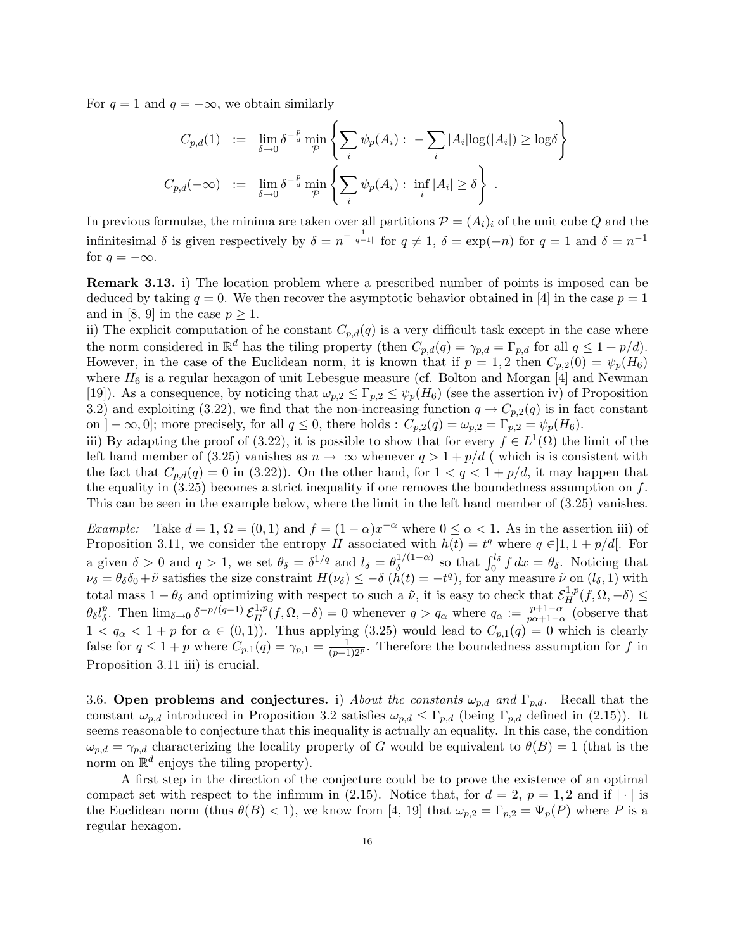For  $q = 1$  and  $q = -\infty$ , we obtain similarly

$$
C_{p,d}(1) := \lim_{\delta \to 0} \delta^{-\frac{p}{d}} \min_{\mathcal{P}} \left\{ \sum_i \psi_p(A_i) : -\sum_i |A_i| \log(|A_i|) \ge \log \delta \right\}
$$
  

$$
C_{p,d}(-\infty) := \lim_{\delta \to 0} \delta^{-\frac{p}{d}} \min_{\mathcal{P}} \left\{ \sum_i \psi_p(A_i) : \inf_i |A_i| \ge \delta \right\}.
$$

In previous formulae, the minima are taken over all partitions  $\mathcal{P} = (A_i)_i$  of the unit cube Q and the infinitesimal  $\delta$  is given respectively by  $\delta = n^{-\frac{1}{|q-1|}}$  for  $q \neq 1$ ,  $\delta = \exp(-n)$  for  $q = 1$  and  $\delta = n^{-1}$ for  $q = -\infty$ .

Remark 3.13. i) The location problem where a prescribed number of points is imposed can be deduced by taking  $q = 0$ . We then recover the asymptotic behavior obtained in [4] in the case  $p = 1$ and in [8, 9] in the case  $p \geq 1$ .

ii) The explicit computation of he constant  $C_{p,d}(q)$  is a very difficult task except in the case where the norm considered in  $\mathbb{R}^d$  has the tiling property (then  $C_{p,d}(q) = \gamma_{p,d} = \Gamma_{p,d}$  for all  $q \leq 1 + p/d$ ). However, in the case of the Euclidean norm, it is known that if  $p = 1, 2$  then  $C_{p,2}(0) = \psi_p(H_6)$ where  $H_6$  is a regular hexagon of unit Lebesgue measure (cf. Bolton and Morgan [4] and Newman [19]). As a consequence, by noticing that  $\omega_{p,2} \leq \Gamma_{p,2} \leq \psi_p(H_6)$  (see the assertion iv) of Proposition 3.2) and exploiting (3.22), we find that the non-increasing function  $q \to C_{p,2}(q)$  is in fact constant on  $]-\infty,0]$ ; more precisely, for all  $q \leq 0$ , there holds :  $C_{p,2}(q) = \omega_{p,2} = \Gamma_{p,2} = \psi_p(H_6)$ .

iii) By adapting the proof of (3.22), it is possible to show that for every  $f \in L^1(\Omega)$  the limit of the left hand member of (3.25) vanishes as  $n \to \infty$  whenever  $q > 1 + p/d$  (which is is consistent with the fact that  $C_{p,d}(q) = 0$  in (3.22)). On the other hand, for  $1 < q < 1 + p/d$ , it may happen that the equality in  $(3.25)$  becomes a strict inequality if one removes the boundedness assumption on f. This can be seen in the example below, where the limit in the left hand member of (3.25) vanishes.

*Example:* Take  $d = 1$ ,  $\Omega = (0, 1)$  and  $f = (1 - \alpha)x^{-\alpha}$  where  $0 \leq \alpha < 1$ . As in the assertion iii) of Proposition 3.11, we consider the entropy H associated with  $h(t) = t^q$  where  $q \in ]1, 1 + p/d[$ . For a given  $\delta > 0$  and  $q > 1$ , we set  $\theta_{\delta} = \delta^{1/q}$  and  $l_{\delta} = \theta_{\delta}^{1/(1-\alpha)}$  so that  $\int_0^{l_{\delta}} f dx = \theta_{\delta}$ . Noticing that  $\nu_{\delta} = \theta_{\delta} \delta_0 + \tilde{\nu}$  satisfies the size constraint  $H(\nu_{\delta}) \leq -\delta (\tilde{h}(t)) = -t^q$ , for any measure  $\tilde{\nu}$  on  $(l_{\delta}, 1)$  with total mass  $1 - \theta_{\delta}$  and optimizing with respect to such a  $\tilde{\nu}$ , it is easy to check that  $\mathcal{E}_{H}^{1,p}(f, \Omega, -\delta) \leq$  $\theta_{\delta} l_{\delta}^{p}$ . Then  $\lim_{\delta \to 0} \delta^{-p/(q-1)} \mathcal{E}_{H}^{1,p}(f, \Omega, -\delta) = 0$  whenever  $q > q_{\alpha}$  where  $q_{\alpha} := \frac{p+1-\alpha}{p\alpha+1-\alpha}$  (observe that  $1 < q_\alpha < 1 + p$  for  $\alpha \in (0, 1)$ . Thus applying (3.25) would lead to  $C_{p,1}(q) = 0$  which is clearly false for  $q \leq 1+p$  where  $C_{p,1}(q) = \gamma_{p,1} = \frac{1}{(p+1)2^p}$ . Therefore the boundedness assumption for f in Proposition 3.11 iii) is crucial.

3.6. Open problems and conjectures. i) *About the constants*  $\omega_{p,d}$  and  $\Gamma_{p,d}$ . Recall that the constant  $\omega_{p,d}$  introduced in Proposition 3.2 satisfies  $\omega_{p,d} \leq \Gamma_{p,d}$  (being  $\Gamma_{p,d}$  defined in (2.15)). It seems reasonable to conjecture that this inequality is actually an equality. In this case, the condition  $\omega_{p,d} = \gamma_{p,d}$  characterizing the locality property of G would be equivalent to  $\theta(B) = 1$  (that is the norm on  $\mathbb{R}^d$  enjoys the tiling property).

A first step in the direction of the conjecture could be to prove the existence of an optimal compact set with respect to the infimum in (2.15). Notice that, for  $d = 2$ ,  $p = 1, 2$  and if  $|\cdot|$  is the Euclidean norm (thus  $\theta(B) < 1$ ), we know from [4, 19] that  $\omega_{p,2} = \Gamma_{p,2} = \Psi_p(P)$  where P is a regular hexagon.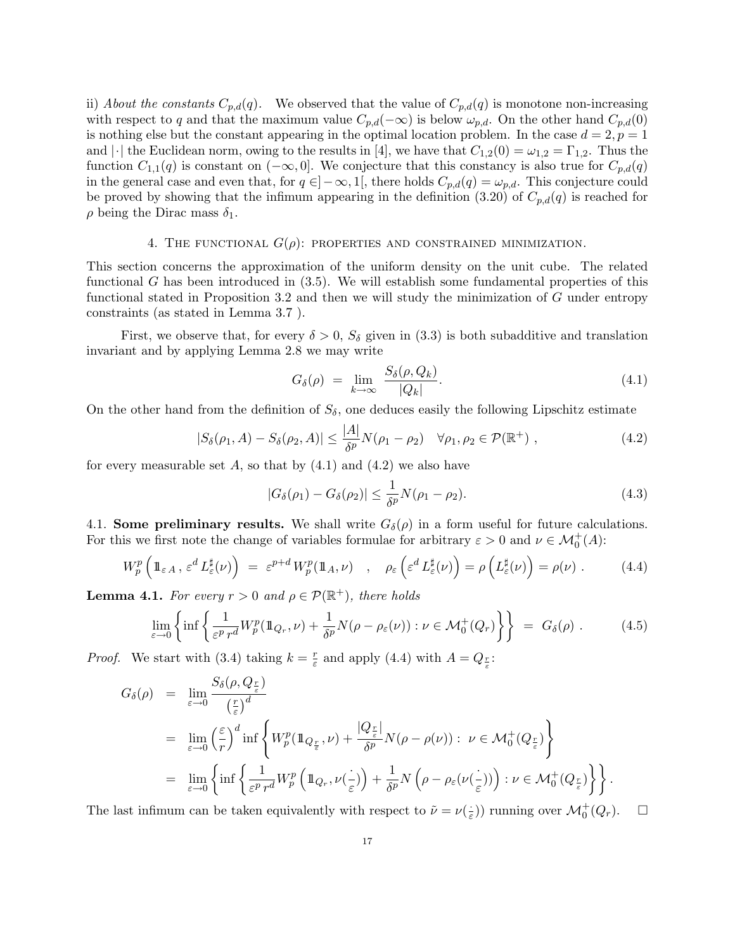ii) *About the constants*  $C_{p,d}(q)$ . We observed that the value of  $C_{p,d}(q)$  is monotone non-increasing with respect to q and that the maximum value  $C_{p,d}(-\infty)$  is below  $\omega_{p,d}$ . On the other hand  $C_{p,d}(0)$ is nothing else but the constant appearing in the optimal location problem. In the case  $d = 2, p = 1$ and  $|\cdot|$  the Euclidean norm, owing to the results in [4], we have that  $C_{1,2}(0) = \omega_{1,2} = \Gamma_{1,2}$ . Thus the function  $C_{1,1}(q)$  is constant on  $(-\infty,0]$ . We conjecture that this constancy is also true for  $C_{p,d}(q)$ in the general case and even that, for  $q \in ]-\infty,1[$ , there holds  $C_{p,d}(q) = \omega_{p,d}$ . This conjecture could be proved by showing that the infimum appearing in the definition (3.20) of  $C_{p,d}(q)$  is reached for  $\rho$  being the Dirac mass  $\delta_1$ .

#### 4. THE FUNCTIONAL  $G(\rho)$ : PROPERTIES AND CONSTRAINED MINIMIZATION.

This section concerns the approximation of the uniform density on the unit cube. The related functional G has been introduced in  $(3.5)$ . We will establish some fundamental properties of this functional stated in Proposition 3.2 and then we will study the minimization of  $G$  under entropy constraints (as stated in Lemma 3.7 ).

First, we observe that, for every  $\delta > 0$ ,  $S_{\delta}$  given in (3.3) is both subadditive and translation invariant and by applying Lemma 2.8 we may write

$$
G_{\delta}(\rho) = \lim_{k \to \infty} \frac{S_{\delta}(\rho, Q_k)}{|Q_k|}.
$$
\n(4.1)

On the other hand from the definition of  $S_{\delta}$ , one deduces easily the following Lipschitz estimate

$$
|S_{\delta}(\rho_1, A) - S_{\delta}(\rho_2, A)| \le \frac{|A|}{\delta^p} N(\rho_1 - \rho_2) \quad \forall \rho_1, \rho_2 \in \mathcal{P}(\mathbb{R}^+), \tag{4.2}
$$

for every measurable set  $A$ , so that by  $(4.1)$  and  $(4.2)$  we also have

$$
|G_{\delta}(\rho_1) - G_{\delta}(\rho_2)| \le \frac{1}{\delta^p} N(\rho_1 - \rho_2). \tag{4.3}
$$

4.1. Some preliminary results. We shall write  $G_{\delta}(\rho)$  in a form useful for future calculations. For this we first note the change of variables formulae for arbitrary  $\varepsilon > 0$  and  $\nu \in \mathcal{M}_0^+(A)$ :

$$
W_p^p\left(\mathbb{1}_{\varepsilon A}, \varepsilon^d L_{\varepsilon}^\sharp(\nu)\right) \ = \ \varepsilon^{p+d} \, W_p^p(\mathbb{1}_A, \nu) \quad , \quad \rho_\varepsilon\left(\varepsilon^d L_{\varepsilon}^\sharp(\nu)\right) = \rho\left(L_{\varepsilon}^\sharp(\nu)\right) = \rho(\nu) \ . \tag{4.4}
$$

**Lemma 4.1.** *For every*  $r > 0$  *and*  $\rho \in \mathcal{P}(\mathbb{R}^+)$ *, there holds* 

$$
\lim_{\varepsilon \to 0} \left\{ \inf \left\{ \frac{1}{\varepsilon^p r^d} W_p^p(\mathbb{1}_{Q_r}, \nu) + \frac{1}{\delta^p} N(\rho - \rho_\varepsilon(\nu)) : \nu \in \mathcal{M}_0^+(Q_r) \right\} \right\} = G_\delta(\rho) \ . \tag{4.5}
$$

*Proof.* We start with (3.4) taking  $k = \frac{r}{\varepsilon}$  and apply (4.4) with  $A = Q_{\frac{r}{\varepsilon}}$ :

$$
G_{\delta}(\rho) = \lim_{\varepsilon \to 0} \frac{S_{\delta}(\rho, Q_{\frac{r}{\varepsilon}})}{\left(\frac{r}{\varepsilon}\right)^{d}} = \lim_{\varepsilon \to 0} \left(\frac{\varepsilon}{r}\right)^{d} \inf \left\{ W_{p}^{p}(\mathbb{1}_{Q_{\frac{r}{\varepsilon}}}, \nu) + \frac{|Q_{\frac{r}{\varepsilon}}|}{\delta^{p}} N(\rho - \rho(\nu)) : \ \nu \in \mathcal{M}_{0}^{+}(Q_{\frac{r}{\varepsilon}}) \right\} = \lim_{\varepsilon \to 0} \left\{ \inf \left\{ \frac{1}{\varepsilon^{p} r^{d}} W_{p}^{p} \left( \mathbb{1}_{Q_{r}}, \nu(\frac{.}{\varepsilon}) \right) + \frac{1}{\delta^{p}} N\left(\rho - \rho_{\varepsilon}(\nu(\frac{.}{\varepsilon}))\right) : \nu \in \mathcal{M}_{0}^{+}(Q_{\frac{r}{\varepsilon}}) \right\} \right\}.
$$

The last infimum can be taken equivalently with respect to  $\tilde{\nu} = \nu(\frac{1}{\varepsilon})$  running over  $\mathcal{M}_0^+(Q_r)$ .  $\Box$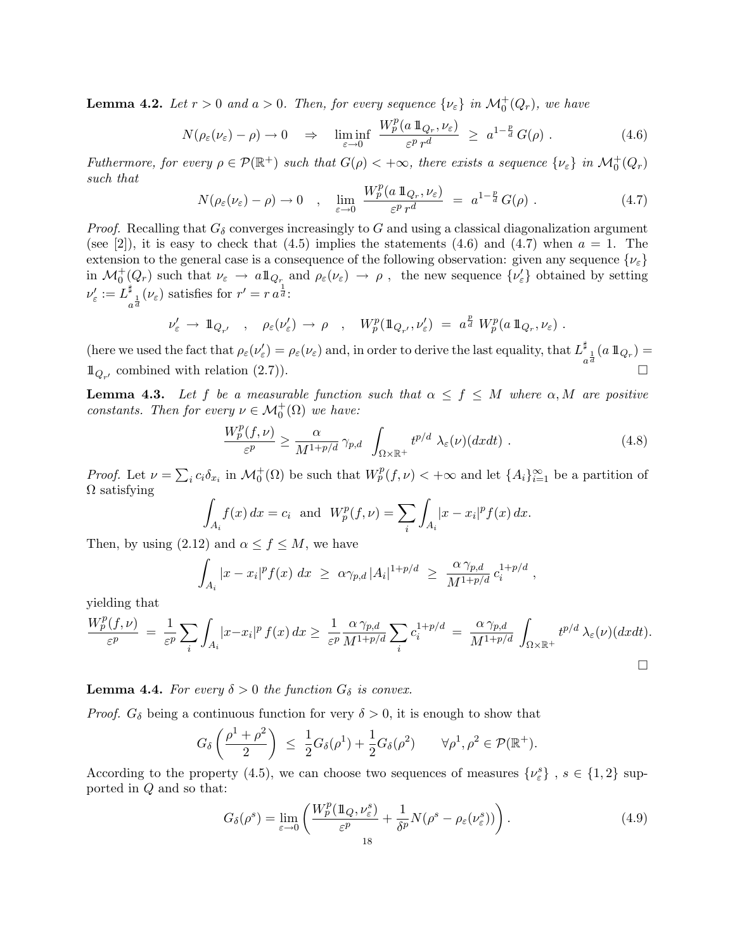**Lemma 4.2.** Let  $r > 0$  and  $a > 0$ . Then, for every sequence  $\{\nu_{\varepsilon}\}\$ in  $\mathcal{M}_0^+(Q_r)$ , we have

$$
N(\rho_{\varepsilon}(\nu_{\varepsilon}) - \rho) \to 0 \quad \Rightarrow \quad \liminf_{\varepsilon \to 0} \; \frac{W_p^p(a \, 1\!\!1_{Q_r}, \nu_{\varepsilon})}{\varepsilon^p \, r^d} \; \geq \; a^{1 - \frac{p}{d}} \, G(\rho) \; . \tag{4.6}
$$

*Futhermore, for every*  $\rho \in \mathcal{P}(\mathbb{R}^+)$  *such that*  $G(\rho) < +\infty$ *, there exists a sequence*  $\{\nu_{\varepsilon}\}\$ in  $\mathcal{M}_0^+(Q_r)$ *such that*

$$
N(\rho_{\varepsilon}(\nu_{\varepsilon}) - \rho) \to 0 \quad , \quad \lim_{\varepsilon \to 0} \frac{W_p^p(a \, \mathbb{1}_{Q_r}, \nu_{\varepsilon})}{\varepsilon^p r^d} \; = \; a^{1 - \frac{p}{d}} \, G(\rho) \; . \tag{4.7}
$$

*Proof.* Recalling that  $G_{\delta}$  converges increasingly to G and using a classical diagonalization argument (see [2]), it is easy to check that  $(4.5)$  implies the statements  $(4.6)$  and  $(4.7)$  when  $a = 1$ . The extension to the general case is a consequence of the following observation: given any sequence  $\{\nu_{\varepsilon}\}\$ in  $\mathcal{M}_0^+(Q_r)$  such that  $\nu_{\varepsilon} \to a \mathbb{1}_{Q_r}$  and  $\rho_{\varepsilon}(\nu_{\varepsilon}) \to \rho$ , the new sequence  $\{\nu_{\varepsilon}'\}$  obtained by setting  $\nu'_{\varepsilon} := L_{a^{\frac{1}{d}}}^{\sharp}(\nu_{\varepsilon})$  satisfies for  $r' = r a^{\frac{1}{d}}$ :

$$
\nu'_{\varepsilon} \to 1\!\!1_{Q_{r'}} \quad , \quad \rho_{\varepsilon}(\nu'_{\varepsilon}) \to \rho \quad , \quad W_p^p(1\!\!1_{Q_{r'}},\nu'_{\varepsilon}) = a^{\frac{p}{d}} W_p^p(a\,1\!\!1_{Q_r},\nu_{\varepsilon}) \; .
$$

(here we used the fact that  $\rho_{\varepsilon}(\nu_{\varepsilon}') = \rho_{\varepsilon}(\nu_{\varepsilon})$  and, in order to derive the last equality, that  $L^{\sharp}_{a}$  and  $L^{\sharp}_{a}$  and  $L^{\sharp}_{a}$  and  $L^{\sharp}_{a}$  and  $L^{\sharp}_{a}$  and  $L^{\sharp}_{a}$  and  $L^{\sharp}_{a}$  and  $L^{\sharp}_{a}$  a  $\mathbb{1}_{Q_{r'}}$  combined with relation (2.7)).

**Lemma 4.3.** Let f be a measurable function such that  $\alpha \leq f \leq M$  where  $\alpha, M$  are positive *constants. Then for every*  $\nu \in \mathcal{M}_0^+(\Omega)$  *we have:* 

$$
\frac{W_p^p(f,\nu)}{\varepsilon^p} \ge \frac{\alpha}{M^{1+p/d}} \gamma_{p,d} \int_{\Omega \times \mathbb{R}^+} t^{p/d} \lambda_{\varepsilon}(\nu)(dxdt) . \tag{4.8}
$$

*Proof.* Let  $\nu = \sum_i c_i \delta_{x_i}$  in  $\mathcal{M}_0^+(\Omega)$  be such that  $W_p^p(f, \nu) < +\infty$  and let  $\{A_i\}_{i=1}^\infty$  be a partition of  $\Omega$  satisfying

$$
\int_{A_i} f(x) dx = c_i \text{ and } W_p^p(f, \nu) = \sum_i \int_{A_i} |x - x_i|^p f(x) dx.
$$

Then, by using  $(2.12)$  and  $\alpha \leq f \leq M$ , we have

$$
\int_{A_i} |x - x_i|^p f(x) \ dx \ \ge \ \alpha \gamma_{p,d} |A_i|^{1 + p/d} \ \ge \ \frac{\alpha \gamma_{p,d}}{M^{1 + p/d}} \, c_i^{1 + p/d} \ ,
$$

yielding that

$$
\frac{W_p^p(f,\nu)}{\varepsilon^p} = \frac{1}{\varepsilon^p} \sum_i \int_{A_i} |x - x_i|^p f(x) dx \ge \frac{1}{\varepsilon^p} \frac{\alpha \gamma_{p,d}}{M^{1+p/d}} \sum_i c_i^{1+p/d} = \frac{\alpha \gamma_{p,d}}{M^{1+p/d}} \int_{\Omega \times \mathbb{R}^+} t^{p/d} \lambda_{\varepsilon}(\nu) (dxdt).
$$

**Lemma 4.4.** *For every*  $\delta > 0$  *the function*  $G_{\delta}$  *is convex.* 

*Proof.*  $G_{\delta}$  being a continuous function for very  $\delta > 0$ , it is enough to show that

$$
G_{\delta}\left(\frac{\rho^1+\rho^2}{2}\right) \ \leq \ \frac{1}{2}G_{\delta}(\rho^1)+\frac{1}{2}G_{\delta}(\rho^2) \qquad \forall \rho^1, \rho^2 \in \mathcal{P}(\mathbb{R}^+).
$$

According to the property (4.5), we can choose two sequences of measures  $\{\nu_{\varepsilon}^{s}\}\,$ ,  $s \in \{1,2\}$  supported in Q and so that:

$$
G_{\delta}(\rho^s) = \lim_{\varepsilon \to 0} \left( \frac{W_p^p(\mathbb{1}_Q, \nu_{\varepsilon}^s)}{\varepsilon^p} + \frac{1}{\delta^p} N(\rho^s - \rho_{\varepsilon}(\nu_{\varepsilon}^s)) \right). \tag{4.9}
$$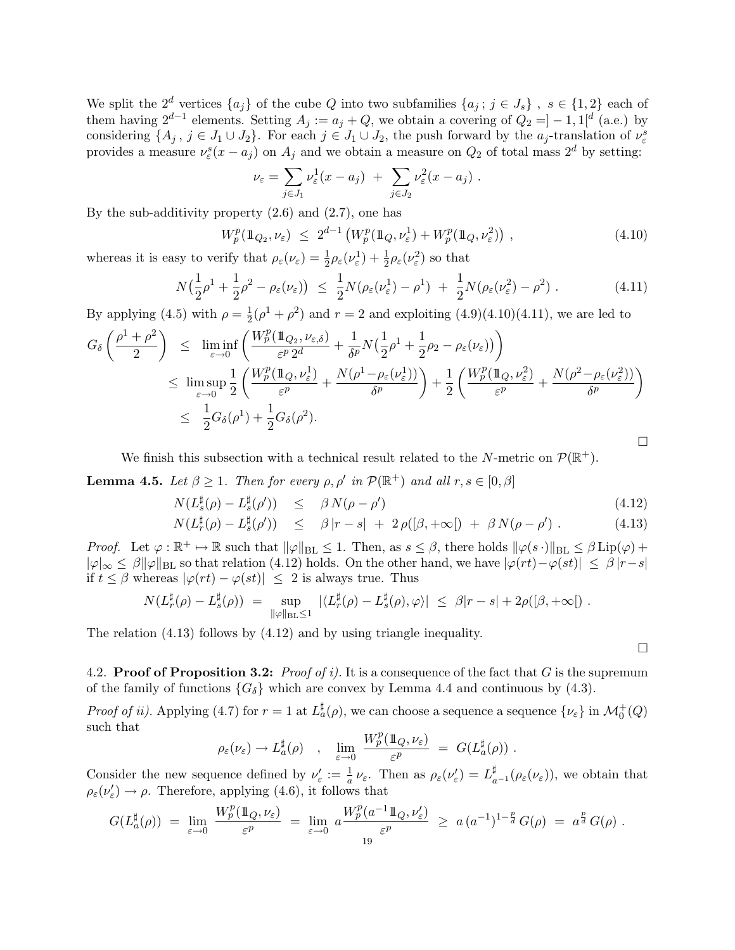We split the  $2^d$  vertices  $\{a_j\}$  of the cube Q into two subfamilies  $\{a_j; j \in J_s\}$ ,  $s \in \{1,2\}$  each of them having  $2^{d-1}$  elements. Setting  $A_j := a_j + Q$ , we obtain a covering of  $Q_2 = ]-1,1[^d$  (a.e.) by considering  $\{A_j, j \in J_1 \cup J_2\}$ . For each  $j \in J_1 \cup J_2$ , the push forward by the  $a_j$ -translation of  $\nu_{\varepsilon}^s$ provides a measure  $\nu_{\varepsilon}^{s}(x-a_j)$  on  $A_j$  and we obtain a measure on  $Q_2$  of total mass  $2^{d}$  by setting:

$$
\nu_{\varepsilon} = \sum_{j \in J_1} \nu_{\varepsilon}^1(x - a_j) + \sum_{j \in J_2} \nu_{\varepsilon}^2(x - a_j).
$$

By the sub-additivity property  $(2.6)$  and  $(2.7)$ , one has

$$
W_p^p(\mathbb{1}_{Q_2}, \nu_{\varepsilon}) \le 2^{d-1} \left( W_p^p(\mathbb{1}_{Q}, \nu_{\varepsilon}^1) + W_p^p(\mathbb{1}_{Q}, \nu_{\varepsilon}^2) \right), \tag{4.10}
$$

whereas it is easy to verify that  $\rho_{\varepsilon}(\nu_{\varepsilon}) = \frac{1}{2}\rho_{\varepsilon}(\nu_{\varepsilon}^1) + \frac{1}{2}\rho_{\varepsilon}(\nu_{\varepsilon}^2)$  so that

$$
N\left(\frac{1}{2}\rho^1 + \frac{1}{2}\rho^2 - \rho_{\varepsilon}(\nu_{\varepsilon})\right) \leq \frac{1}{2}N(\rho_{\varepsilon}(\nu_{\varepsilon}^1) - \rho^1) + \frac{1}{2}N(\rho_{\varepsilon}(\nu_{\varepsilon}^2) - \rho^2) \tag{4.11}
$$

By applying (4.5) with  $\rho = \frac{1}{2}(\rho^1 + \rho^2)$  and  $r = 2$  and exploiting (4.9)(4.10)(4.11), we are led to

$$
G_{\delta}\left(\frac{\rho^{1}+\rho^{2}}{2}\right) \leq \liminf_{\varepsilon \to 0} \left(\frac{W_{p}^{p}(\mathbb{1}_{Q_{2}},\nu_{\varepsilon,\delta})}{\varepsilon^{p} 2^{d}} + \frac{1}{\delta^{p}} N\left(\frac{1}{2}\rho^{1} + \frac{1}{2}\rho_{2} - \rho_{\varepsilon}(\nu_{\varepsilon})\right)\right)
$$
  

$$
\leq \limsup_{\varepsilon \to 0} \frac{1}{2} \left(\frac{W_{p}^{p}(\mathbb{1}_{Q},\nu_{\varepsilon}^{1})}{\varepsilon^{p}} + \frac{N(\rho^{1} - \rho_{\varepsilon}(\nu_{\varepsilon}^{1}))}{\delta^{p}}\right) + \frac{1}{2} \left(\frac{W_{p}^{p}(\mathbb{1}_{Q},\nu_{\varepsilon}^{2})}{\varepsilon^{p}} + \frac{N(\rho^{2} - \rho_{\varepsilon}(\nu_{\varepsilon}^{2}))}{\delta^{p}}\right)
$$
  

$$
\leq \frac{1}{2} G_{\delta}(\rho^{1}) + \frac{1}{2} G_{\delta}(\rho^{2}).
$$

We finish this subsection with a technical result related to the N-metric on  $\mathcal{P}(\mathbb{R}^+)$ .

**Lemma 4.5.** *Let*  $\beta \geq 1$ *. Then for every*  $\rho$ ,  $\rho'$  *in*  $\mathcal{P}(\mathbb{R}^+)$  *and all*  $r, s \in [0, \beta]$ 

$$
N(L_s^{\sharp}(\rho) - L_s^{\sharp}(\rho')) \leq \beta N(\rho - \rho')
$$
\n(4.12)

$$
N(L_r^{\sharp}(\rho) - L_s^{\sharp}(\rho')) \leq \beta |r - s| + 2 \rho([\beta, +\infty[) + \beta N(\rho - \rho'). \qquad (4.13)
$$

*Proof.* Let  $\varphi : \mathbb{R}^+ \mapsto \mathbb{R}$  such that  $\|\varphi\|_{BL} \leq 1$ . Then, as  $s \leq \beta$ , there holds  $\|\varphi(s \cdot)\|_{BL} \leq \beta \operatorname{Lip}(\varphi) + \beta \operatorname{Lip}(\varphi)$  $|\varphi|_{\infty} \leq \beta ||\varphi||_{BL}$  so that relation (4.12) holds. On the other hand, we have  $|\varphi(rt) - \varphi(st)| \leq \beta |r-s|$ if  $t \leq \beta$  whereas  $|\varphi(rt) - \varphi(st)| \leq 2$  is always true. Thus

$$
N(L_r^{\sharp}(\rho) - L_s^{\sharp}(\rho)) = \sup_{\|\varphi\|_{\text{BL}} \leq 1} |\langle L_r^{\sharp}(\rho) - L_s^{\sharp}(\rho), \varphi \rangle| \leq \beta |r - s| + 2\rho([\beta, +\infty]) .
$$

The relation (4.13) follows by (4.12) and by using triangle inequality.

 $\Box$ 

4.2. Proof of Proposition 3.2: *Proof of i).* It is a consequence of the fact that G is the supremum of the family of functions  ${G_\delta}$  which are convex by Lemma 4.4 and continuous by (4.3).

*Proof of ii).* Applying (4.7) for  $r = 1$  at  $L^{\sharp}_{a}(\rho)$ , we can choose a sequence a sequence  $\{\nu_{\varepsilon}\}\$ in  $\mathcal{M}_{0}^{+}(Q)$ such that

$$
\rho_{\varepsilon}(\nu_{\varepsilon}) \to L_a^{\sharp}(\rho) \quad , \quad \lim_{{\varepsilon} \to 0} \; \frac{W_p^p(\mbox{1\hspace{-0.1em}1}_{Q},\nu_{\varepsilon})}{\varepsilon^p} \; = \; G(L_a^{\sharp}(\rho)) \; .
$$

Consider the new sequence defined by  $\nu_{\varepsilon}' := \frac{1}{a} \nu_{\varepsilon}$ . Then as  $\rho_{\varepsilon}(\nu_{\varepsilon}') = L_{a^{-1}}^{\sharp}(\rho_{\varepsilon}(\nu_{\varepsilon}))$ , we obtain that  $\rho_{\varepsilon}(\nu_{\varepsilon}') \to \rho$ . Therefore, applying (4.6), it follows that

$$
G(L_a^{\sharp}(\rho)) = \lim_{\varepsilon \to 0} \frac{W_p^p(\mathbb{1}_Q, \nu_{\varepsilon})}{\varepsilon^p} = \lim_{\varepsilon \to 0} a \frac{W_p^p(a^{-1}\mathbb{1}_Q, \nu_{\varepsilon}')}{\varepsilon^p} \geq a (a^{-1})^{1-\frac{p}{d}} G(\rho) = a^{\frac{p}{d}} G(\rho).
$$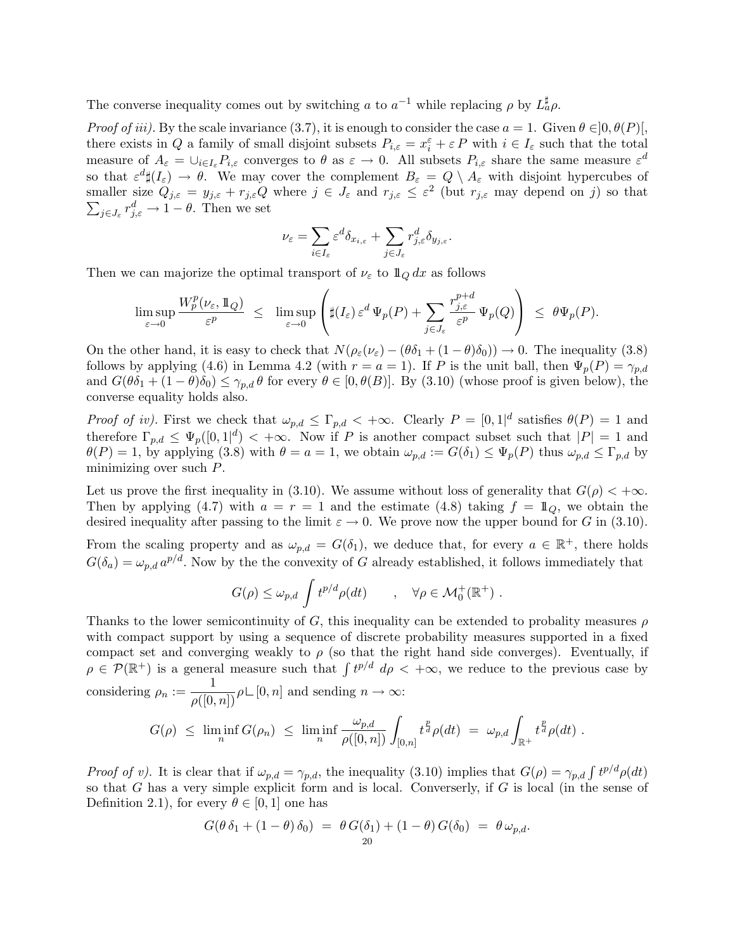The converse inequality comes out by switching a to  $a^{-1}$  while replacing  $\rho$  by  $L^{\sharp}_{a}\rho$ .

*Proof of iii).* By the scale invariance (3.7), it is enough to consider the case  $a = 1$ . Given  $\theta \in ]0, \theta(P)$ , there exists in Q a family of small disjoint subsets  $P_{i,\varepsilon} = x_i^{\varepsilon} + \varepsilon P$  with  $i \in I_{\varepsilon}$  such that the total measure of  $A_{\varepsilon} = \bigcup_{i \in I_{\varepsilon}} P_{i,\varepsilon}$  converges to  $\theta$  as  $\varepsilon \to 0$ . All subsets  $P_{i,\varepsilon}$  share the same measure  $\varepsilon^d$ so that  $\varepsilon^d \sharp (I_\varepsilon) \to \theta$ . We may cover the complement  $B_\varepsilon = Q \setminus A_\varepsilon$  with disjoint hypercubes of smaller size  $Q_{j,\varepsilon} = y_{j,\varepsilon} + r_{j,\varepsilon}Q$  where  $j \in J_{\varepsilon}$  and  $r_{j,\varepsilon} \leq \varepsilon^2$  (but  $r_{j,\varepsilon}$  may depend on j) so that  $\sum_{j\in J_{\varepsilon}} r_{j,\varepsilon}^d \to 1 - \theta$ . Then we set

$$
\nu_\varepsilon = \sum_{i\in I_\varepsilon} \varepsilon^d \delta_{x_{i,\varepsilon}} + \sum_{j\in J_\varepsilon} r_{j,\varepsilon}^d \delta_{y_{j,\varepsilon}}.
$$

Then we can majorize the optimal transport of  $\nu_{\varepsilon}$  to  $\mathbb{1}_Q dx$  as follows

$$
\limsup_{\varepsilon\to 0}\frac{W_p^p(\nu_\varepsilon,1\!\!1_Q)}{\varepsilon^p}\;\leq\;\;\limsup_{\varepsilon\to 0}\left(\sharp(I_\varepsilon)\,\varepsilon^d\,\Psi_p(P)+\sum_{j\in J_\varepsilon}\frac{r_{j,\varepsilon}^{p+d}}{\varepsilon^p}\,\Psi_p(Q)\right)\;\leq\;\theta\Psi_p(P).
$$

On the other hand, it is easy to check that  $N(\rho_{\varepsilon}(\nu_{\varepsilon}) - (\theta \delta_1 + (1 - \theta) \delta_0)) \to 0$ . The inequality (3.8) follows by applying (4.6) in Lemma 4.2 (with  $r = a = 1$ ). If P is the unit ball, then  $\Psi_p(P) = \gamma_{p,d}$ and  $G(\theta\delta_1 + (1-\theta)\delta_0) \leq \gamma_{p,d}\theta$  for every  $\theta \in [0, \theta(B)]$ . By (3.10) (whose proof is given below), the converse equality holds also.

*Proof of iv)*. First we check that  $\omega_{p,d} \leq \Gamma_{p,d} < +\infty$ . Clearly  $P = [0,1]^d$  satisfies  $\theta(P) = 1$  and therefore  $\Gamma_{p,d} \leq \Psi_p([0,1]^d) < +\infty$ . Now if P is another compact subset such that  $|P| = 1$  and  $\theta(P) = 1$ , by applying (3.8) with  $\theta = a = 1$ , we obtain  $\omega_{p,d} := G(\delta_1) \leq \Psi_p(P)$  thus  $\omega_{p,d} \leq \Gamma_{p,d}$  by minimizing over such P.

Let us prove the first inequality in (3.10). We assume without loss of generality that  $G(\rho) < +\infty$ . Then by applying (4.7) with  $a = r = 1$  and the estimate (4.8) taking  $f = 1\!\!1_Q$ , we obtain the desired inequality after passing to the limit  $\varepsilon \to 0$ . We prove now the upper bound for G in (3.10).

From the scaling property and as  $\omega_{p,d} = G(\delta_1)$ , we deduce that, for every  $a \in \mathbb{R}^+$ , there holds  $G(\delta_a) = \omega_{p,d} a^{p/d}$ . Now by the the convexity of G already established, it follows immediately that

$$
G(\rho) \leq \omega_{p,d} \int t^{p/d} \rho(dt) \qquad , \quad \forall \rho \in \mathcal{M}_0^+(\mathbb{R}^+) .
$$

Thanks to the lower semicontinuity of G, this inequality can be extended to probality measures  $\rho$ with compact support by using a sequence of discrete probability measures supported in a fixed compact set and converging weakly to  $\rho$  (so that the right hand side converges). Eventually, if  $\rho \in \mathcal{P}(\mathbb{R}^+)$  is a general measure such that  $\int t^{p/d} d\rho < +\infty$ , we reduce to the previous case by considering  $\rho_n := \frac{1}{\rho([0,n])} \rho \sqcup [0,n]$  and sending  $n \to \infty$ :

$$
G(\rho) \ \leq \ \liminf_n G(\rho_n) \ \leq \ \liminf_n \frac{\omega_{p,d}}{\rho([0,n])} \int_{[0,n]} t^{\frac{p}{d}} \rho(dt) \ = \ \omega_{p,d} \int_{\mathbb{R}^+} t^{\frac{p}{d}} \rho(dt) \ .
$$

*Proof of v).* It is clear that if  $\omega_{p,d} = \gamma_{p,d}$ , the inequality (3.10) implies that  $G(\rho) = \gamma_{p,d} \int t^{p/d} \rho(dt)$ so that  $G$  has a very simple explicit form and is local. Converserly, if  $G$  is local (in the sense of Definition 2.1), for every  $\theta \in [0, 1]$  one has

$$
G(\theta \,\delta_1 + (1-\theta) \,\delta_0) = \theta \, G(\delta_1) + (1-\theta) \, G(\delta_0) = \theta \, \omega_{p,d}.
$$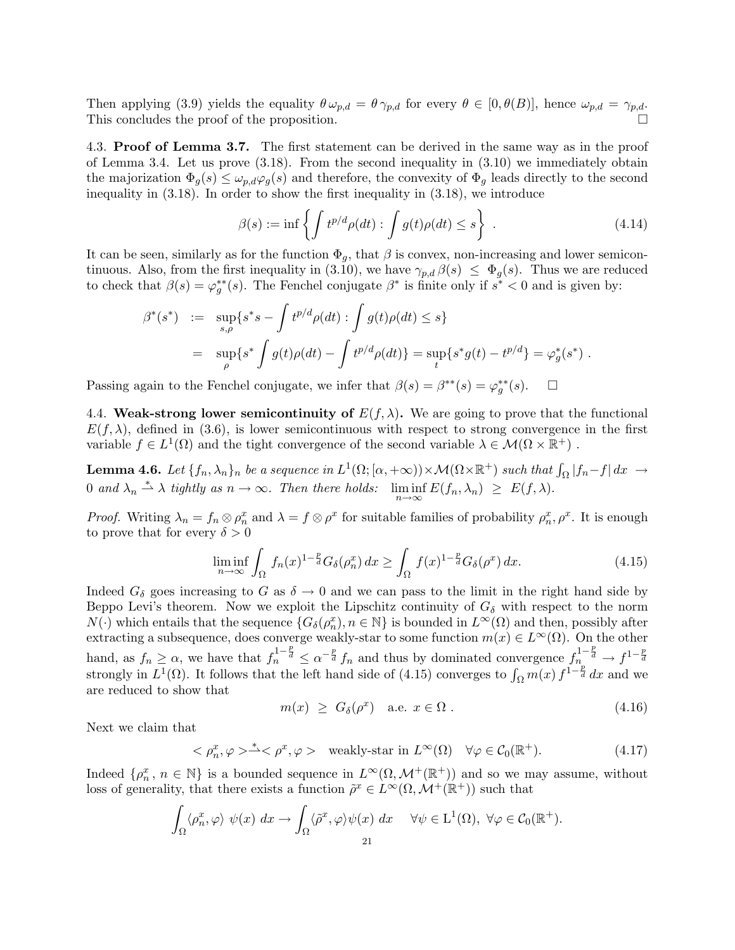Then applying (3.9) yields the equality  $\theta \omega_{p,d} = \theta \gamma_{p,d}$  for every  $\theta \in [0, \theta(B)]$ , hence  $\omega_{p,d} = \gamma_{p,d}$ . This concludes the proof of the proposition.

4.3. Proof of Lemma 3.7. The first statement can be derived in the same way as in the proof of Lemma 3.4. Let us prove  $(3.18)$ . From the second inequality in  $(3.10)$  we immediately obtain the majorization  $\Phi_g(s) \leq \omega_{p,d} \varphi_g(s)$  and therefore, the convexity of  $\Phi_g$  leads directly to the second inequality in (3.18). In order to show the first inequality in (3.18), we introduce

$$
\beta(s) := \inf \left\{ \int t^{p/d} \rho(dt) : \int g(t) \rho(dt) \le s \right\} . \tag{4.14}
$$

It can be seen, similarly as for the function  $\Phi_g$ , that  $\beta$  is convex, non-increasing and lower semicontinuous. Also, from the first inequality in (3.10), we have  $\gamma_{p,d} \beta(s) \leq \Phi_g(s)$ . Thus we are reduced to check that  $\beta(s) = \varphi_g^{**}(s)$ . The Fenchel conjugate  $\beta^*$  is finite only if  $s^* < 0$  and is given by:

$$
\beta^*(s^*) := \sup_{s,\rho} \{ s^*s - \int t^{p/d} \rho(dt) : \int g(t)\rho(dt) \le s \}
$$
  
= 
$$
\sup_{\rho} \{ s^* \int g(t)\rho(dt) - \int t^{p/d} \rho(dt) \} = \sup_t \{ s^*g(t) - t^{p/d} \} = \varphi_g^*(s^*) .
$$

Passing again to the Fenchel conjugate, we infer that  $\beta(s) = \beta^{**}(s) = \varphi_g^{**}(s)$ .  $\Box$ 

4.4. Weak-strong lower semicontinuity of  $E(f, \lambda)$ . We are going to prove that the functional  $E(f, \lambda)$ , defined in (3.6), is lower semicontinuous with respect to strong convergence in the first variable  $f \in L^1(\Omega)$  and the tight convergence of the second variable  $\lambda \in \mathcal{M}(\Omega \times \mathbb{R}^+)$ .

Lemma 4.6. Let  $\{f_n, \lambda_n\}_n$  be a sequence in  $L^1(\Omega; [\alpha, +\infty)) \times \mathcal{M}(\Omega \times \mathbb{R}^+)$  such that  $\int_{\Omega} |f_n - f| dx \rightarrow$ 0 and  $\lambda_n \stackrel{*}{\rightharpoonup} \lambda$  *tightly as*  $n \to \infty$ . Then there holds:  $\liminf_{n \to \infty} E(f_n, \lambda_n) \geq E(f, \lambda)$ .

*Proof.* Writing  $\lambda_n = f_n \otimes \rho_n^x$  and  $\lambda = f \otimes \rho^x$  for suitable families of probability  $\rho_n^x, \rho^x$ . It is enough to prove that for every  $\delta > 0$ 

$$
\liminf_{n \to \infty} \int_{\Omega} f_n(x)^{1 - \frac{p}{d}} G_{\delta}(\rho_n^x) dx \ge \int_{\Omega} f(x)^{1 - \frac{p}{d}} G_{\delta}(\rho^x) dx.
$$
 (4.15)

Indeed  $G_{\delta}$  goes increasing to G as  $\delta \to 0$  and we can pass to the limit in the right hand side by Beppo Levi's theorem. Now we exploit the Lipschitz continuity of  $G_{\delta}$  with respect to the norm  $N(\cdot)$  which entails that the sequence  $\{G_{\delta}(\rho_n^x), n \in \mathbb{N}\}\)$  is bounded in  $L^{\infty}(\Omega)$  and then, possibly after extracting a subsequence, does converge weakly-star to some function  $m(x) \in L^{\infty}(\Omega)$ . On the other hand, as  $f_n \geq \alpha$ , we have that  $f_n^{1-\frac{p}{d}} \leq \alpha^{-\frac{p}{d}} f_n$  and thus by dominated convergence  $f_{n_p}^{1-\frac{p}{d}} \to f^{1-\frac{p}{d}}$ strongly in  $L^1(\Omega)$ . It follows that the left hand side of (4.15) converges to  $\int_{\Omega} m(x) f^{1-\frac{p}{d}} dx$  and we are reduced to show that

$$
m(x) \ge G_{\delta}(\rho^x) \quad \text{a.e. } x \in \Omega \; . \tag{4.16}
$$

Next we claim that

$$
\langle \rho_n^x, \varphi \rangle^* \langle \rho^x, \varphi \rangle \quad \text{weakly-star in } L^\infty(\Omega) \quad \forall \varphi \in C_0(\mathbb{R}^+). \tag{4.17}
$$

Indeed  $\{\rho_n^x, n \in \mathbb{N}\}\$ is a bounded sequence in  $L^{\infty}(\Omega, \mathcal{M}^+(\mathbb{R}^+))$  and so we may assume, without loss of generality, that there exists a function  $\tilde{\rho}^x \in L^{\infty}(\Omega, \mathcal{M}^+(\mathbb{R}^+))$  such that

$$
\int_{\Omega} \langle \rho_n^x, \varphi \rangle \psi(x) dx \to \int_{\Omega} \langle \tilde{\rho}^x, \varphi \rangle \psi(x) dx \quad \forall \psi \in L^1(\Omega), \ \forall \varphi \in C_0(\mathbb{R}^+).
$$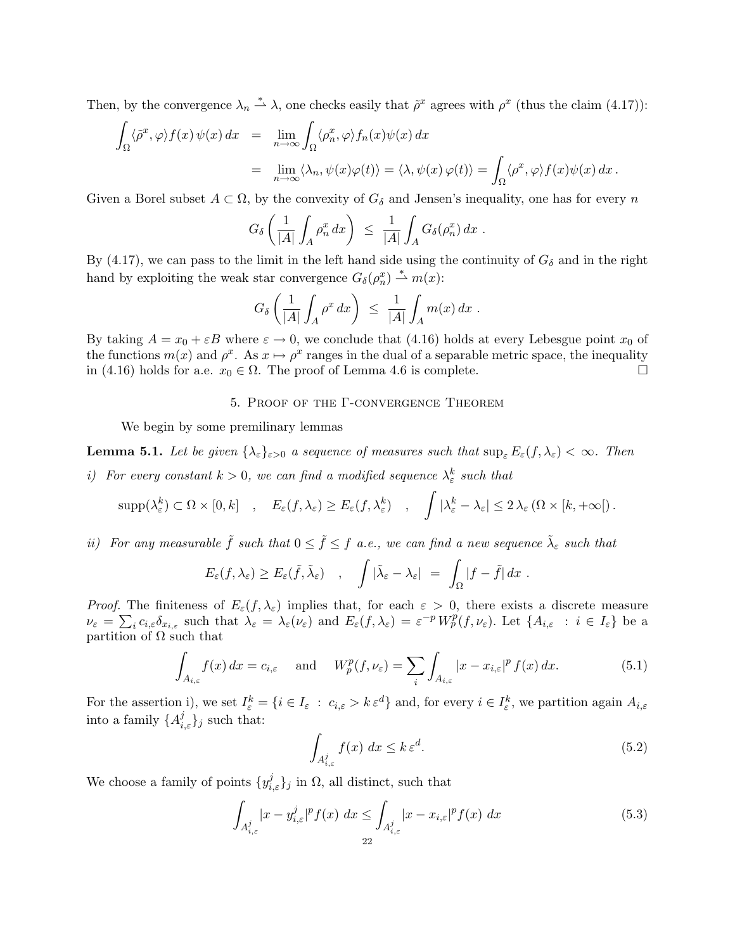Then, by the convergence  $\lambda_n \stackrel{*}{\rightharpoonup} \lambda$ , one checks easily that  $\tilde{\rho}^x$  agrees with  $\rho^x$  (thus the claim (4.17)):

$$
\int_{\Omega} \langle \tilde{\rho}^x, \varphi \rangle f(x) \psi(x) dx = \lim_{n \to \infty} \int_{\Omega} \langle \rho_n^x, \varphi \rangle f_n(x) \psi(x) dx
$$
  

$$
= \lim_{n \to \infty} \langle \lambda_n, \psi(x) \varphi(t) \rangle = \langle \lambda, \psi(x) \varphi(t) \rangle = \int_{\Omega} \langle \rho^x, \varphi \rangle f(x) \psi(x) dx.
$$

Given a Borel subset  $A \subset \Omega$ , by the convexity of  $G_{\delta}$  and Jensen's inequality, one has for every n

$$
G_\delta\left(\frac{1}{|A|}\int_A\rho_n^x\,dx\right)\ \le\ \frac{1}{|A|}\int_A G_\delta(\rho_n^x)\,dx\ .
$$

By (4.17), we can pass to the limit in the left hand side using the continuity of  $G_{\delta}$  and in the right hand by exploiting the weak star convergence  $G_{\delta}(\rho_n^x) \stackrel{*}{\rightharpoonup} m(x)$ :

$$
G_{\delta}\left(\frac{1}{|A|}\int_A\rho^x\,dx\right) \ \leq \ \frac{1}{|A|}\int_A m(x)\,dx \ .
$$

By taking  $A = x_0 + \varepsilon B$  where  $\varepsilon \to 0$ , we conclude that (4.16) holds at every Lebesgue point  $x_0$  of the functions  $m(x)$  and  $\rho^x$ . As  $x \mapsto \rho^x$  ranges in the dual of a separable metric space, the inequality in (4.16) holds for a.e.  $x_0 \in \Omega$ . The proof of Lemma 4.6 is complete in (4.16) holds for a.e.  $x_0 \in \Omega$ . The proof of Lemma 4.6 is complete.

#### 5. Proof of the Γ-convergence Theorem

We begin by some premilinary lemmas

**Lemma 5.1.** Let be given  $\{\lambda_{\varepsilon}\}_{{\varepsilon}>0}$  a sequence of measures such that  $\sup_{\varepsilon} E_{\varepsilon}(f, \lambda_{\varepsilon}) < \infty$ . Then

*i)* For every constant  $k > 0$ , we can find a modified sequence  $\lambda_{\varepsilon}^{k}$  such that

$$
\mathrm{supp}(\lambda_{\varepsilon}^k) \subset \Omega \times [0,k] \quad , \quad E_{\varepsilon}(f,\lambda_{\varepsilon}) \ge E_{\varepsilon}(f,\lambda_{\varepsilon}^k) \quad , \quad \int |\lambda_{\varepsilon}^k - \lambda_{\varepsilon}| \le 2 \lambda_{\varepsilon} (\Omega \times [k,+\infty[).
$$

*ii)* For any measurable  $\tilde{f}$  such that  $0 \leq \tilde{f} \leq f$  a.e., we can find a new sequence  $\tilde{\lambda}_{\varepsilon}$  such that

$$
E_{\varepsilon}(f,\lambda_{\varepsilon}) \ge E_{\varepsilon}(\tilde{f},\tilde{\lambda}_{\varepsilon}) \quad , \quad \int |\tilde{\lambda}_{\varepsilon}-\lambda_{\varepsilon}| \ = \ \int_{\Omega} |f-\tilde{f}| \, dx \ .
$$

*Proof.* The finiteness of  $E_{\varepsilon}(f, \lambda_{\varepsilon})$  implies that, for each  $\varepsilon > 0$ , there exists a discrete measure  $\nu_{\varepsilon} = \sum_i c_{i,\varepsilon} \delta_{x_{i,\varepsilon}}$  such that  $\lambda_{\varepsilon} = \lambda_{\varepsilon}(\nu_{\varepsilon})$  and  $E_{\varepsilon}(f, \lambda_{\varepsilon}) = \varepsilon^{-p} W_p^p(f, \nu_{\varepsilon})$ . Let  $\{A_{i,\varepsilon} : i \in I_{\varepsilon}\}\)$  be a partition of  $\Omega$  such that

$$
\int_{A_{i,\varepsilon}} f(x) dx = c_{i,\varepsilon} \quad \text{and} \quad W_p^p(f, \nu_{\varepsilon}) = \sum_i \int_{A_{i,\varepsilon}} |x - x_{i,\varepsilon}|^p f(x) dx. \tag{5.1}
$$

For the assertion i), we set  $I_{\varepsilon}^k = \{i \in I_{\varepsilon} : c_{i,\varepsilon} > k \varepsilon^d\}$  and, for every  $i \in I_{\varepsilon}^k$ , we partition again  $A_{i,\varepsilon}$ into a family  $\{A_{i,\varepsilon}^j\}_j$  such that:

$$
\int_{A_{i,\varepsilon}^j} f(x) \, dx \le k \, \varepsilon^d. \tag{5.2}
$$

We choose a family of points  $\{y_{i,\varepsilon}^j\}_j$  in  $\Omega$ , all distinct, such that

$$
\int_{A_{i,\varepsilon}^j} |x - y_{i,\varepsilon}^j|^p f(x) \, dx \le \int_{A_{i,\varepsilon}^j} |x - x_{i,\varepsilon}|^p f(x) \, dx \tag{5.3}
$$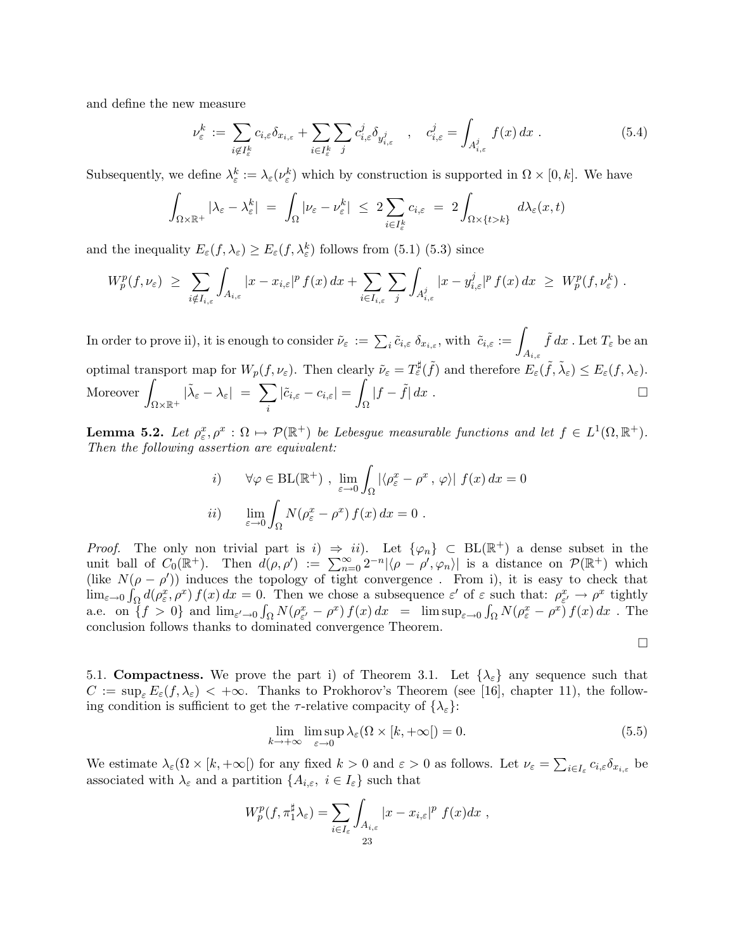and define the new measure

$$
\nu_{\varepsilon}^{k} := \sum_{i \notin I_{\varepsilon}^{k}} c_{i,\varepsilon} \delta_{x_{i,\varepsilon}} + \sum_{i \in I_{\varepsilon}^{k}} \sum_{j} c_{i,\varepsilon}^{j} \delta_{y_{i,\varepsilon}^{j}} , \quad c_{i,\varepsilon}^{j} = \int_{A_{i,\varepsilon}^{j}} f(x) dx . \tag{5.4}
$$

Subsequently, we define  $\lambda_{\varepsilon}^{k} := \lambda_{\varepsilon}(\nu_{\varepsilon}^{k})$  which by construction is supported in  $\Omega \times [0, k]$ . We have

$$
\int_{\Omega\times\mathbb{R}^+} |\lambda_{\varepsilon} - \lambda_{\varepsilon}^k| = \int_{\Omega} |\nu_{\varepsilon} - \nu_{\varepsilon}^k| \leq 2 \sum_{i \in I_{\varepsilon}^k} c_{i,\varepsilon} = 2 \int_{\Omega\times\{t > k\}} d\lambda_{\varepsilon}(x,t)
$$

and the inequality  $E_{\varepsilon}(f, \lambda_{\varepsilon}) \ge E_{\varepsilon}(f, \lambda_{\varepsilon}^{k})$  follows from (5.1) (5.3) since

$$
W_p^p(f,\nu_{\varepsilon}) \ \geq \ \sum_{i \notin I_{i,\varepsilon}} \int_{A_{i,\varepsilon}} |x - x_{i,\varepsilon}|^p f(x) \, dx + \sum_{i \in I_{i,\varepsilon}} \sum_j \int_{A_{i,\varepsilon}^j} |x - y_{i,\varepsilon}^j|^p f(x) \, dx \ \geq \ W_p^p(f,\nu_{\varepsilon}^k) \ .
$$

 $\text{In order to prove ii), it is enough to consider } \tilde{\nu}_{\varepsilon} \,:=\, \sum_i \tilde{c}_{i,\varepsilon}\ \delta_{x_{i,\varepsilon}}, \,\text{with }\; \tilde{c}_{i,\varepsilon} := \int_{A_{i,\varepsilon}}$  $\tilde{f} dx$  . Let  $T_\varepsilon$  be an optimal transport map for  $W_p(f, \nu_\varepsilon)$ . Then clearly  $\tilde{\nu}_\varepsilon = T_\varepsilon^\sharp(\tilde{f})$  and therefore  $E_\varepsilon(\tilde{f}, \tilde{\lambda}_\varepsilon) \leq E_\varepsilon(f, \lambda_\varepsilon)$ . -<br>Moreover *|*  $\Omega\times\mathbb{R}^+$  $|\tilde{\lambda}_{\varepsilon} - \lambda_{\varepsilon}| = \sum$ i  $|\tilde{c}_{i,\varepsilon} - c_{i,\varepsilon}| =$ "  $\int_{\Omega} |f - \tilde{f}| dx$ .  $\Box$ 

**Lemma 5.2.** Let  $\rho_{\varepsilon}^x, \rho^x : \Omega \mapsto \mathcal{P}(\mathbb{R}^+)$  be Lebesgue measurable functions and let  $f \in L^1(\Omega, \mathbb{R}^+)$ . *Then the following assertion are equivalent:*

*i*) 
$$
\forall \varphi \in BL(\mathbb{R}^+)
$$
,  $\lim_{\varepsilon \to 0} \int_{\Omega} |\langle \rho_{\varepsilon}^x - \rho^x, \varphi \rangle| f(x) dx = 0$   
*ii*)  $\lim_{\varepsilon \to 0} \int_{\Omega} N(\rho_{\varepsilon}^x - \rho^x) f(x) dx = 0$ .

*Proof.* The only non trivial part is i)  $\Rightarrow$  ii). Let  $\{\varphi_n\} \subset BL(\mathbb{R}^+)$  a dense subset in the unit ball of  $C_0(\mathbb{R}^+)$ . Then  $d(\rho, \rho') := \sum_{n=0}^{\infty} 2^{-n} |\langle \rho - \rho', \varphi_n \rangle|$  is a distance on  $\mathcal{P}(\mathbb{R}^+)$  which (like  $N(\rho - \rho')$ ) induces the topology of tight convergence. From i), it is easy to check that  $\lim_{\varepsilon \to 0} \int_{\Omega} d(\rho_{\varepsilon}^x, \rho^x) f(x) dx = 0.$  Then we chose a subsequence  $\varepsilon'$  of  $\varepsilon$  such that:  $\rho_{\varepsilon'}^x \to \rho^x$  tightly a.e. on  $\{f > 0\}$  and  $\lim_{\varepsilon \to 0} \int_{\Omega} N(\rho_{\varepsilon}^x - \rho^x) f(x) dx = \limsup_{\varepsilon \to 0} \int_{\Omega} N(\rho_{\varepsilon}^x - \rho^x) f(x) dx$ . The conclusion follows thanks to dominated convergence Theorem.

$$
\Box
$$

5.1. **Compactness.** We prove the part i) of Theorem 3.1. Let  $\{\lambda_{\varepsilon}\}\)$  any sequence such that  $C := \sup_{\varepsilon} E_{\varepsilon}(f, \lambda_{\varepsilon}) < +\infty$ . Thanks to Prokhorov's Theorem (see [16], chapter 11), the following condition is sufficient to get the  $\tau$ -relative compacity of  $\{\lambda_{\varepsilon}\}\$ :

$$
\lim_{k \to +\infty} \limsup_{\varepsilon \to 0} \lambda_{\varepsilon} (\Omega \times [k, +\infty]) = 0.
$$
\n(5.5)

We estimate  $\lambda_{\varepsilon}(\Omega \times [k, +\infty])$  for any fixed  $k > 0$  and  $\varepsilon > 0$  as follows. Let  $\nu_{\varepsilon} = \sum_{i \in I_{\varepsilon}} c_{i,\varepsilon} \delta_{x_{i,\varepsilon}}$  be associated with  $\lambda_{\varepsilon}$  and a partition  $\{A_{i,\varepsilon}, i \in I_{\varepsilon}\}\)$  such that

$$
W_p^p(f, \pi_1^{\sharp} \lambda_{\varepsilon}) = \sum_{i \in I_{\varepsilon}} \int_{A_{i,\varepsilon}} |x - x_{i,\varepsilon}|^p f(x) dx ,
$$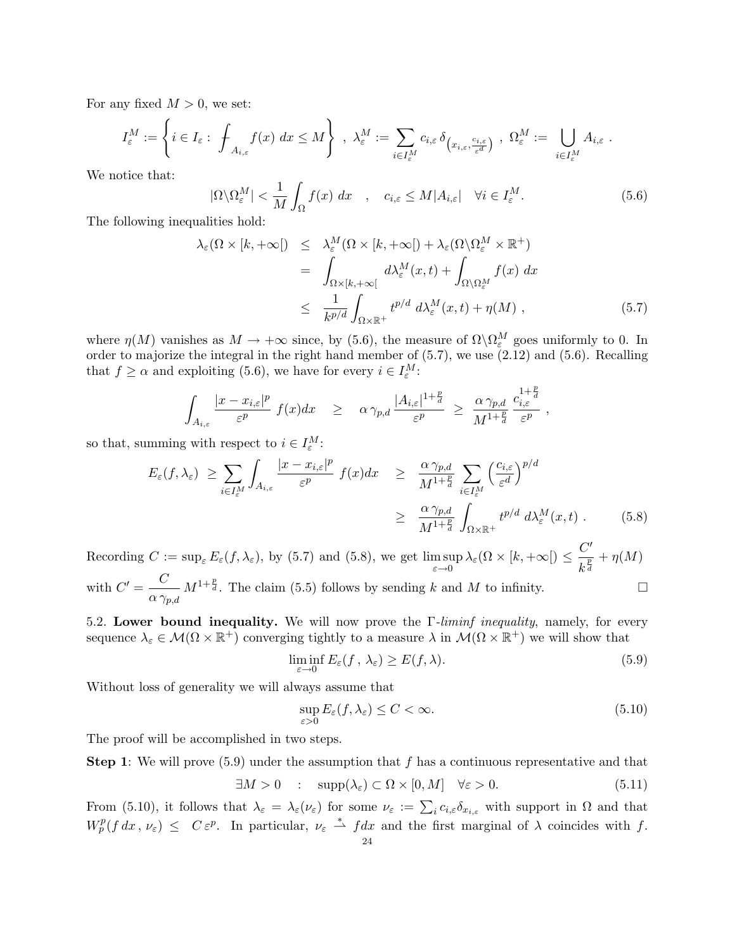For any fixed  $M > 0$ , we set:

$$
I_\varepsilon^M:=\left\{i\in I_\varepsilon:\ \int_{A_{i,\varepsilon}}f(x)\ dx\leq M\right\}\ ,\ \lambda_\varepsilon^M:=\sum_{i\in I_\varepsilon^M}c_{i,\varepsilon}\,\delta_{\big(x_{i,\varepsilon},\frac{c_{i,\varepsilon}}{\varepsilon^d}\big)}\ ,\ \Omega_\varepsilon^M:=\bigcup_{i\in I_\varepsilon^M}A_{i,\varepsilon}\ .
$$

We notice that:

$$
|\Omega \backslash \Omega_{\varepsilon}^{M}| < \frac{1}{M} \int_{\Omega} f(x) \, dx \quad , \quad c_{i,\varepsilon} \le M |A_{i,\varepsilon}| \quad \forall i \in I_{\varepsilon}^{M}.
$$
\n(5.6)

The following inequalities hold:

$$
\lambda_{\varepsilon}(\Omega \times [k, +\infty[) \leq \lambda_{\varepsilon}^{M}(\Omega \times [k, +\infty[) + \lambda_{\varepsilon}(\Omega \setminus \Omega_{\varepsilon}^{M} \times \mathbb{R}^{+})
$$
\n
$$
= \int_{\Omega \times [k, +\infty[} d\lambda_{\varepsilon}^{M}(x, t) + \int_{\Omega \setminus \Omega_{\varepsilon}^{M}} f(x) dx
$$
\n
$$
\leq \frac{1}{k^{p/d}} \int_{\Omega \times \mathbb{R}^{+}} t^{p/d} d\lambda_{\varepsilon}^{M}(x, t) + \eta(M) , \qquad (5.7)
$$

where  $\eta(M)$  vanishes as  $M \to +\infty$  since, by (5.6), the measure of  $\Omega \setminus \Omega_{\varepsilon}^M$  goes uniformly to 0. In order to majorize the integral in the right hand member of (5.7), we use (2.12) and (5.6). Recalling that  $f \ge \alpha$  and exploiting (5.6), we have for every  $i \in I_{\varepsilon}^M$ :

$$
\int_{A_{i,\varepsilon}}\frac{|x-x_{i,\varepsilon}|^p}{\varepsilon^p} f(x)dx \geq \alpha \gamma_{p,d} \frac{|A_{i,\varepsilon}|^{1+\frac{p}{d}}}{\varepsilon^p} \geq \frac{\alpha \gamma_{p,d}}{M^{1+\frac{p}{d}}}\frac{c_{i,\varepsilon}^{1+\frac{p}{d}}}{\varepsilon^p},
$$

so that, summing with respect to  $i \in I_{\varepsilon}^M$ :

$$
E_{\varepsilon}(f,\lambda_{\varepsilon}) \geq \sum_{i \in I_{\varepsilon}^{M}} \int_{A_{i,\varepsilon}} \frac{|x - x_{i,\varepsilon}|^{p}}{\varepsilon^{p}} f(x) dx \geq \frac{\alpha \gamma_{p,d}}{M^{1 + \frac{p}{d}}} \sum_{i \in I_{\varepsilon}^{M}} \left(\frac{c_{i,\varepsilon}}{\varepsilon^{d}}\right)^{p/d}
$$

$$
\geq \frac{\alpha \gamma_{p,d}}{M^{1 + \frac{p}{d}}} \int_{\Omega \times \mathbb{R}^{+}} t^{p/d} d\lambda_{\varepsilon}^{M}(x,t) . \tag{5.8}
$$

Recording  $C := \sup_{\varepsilon} E_{\varepsilon}(f, \lambda_{\varepsilon}),$  by (5.7) and (5.8), we get  $\limsup_{\varepsilon \to 0} \lambda_{\varepsilon}(\Omega \times [k, +\infty]) \leq \frac{C'}{k^{\frac{p}{d}}}$  $\frac{\infty}{k^{\frac{p}{d}}}+\eta(M)$ with  $C' = \frac{C}{C}$  $\alpha \, \gamma_{p,d}$  $M^{1+\frac{p}{d}}$ . The claim (5.5) follows by sending k and M to infinity.

5.2. Lower bound inequality. We will now prove the Γ*-liminf inequality*, namely, for every sequence  $\lambda_{\varepsilon} \in \mathcal{M}(\Omega \times \mathbb{R}^+)$  converging tightly to a measure  $\lambda$  in  $\mathcal{M}(\Omega \times \mathbb{R}^+)$  we will show that

$$
\liminf_{\varepsilon \to 0} E_{\varepsilon}(f, \lambda_{\varepsilon}) \ge E(f, \lambda). \tag{5.9}
$$

 $\cdot$  p

Without loss of generality we will always assume that

$$
\sup_{\varepsilon>0} E_{\varepsilon}(f,\lambda_{\varepsilon}) \le C < \infty.
$$
\n(5.10)

The proof will be accomplished in two steps.

**Step 1:** We will prove  $(5.9)$  under the assumption that f has a continuous representative and that

$$
\exists M > 0 \quad : \quad \text{supp}(\lambda_{\varepsilon}) \subset \Omega \times [0, M] \quad \forall \varepsilon > 0. \tag{5.11}
$$

From (5.10), it follows that  $\lambda_{\varepsilon} = \lambda_{\varepsilon}(\nu_{\varepsilon})$  for some  $\nu_{\varepsilon} := \sum_i c_{i,\varepsilon} \delta_{x_{i,\varepsilon}}$  with support in  $\Omega$  and that  $W_p^p(f dx, \nu_\varepsilon) \leq C \varepsilon^p$ . In particular,  $\nu_\varepsilon \stackrel{*}{\rightharpoonup} fdx$  and the first marginal of  $\lambda$  coincides with f.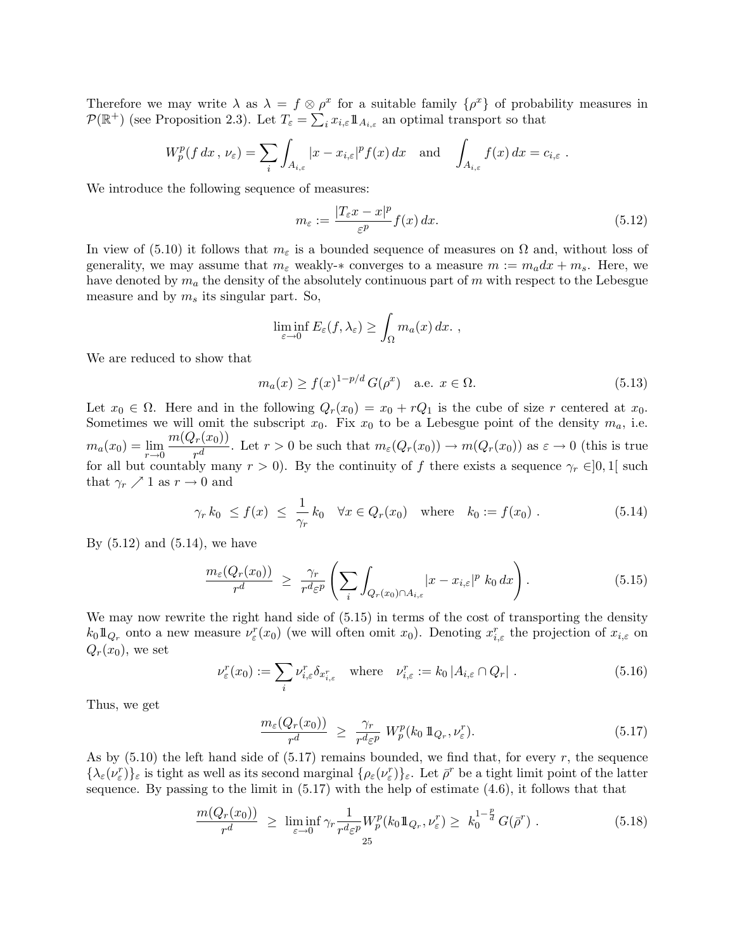Therefore we may write  $\lambda$  as  $\lambda = f \otimes \rho^x$  for a suitable family  $\{\rho^x\}$  of probability measures in  $\mathcal{P}(\mathbb{R}^+)$  (see Proposition 2.3). Let  $T_{\varepsilon} = \sum_i x_{i,\varepsilon} \mathbb{1}_{A_{i,\varepsilon}}$  an optimal transport so that

$$
W_p^p(f dx, \nu_{\varepsilon}) = \sum_i \int_{A_{i,\varepsilon}} |x - x_{i,\varepsilon}|^p f(x) dx \text{ and } \int_{A_{i,\varepsilon}} f(x) dx = c_{i,\varepsilon}.
$$

We introduce the following sequence of measures:

$$
m_{\varepsilon} := \frac{|T_{\varepsilon}x - x|^p}{\varepsilon^p} f(x) dx.
$$
\n(5.12)

In view of (5.10) it follows that  $m_{\varepsilon}$  is a bounded sequence of measures on  $\Omega$  and, without loss of generality, we may assume that  $m<sub>\varepsilon</sub>$  weakly- $*$  converges to a measure  $m := m<sub>a</sub> dx + m<sub>s</sub>$ . Here, we have denoted by  $m_a$  the density of the absolutely continuous part of m with respect to the Lebesgue measure and by  $m_s$  its singular part. So,

$$
\liminf_{\varepsilon \to 0} E_{\varepsilon}(f, \lambda_{\varepsilon}) \ge \int_{\Omega} m_a(x) dx.
$$

We are reduced to show that

$$
m_a(x) \ge f(x)^{1-p/d} G(\rho^x) \quad \text{a.e. } x \in \Omega.
$$
 (5.13)

Let  $x_0 \in \Omega$ . Here and in the following  $Q_r(x_0) = x_0 + rQ_1$  is the cube of size r centered at  $x_0$ . Sometimes we will omit the subscript  $x_0$ . Fix  $x_0$  to be a Lebesgue point of the density  $m_a$ , i.e.  $m_a(x_0) = \lim_{r \to 0} \frac{m(Q_r(x_0))}{r^d}$ . Let  $r > 0$  be such that  $m_\varepsilon(Q_r(x_0)) \to m(Q_r(x_0))$  as  $\varepsilon \to 0$  (this is true for all but countably many  $r > 0$ ). By the continuity of f there exists a sequence  $\gamma_r \in ]0,1[$  such that  $\gamma_r \nearrow 1$  as  $r \to 0$  and

$$
\gamma_r k_0 \le f(x) \le \frac{1}{\gamma_r} k_0 \quad \forall x \in Q_r(x_0) \quad \text{where} \quad k_0 := f(x_0) \ . \tag{5.14}
$$

By  $(5.12)$  and  $(5.14)$ , we have

$$
\frac{m_{\varepsilon}(Q_r(x_0))}{r^d} \geq \frac{\gamma_r}{r^d \varepsilon^p} \left( \sum_i \int_{Q_r(x_0) \cap A_{i,\varepsilon}} |x - x_{i,\varepsilon}|^p \ k_0 \ dx \right). \tag{5.15}
$$

We may now rewrite the right hand side of  $(5.15)$  in terms of the cost of transporting the density  $k_0 \mathbb{1}_{Q_r}$  onto a new measure  $\nu_\varepsilon^r(x_0)$  (we will often omit  $x_0$ ). Denoting  $x_{i,\varepsilon}^r$  the projection of  $x_{i,\varepsilon}$  on  $Q_r(x_0)$ , we set

$$
\nu_{\varepsilon}^r(x_0) := \sum_i \nu_{i,\varepsilon}^r \delta_{x_{i,\varepsilon}^r} \quad \text{where} \quad \nu_{i,\varepsilon}^r := k_0 \left| A_{i,\varepsilon} \cap Q_r \right| \,. \tag{5.16}
$$

Thus, we get

$$
\frac{m_{\varepsilon}(Q_r(x_0))}{r^d} \ge \frac{\gamma_r}{r^d \varepsilon^p} W_p^p(k_0 1\!\!1_{Q_r}, \nu_{\varepsilon}^r). \tag{5.17}
$$

As by  $(5.10)$  the left hand side of  $(5.17)$  remains bounded, we find that, for every r, the sequence  $\{\lambda_{\varepsilon}(\nu_{\varepsilon}^r)\}_{\varepsilon}$  is tight as well as its second marginal  $\{\rho_{\varepsilon}(\nu_{\varepsilon}^r)\}_{\varepsilon}$ . Let  $\bar{\rho}^r$  be a tight limit point of the latter sequence. By passing to the limit in  $(5.17)$  with the help of estimate  $(4.6)$ , it follows that that

$$
\frac{m(Q_r(x_0))}{r^d} \ge \liminf_{\varepsilon \to 0} \gamma_r \frac{1}{r^d \varepsilon^p} W_p^p(k_0 1\!\!1_{Q_r}, \nu_{\varepsilon}^r) \ge k_0^{1-\frac{p}{d}} G(\bar{\rho}^r) \ . \tag{5.18}
$$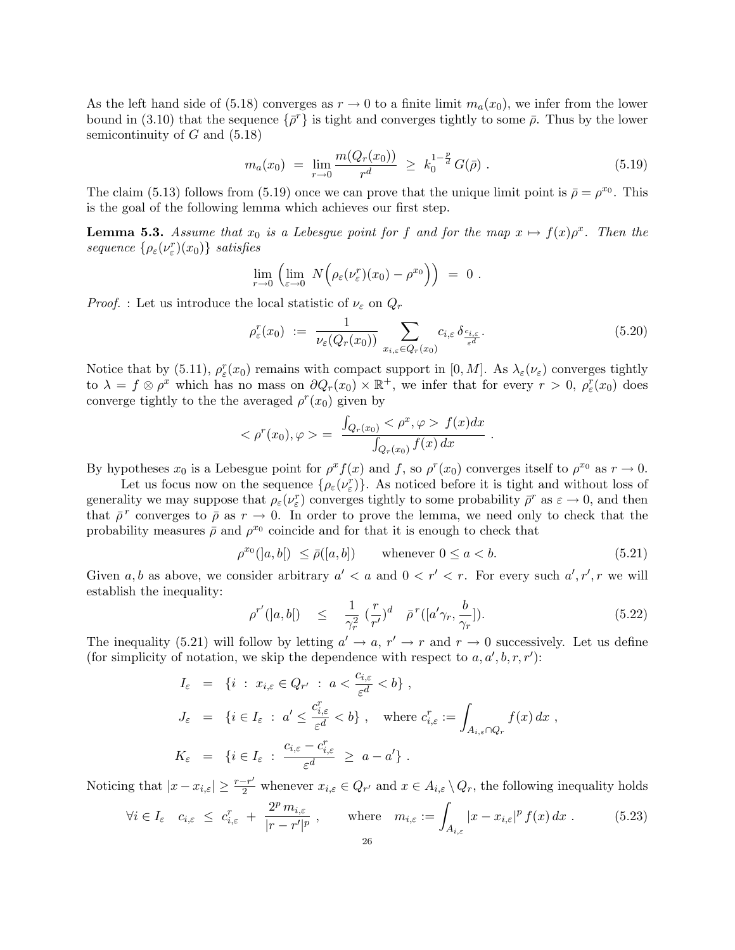As the left hand side of (5.18) converges as  $r \to 0$  to a finite limit  $m_a(x_0)$ , we infer from the lower bound in (3.10) that the sequence  $\{\bar{\rho}^r\}$  is tight and converges tightly to some  $\bar{\rho}$ . Thus by the lower semicontinuity of  $G$  and  $(5.18)$ 

$$
m_a(x_0) = \lim_{r \to 0} \frac{m(Q_r(x_0))}{r^d} \ge k_0^{1-\frac{p}{d}} G(\bar{\rho}). \tag{5.19}
$$

The claim (5.13) follows from (5.19) once we can prove that the unique limit point is  $\bar{\rho} = \rho^{x_0}$ . This is the goal of the following lemma which achieves our first step.

**Lemma 5.3.** Assume that  $x_0$  is a Lebesgue point for f and for the map  $x \mapsto f(x)\rho^x$ . Then the  $sequence \{\rho_{\varepsilon}(\nu_{\varepsilon}^r)(x_0)\}$  *satisfies* 

$$
\lim_{r \to 0} \left( \lim_{\varepsilon \to 0} N \Big( \rho_{\varepsilon} (\nu_{\varepsilon}^r)(x_0) - \rho^{x_0} \Big) \right) = 0.
$$

*Proof.* : Let us introduce the local statistic of  $\nu_{\varepsilon}$  on  $Q_r$ 

$$
\rho_{\varepsilon}^r(x_0) := \frac{1}{\nu_{\varepsilon}(Q_r(x_0))} \sum_{x_{i,\varepsilon} \in Q_r(x_0)} c_{i,\varepsilon} \delta_{\frac{c_{i,\varepsilon}}{\varepsilon^d}}.
$$
\n(5.20)

Notice that by (5.11),  $\rho_{\varepsilon}^r(x_0)$  remains with compact support in [0, M]. As  $\lambda_{\varepsilon}(\nu_{\varepsilon})$  converges tightly to  $\lambda = f \otimes \rho^x$  which has no mass on  $\partial Q_r(x_0) \times \mathbb{R}^+$ , we infer that for every  $r > 0$ ,  $\rho^r_\varepsilon(x_0)$  does converge tightly to the the averaged  $\rho^{r}(x_0)$  given by

$$
<\rho^r(x_0), \varphi> \; = \; \frac{\int_{Q_r(x_0)} <\rho^x, \varphi> f(x) dx}{\int_{Q_r(x_0)} f(x) dx} \; .
$$

By hypotheses  $x_0$  is a Lebesgue point for  $\rho^x f(x)$  and f, so  $\rho^r(x_0)$  converges itself to  $\rho^{x_0}$  as  $r \to 0$ .

Let us focus now on the sequence  $\{\rho_{\varepsilon}(\nu_{\varepsilon}^r)\}\)$ . As noticed before it is tight and without loss of generality we may suppose that  $\rho_{\varepsilon}(\nu_{\varepsilon}^r)$  converges tightly to some probability  $\bar{\rho}^r$  as  $\varepsilon \to 0$ , and then that  $\bar{\rho}^r$  converges to  $\bar{\rho}$  as  $r \to 0$ . In order to prove the lemma, we need only to check that the probability measures  $\bar{\rho}$  and  $\rho^{x_0}$  coincide and for that it is enough to check that

$$
\rho^{x_0}(|a, b|) \le \bar{\rho}([a, b]) \qquad \text{whenever } 0 \le a < b. \tag{5.21}
$$

Given a, b as above, we consider arbitrary  $a' < a$  and  $0 < r' < r$ . For every such  $a', r', r$  we will establish the inequality:

$$
\rho^{r'}(|a,b|) \leq \frac{1}{\gamma_r^2} \left(\frac{r}{r'}\right)^d \quad \bar{\rho}^r([a'\gamma_r, \frac{b}{\gamma_r}]). \tag{5.22}
$$

The inequality (5.21) will follow by letting  $a' \to a$ ,  $r' \to r$  and  $r \to 0$  successively. Let us define (for simplicity of notation, we skip the dependence with respect to  $a, a', b, r, r'$ ):

$$
I_{\varepsilon} = \{i : x_{i,\varepsilon} \in Q_{r'} : a < \frac{c_{i,\varepsilon}}{\varepsilon^d} < b\},
$$
  
\n
$$
J_{\varepsilon} = \{i \in I_{\varepsilon} : a' \le \frac{c_{i,\varepsilon}^r}{\varepsilon^d} < b\}, \text{ where } c_{i,\varepsilon}^r := \int_{A_{i,\varepsilon} \cap Q_r} f(x) dx,
$$
  
\n
$$
K_{\varepsilon} = \{i \in I_{\varepsilon} : \frac{c_{i,\varepsilon} - c_{i,\varepsilon}^r}{\varepsilon^d} \ge a - a'\}.
$$

Noticing that  $|x - x_{i,\varepsilon}| \geq \frac{r-r'}{2}$  whenever  $x_{i,\varepsilon} \in Q_{r'}$  and  $x \in A_{i,\varepsilon} \setminus Q_r$ , the following inequality holds

$$
\forall i \in I_{\varepsilon} \quad c_{i,\varepsilon} \leq c_{i,\varepsilon}^r + \frac{2^p \, m_{i,\varepsilon}}{|r - r'|^p}, \qquad \text{where} \quad m_{i,\varepsilon} := \int_{A_{i,\varepsilon}} |x - x_{i,\varepsilon}|^p \, f(x) \, dx \; . \tag{5.23}
$$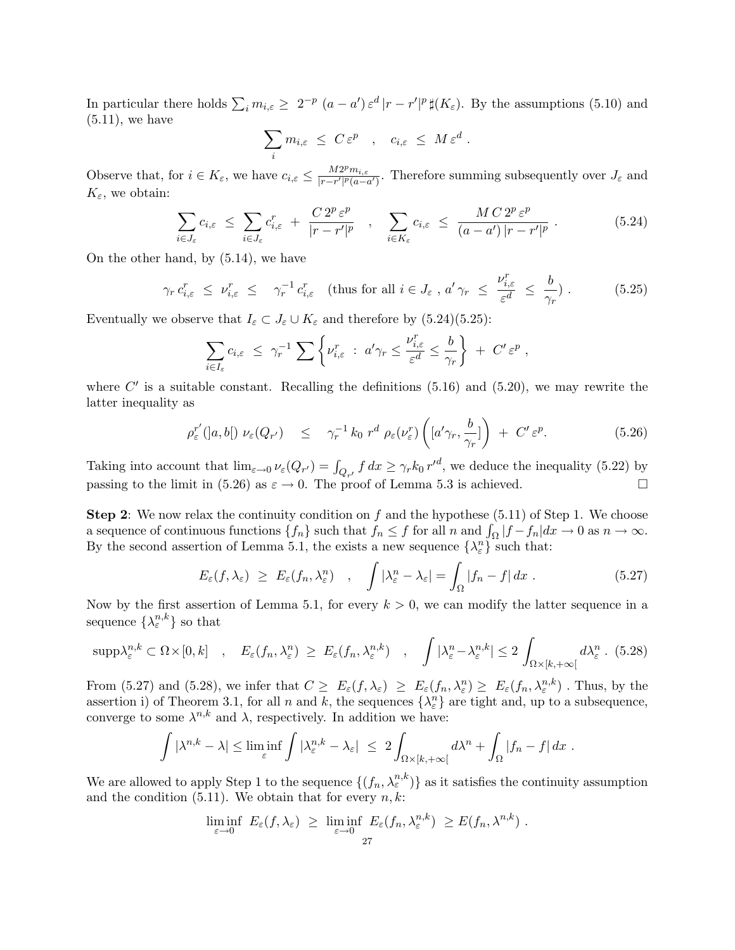In particular there holds  $\sum_i m_{i,\varepsilon} \geq 2^{-p} (a - a') \varepsilon^d |r - r'|^p \sharp(K_{\varepsilon}).$  By the assumptions (5.10) and  $(5.11)$ , we have

$$
\sum_i m_{i,\varepsilon} \ \leq \ C \, \varepsilon^p \quad , \quad c_{i,\varepsilon} \ \leq \ M \, \varepsilon^d \ .
$$

Observe that, for  $i \in K_{\varepsilon}$ , we have  $c_{i,\varepsilon} \leq \frac{M2^p m_{i,\varepsilon}}{|r-r'|^p (a-a')}.$  Therefore summing subsequently over  $J_{\varepsilon}$  and  $K_{\varepsilon}$ , we obtain:

$$
\sum_{i \in J_{\varepsilon}} c_{i,\varepsilon} \leq \sum_{i \in J_{\varepsilon}} c_{i,\varepsilon}^r + \frac{C 2^p \varepsilon^p}{|r - r'|^p} \quad , \quad \sum_{i \in K_{\varepsilon}} c_{i,\varepsilon} \leq \frac{M C 2^p \varepsilon^p}{(a - a') \, |r - r'|^p} \ . \tag{5.24}
$$

On the other hand, by (5.14), we have

$$
\gamma_r c_{i,\varepsilon}^r \le \nu_{i,\varepsilon}^r \le \gamma_r^{-1} c_{i,\varepsilon}^r \quad \text{(thus for all } i \in J_\varepsilon \text{ , a'}\gamma_r \le \frac{\nu_{i,\varepsilon}^r}{\varepsilon^d} \le \frac{b}{\gamma_r} \text{ .} \tag{5.25}
$$

Eventually we observe that  $I_{\varepsilon} \subset J_{\varepsilon} \cup K_{\varepsilon}$  and therefore by (5.24)(5.25):

$$
\sum_{i\in I_{\varepsilon}}c_{i,\varepsilon} \leq \gamma_r^{-1} \sum \left\{ \nu_{i,\varepsilon}^r \ : \ a'\gamma_r \leq \frac{\nu_{i,\varepsilon}^r}{\varepsilon^d} \leq \frac{b}{\gamma_r} \right\} \ + \ C'\,\varepsilon^p \ ,
$$

where  $C'$  is a suitable constant. Recalling the definitions (5.16) and (5.20), we may rewrite the latter inequality as

$$
\rho_{\varepsilon}^{r'}([a,b[)\ \nu_{\varepsilon}(Q_{r'}) \quad \leq \quad \gamma_{r}^{-1}k_0\ r^d\ \rho_{\varepsilon}(\nu_{\varepsilon}^{r})\left([a'\gamma_{r},\frac{b}{\gamma_{r}}]\right) \ +\ C'\ \varepsilon^{p}.\tag{5.26}
$$

Taking into account that  $\lim_{\varepsilon \to 0} \nu_{\varepsilon}(Q_{r'}) = \int_{Q_{r'}} f dx \ge \gamma_r k_0 r'^d$ , we deduce the inequality (5.22) by passing to the limit in (5.26) as  $\varepsilon \to 0$ . The proof of Lemma 5.3 is achieved.

**Step 2:** We now relax the continuity condition on f and the hypothese  $(5.11)$  of Step 1. We choose a sequence of continuous functions  $\{f_n\}$  such that  $f_n \leq f$  for all n and  $\int_{\Omega} |f - f_n| dx \to 0$  as  $n \to \infty$ . By the second assertion of Lemma 5.1, the exists a new sequence  $\{\lambda_{\varepsilon}^n\}$  such that:

$$
E_{\varepsilon}(f,\lambda_{\varepsilon}) \ge E_{\varepsilon}(f_n,\lambda_{\varepsilon}^n) \quad , \quad \int |\lambda_{\varepsilon}^n - \lambda_{\varepsilon}| = \int_{\Omega} |f_n - f| \, dx \quad . \tag{5.27}
$$

Now by the first assertion of Lemma 5.1, for every  $k > 0$ , we can modify the latter sequence in a sequence  $\{\lambda_{\varepsilon}^{n,k}\}$  so that

$$
\mathrm{supp}\lambda_{\varepsilon}^{n,k} \subset \Omega \times [0,k] \quad , \quad E_{\varepsilon}(f_n,\lambda_{\varepsilon}^n) \ge E_{\varepsilon}(f_n,\lambda_{\varepsilon}^{n,k}) \quad , \quad \int |\lambda_{\varepsilon}^n - \lambda_{\varepsilon}^{n,k}| \le 2 \int_{\Omega \times [k,+\infty[} d\lambda_{\varepsilon}^n. (5.28)
$$

From (5.27) and (5.28), we infer that  $C \geq E_{\varepsilon}(f, \lambda_{\varepsilon}) \geq E_{\varepsilon}(f_n, \lambda_{\varepsilon}^n) \geq E_{\varepsilon}(f_n, \lambda_{\varepsilon}^n)$ . Thus, by the assertion i) of Theorem 3.1, for all n and k, the sequences  $\{\lambda_{\varepsilon}^{n}\}\)$  are tight and, up to a subsequence, converge to some  $\lambda^{n,k}$  and  $\lambda$ , respectively. In addition we have:

$$
\int |\lambda^{n,k} - \lambda| \leq \liminf_{\varepsilon} \int |\lambda_{\varepsilon}^{n,k} - \lambda_{\varepsilon}| \leq 2 \int_{\Omega \times [k, +\infty[} d\lambda^{n} + \int_{\Omega} |f_n - f| dx).
$$

We are allowed to apply Step 1 to the sequence  $\{(f_n, \lambda_{\varepsilon}^{n,k})\}$  as it satisfies the continuity assumption and the condition  $(5.11)$ . We obtain that for every  $n, k$ :

$$
\liminf_{\varepsilon \to 0} E_{\varepsilon}(f, \lambda_{\varepsilon}) \geq \liminf_{\varepsilon \to 0} E_{\varepsilon}(f_n, \lambda_{\varepsilon}^{n,k}) \geq E(f_n, \lambda^{n,k}).
$$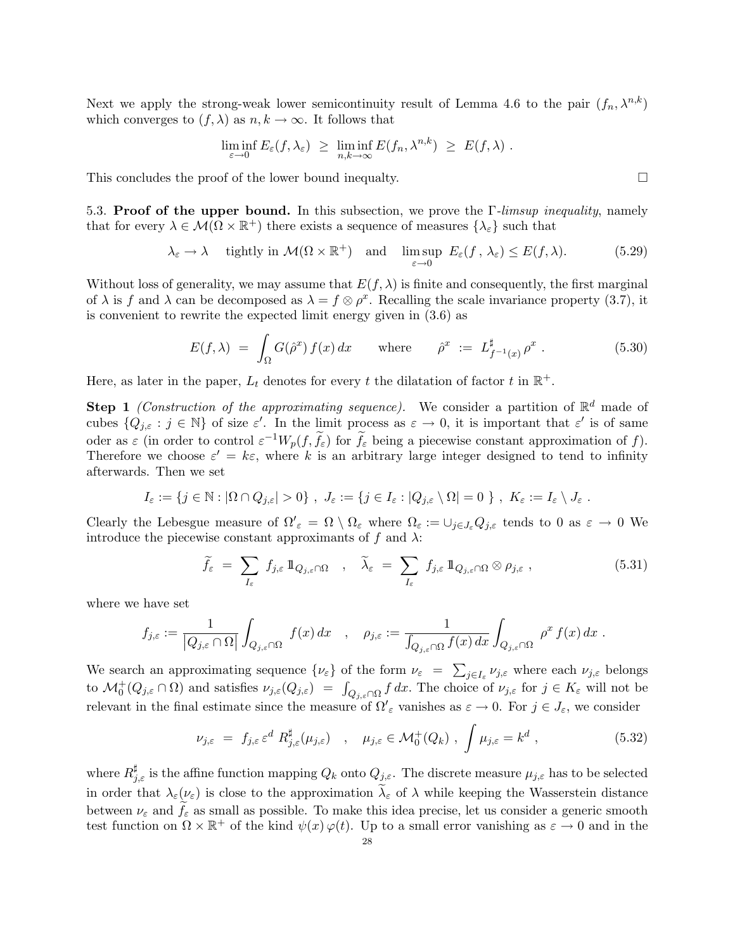Next we apply the strong-weak lower semicontinuity result of Lemma 4.6 to the pair  $(f_n, \lambda^{n,k})$ which converges to  $(f, \lambda)$  as  $n, k \to \infty$ . It follows that

$$
\liminf_{\varepsilon \to 0} E_{\varepsilon}(f, \lambda_{\varepsilon}) \geq \liminf_{n,k \to \infty} E(f_n, \lambda^{n,k}) \geq E(f, \lambda) .
$$

This concludes the proof of the lower bound inequalty.  $\Box$ 

5.3. Proof of the upper bound. In this subsection, we prove the Γ*-limsup inequality*, namely that for every  $\lambda \in \mathcal{M}(\Omega \times \mathbb{R}^+)$  there exists a sequence of measures  $\{\lambda_{\varepsilon}\}\$  such that

$$
\lambda_{\varepsilon} \to \lambda \quad \text{ tightly in } \mathcal{M}(\Omega \times \mathbb{R}^+) \quad \text{and} \quad \limsup_{\varepsilon \to 0} \ E_{\varepsilon}(f, \lambda_{\varepsilon}) \le E(f, \lambda). \tag{5.29}
$$

Without loss of generality, we may assume that  $E(f, \lambda)$  is finite and consequently, the first marginal of  $\lambda$  is f and  $\lambda$  can be decomposed as  $\lambda = f \otimes \rho^x$ . Recalling the scale invariance property (3.7), it is convenient to rewrite the expected limit energy given in (3.6) as

$$
E(f,\lambda) = \int_{\Omega} G(\hat{\rho}^x) f(x) dx \quad \text{where} \quad \hat{\rho}^x := L_{f^{-1}(x)}^{\sharp} \rho^x.
$$
 (5.30)

Here, as later in the paper,  $L_t$  denotes for every t the dilatation of factor t in  $\mathbb{R}^+$ .

**Step 1** *(Construction of the approximating sequence)*. We consider a partition of  $\mathbb{R}^d$  made of cubes  $\{Q_{j,\varepsilon} : j \in \mathbb{N}\}\$  of size  $\varepsilon'$ . In the limit process as  $\varepsilon \to 0$ , it is important that  $\varepsilon'$  is of same oder as  $\varepsilon$  (in order to control  $\varepsilon^{-1}W_p(f,\tilde{f}_{\varepsilon})$  for  $\tilde{f}_{\varepsilon}$  being a piecewise constant approximation of f). Therefore we choose  $\varepsilon' = k\varepsilon$ , where k is an arbitrary large integer designed to tend to infinity afterwards. Then we set

$$
I_{\varepsilon} := \{ j \in \mathbb{N} : |\Omega \cap Q_{j,\varepsilon}| > 0 \}, \ J_{\varepsilon} := \{ j \in I_{\varepsilon} : |Q_{j,\varepsilon} \setminus \Omega| = 0 \}, \ K_{\varepsilon} := I_{\varepsilon} \setminus J_{\varepsilon}.
$$

Clearly the Lebesgue measure of  $\Omega'_{\varepsilon} = \Omega \setminus \Omega_{\varepsilon}$  where  $\Omega_{\varepsilon} := \cup_{j \in J_{\varepsilon}} Q_{j,\varepsilon}$  tends to 0 as  $\varepsilon \to 0$  We introduce the piecewise constant approximants of f and  $\lambda$ :

$$
\widetilde{f}_{\varepsilon} = \sum_{I_{\varepsilon}} f_{j,\varepsilon} \mathbb{1}_{Q_{j,\varepsilon} \cap \Omega} \quad , \quad \widetilde{\lambda}_{\varepsilon} = \sum_{I_{\varepsilon}} f_{j,\varepsilon} \mathbb{1}_{Q_{j,\varepsilon} \cap \Omega} \otimes \rho_{j,\varepsilon} \quad , \tag{5.31}
$$

where we have set

$$
f_{j,\varepsilon}:=\frac{1}{\left|Q_{j,\varepsilon}\cap\Omega\right|}\int_{Q_{j,\varepsilon}\cap\Omega}~f(x)~dx\quad,\quad\rho_{j,\varepsilon}:=\frac{1}{\int_{Q_{j,\varepsilon}\cap\Omega}f(x)~dx}\int_{Q_{j,\varepsilon}\cap\Omega}~\rho^x~f(x)~dx~.
$$

We search an approximating sequence  $\{\nu_{\varepsilon}\}\$  of the form  $\nu_{\varepsilon} = \sum_{j\in I_{\varepsilon}} \nu_{j,\varepsilon}$  where each  $\nu_{j,\varepsilon}$  belongs to  $\mathcal{M}_0^+(Q_{j,\varepsilon} \cap \Omega)$  and satisfies  $\nu_{j,\varepsilon}(Q_{j,\varepsilon}) = \int_{Q_{j,\varepsilon} \cap \Omega} f dx$ . The choice of  $\nu_{j,\varepsilon}$  for  $j \in K_{\varepsilon}$  will not be relevant in the final estimate since the measure of  $\Omega'_{\varepsilon}$  vanishes as  $\varepsilon \to 0$ . For  $j \in J_{\varepsilon}$ , we consider

$$
\nu_{j,\varepsilon} = f_{j,\varepsilon} \varepsilon^d R_{j,\varepsilon}^\sharp(\mu_{j,\varepsilon}) \quad , \quad \mu_{j,\varepsilon} \in \mathcal{M}_0^+(Q_k) \; , \int \mu_{j,\varepsilon} = k^d \; , \tag{5.32}
$$

where  $R^{\sharp}_{j,\varepsilon}$  is the affine function mapping  $Q_k$  onto  $Q_{j,\varepsilon}$ . The discrete measure  $\mu_{j,\varepsilon}$  has to be selected in order that  $\lambda_{\varepsilon}(\nu_{\varepsilon})$  is close to the approximation  $\lambda_{\varepsilon}$  of  $\lambda$  while keeping the Wasserstein distance between  $\nu_{\varepsilon}$  and  $f_{\varepsilon}$  as small as possible. To make this idea precise, let us consider a generic smooth test function on  $\Omega \times \mathbb{R}^+$  of the kind  $\psi(x) \varphi(t)$ . Up to a small error vanishing as  $\varepsilon \to 0$  and in the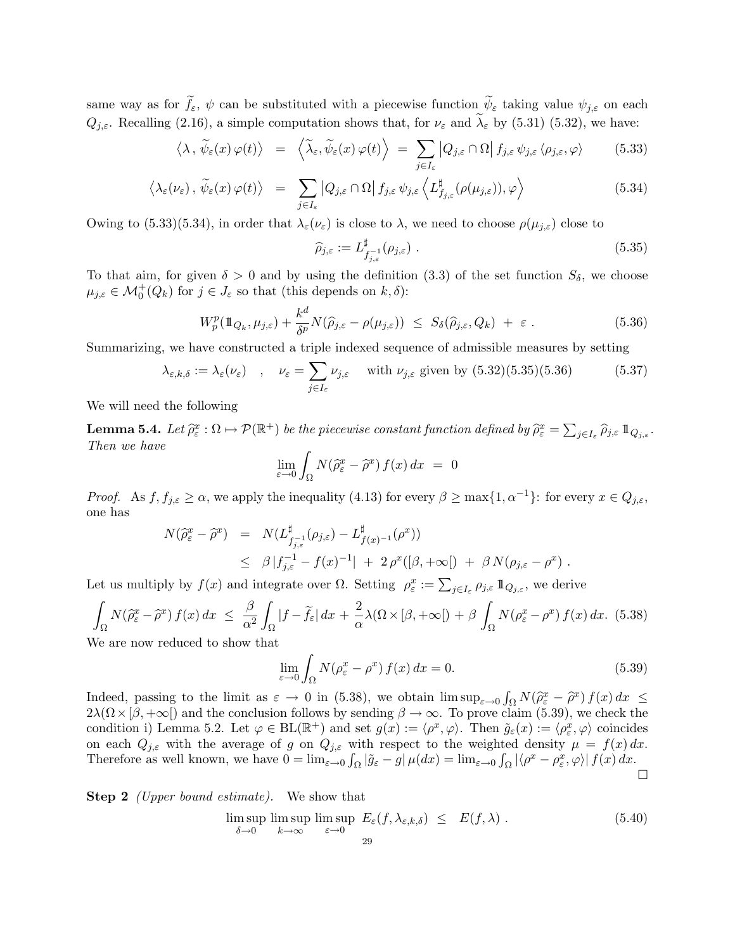same way as for  $f_{\varepsilon}$ ,  $\psi$  can be substituted with a piecewise function  $\psi_{\varepsilon}$  taking value  $\psi_{j,\varepsilon}$  on each  $Q_{j,\varepsilon}$ . Recalling (2.16), a simple computation shows that, for  $\nu_{\varepsilon}$  and  $\widetilde{\lambda}_{\varepsilon}$  by (5.31) (5.32), we have:

$$
\langle \lambda, \tilde{\psi}_{\varepsilon}(x) \varphi(t) \rangle = \langle \tilde{\lambda}_{\varepsilon}, \tilde{\psi}_{\varepsilon}(x) \varphi(t) \rangle = \sum_{j \in I_{\varepsilon}} |Q_{j,\varepsilon} \cap \Omega| f_{j,\varepsilon} \psi_{j,\varepsilon} \langle \rho_{j,\varepsilon}, \varphi \rangle \qquad (5.33)
$$

$$
\langle \lambda_{\varepsilon}(\nu_{\varepsilon}), \, \widetilde{\psi}_{\varepsilon}(x) \, \varphi(t) \rangle \quad = \quad \sum_{j \in I_{\varepsilon}} \left| Q_{j,\varepsilon} \cap \Omega \right| f_{j,\varepsilon} \, \psi_{j,\varepsilon} \left\langle L^{\sharp}_{f_{j,\varepsilon}}(\rho(\mu_{j,\varepsilon})), \varphi \right\rangle \tag{5.34}
$$

Owing to (5.33)(5.34), in order that  $\lambda_{\varepsilon}(\nu_{\varepsilon})$  is close to  $\lambda$ , we need to choose  $\rho(\mu_{i,\varepsilon})$  close to

$$
\widehat{\rho}_{j,\varepsilon} := L_{f_{j,\varepsilon}}^{\sharp}(\rho_{j,\varepsilon}) \tag{5.35}
$$

To that aim, for given  $\delta > 0$  and by using the definition (3.3) of the set function  $S_{\delta}$ , we choose  $\mu_{j,\varepsilon} \in \mathcal{M}_0^+(Q_k)$  for  $j \in J_{\varepsilon}$  so that (this depends on  $k, \delta$ ):

$$
W_p^p(\mathbb{1}_{Q_k}, \mu_{j,\varepsilon}) + \frac{k^d}{\delta^p} N(\hat{\rho}_{j,\varepsilon} - \rho(\mu_{j,\varepsilon})) \leq S_\delta(\hat{\rho}_{j,\varepsilon}, Q_k) + \varepsilon.
$$
 (5.36)

Summarizing, we have constructed a triple indexed sequence of admissible measures by setting

$$
\lambda_{\varepsilon,k,\delta} := \lambda_{\varepsilon}(\nu_{\varepsilon}) \quad , \quad \nu_{\varepsilon} = \sum_{j \in I_{\varepsilon}} \nu_{j,\varepsilon} \quad \text{ with } \nu_{j,\varepsilon} \text{ given by (5.32)(5.35)(5.36)} \tag{5.37}
$$

We will need the following

**Lemma 5.4.** Let  $\widehat{\rho}_{\varepsilon}^x : \Omega \mapsto \mathcal{P}(\mathbb{R}^+)$  be the piecewise constant function defined by  $\widehat{\rho}_{\varepsilon}^x = \sum_{j \in I_{\varepsilon}} \widehat{\rho}_{j,\varepsilon} \, \mathbb{1}_{Q_{j,\varepsilon}}$ . *Then we have*

$$
\lim_{\varepsilon \to 0} \int_{\Omega} N(\hat{\rho}^x_{\varepsilon} - \hat{\rho}^x) f(x) \, dx = 0
$$

*Proof.* As  $f, f_{j,\varepsilon} \ge \alpha$ , we apply the inequality (4.13) for every  $\beta \ge \max\{1, \alpha^{-1}\}\$ : for every  $x \in Q_{j,\varepsilon}$ , one has

$$
N(\hat{\rho}_{\varepsilon}^x - \hat{\rho}^x) = N(L_{f_{j,\varepsilon}}^{\sharp}(\rho_{j,\varepsilon}) - L_{f(x)^{-1}}^{\sharp}(\rho^x))
$$
  
 
$$
\leq \beta |f_{j,\varepsilon}^{-1} - f(x)^{-1}| + 2 \rho^x([\beta, +\infty]) + \beta N(\rho_{j,\varepsilon} - \rho^x).
$$

Let us multiply by  $f(x)$  and integrate over  $\Omega$ . Setting  $\rho_{\varepsilon}^x := \sum_{j \in I_{\varepsilon}} \rho_{j,\varepsilon} \, 1\!\!1_{Q_{j,\varepsilon}}$ , we derive

$$
\int_{\Omega} N(\hat{\rho}_{\varepsilon}^{x} - \hat{\rho}^{x}) f(x) dx \leq \frac{\beta}{\alpha^{2}} \int_{\Omega} |f - \tilde{f}_{\varepsilon}| dx + \frac{2}{\alpha} \lambda (\Omega \times [\beta, +\infty[) + \beta \int_{\Omega} N(\rho_{\varepsilon}^{x} - \rho^{x}) f(x) dx. (5.38)
$$

We are now reduced to show that

$$
\lim_{\varepsilon \to 0} \int_{\Omega} N(\rho_{\varepsilon}^x - \rho^x) f(x) dx = 0.
$$
\n(5.39)

Indeed, passing to the limit as  $\varepsilon \to 0$  in (5.38), we obtain  $\limsup_{\varepsilon \to 0} \int_{\Omega} N(\hat{\rho}_{\varepsilon}^x - \hat{\rho}^x) f(x) dx \le$ <br>2)  $(\Omega_{\varepsilon})$  and the sensitivity follows by some direction  $\hat{\rho}$  as a Tomorro drive (5.30) and the light  $2\lambda(\Omega\times\beta, +\infty)$  and the conclusion follows by sending  $\beta \to \infty$ . To prove claim (5.39), we check the condition i) Lemma 5.2. Let  $\varphi \in BL(\mathbb{R}^+)$  and set  $g(x) := \langle \rho^x, \varphi \rangle$ . Then  $\tilde{g}_{\varepsilon}(x) := \langle \rho^x_{\varepsilon}, \varphi \rangle$  coincides on each  $Q_{j,\varepsilon}$  with the average of g on  $Q_{j,\varepsilon}$  with respect to the weighted density  $\mu = f(x) dx$ . Therefore as well known, we have  $0 = \lim_{\varepsilon \to 0} \int_{\Omega} |\tilde{g}_{\varepsilon} - g| \mu(dx) = \lim_{\varepsilon \to 0} \int_{\Omega} |\langle \rho^x - \rho^x_{\varepsilon}, \varphi \rangle| f(x) dx$ .  $\Box$ 

Step 2 *(Upper bound estimate).* We show that

$$
\limsup_{\delta \to 0} \limsup_{k \to \infty} \limsup_{\varepsilon \to 0} E_{\varepsilon}(f, \lambda_{\varepsilon, k, \delta}) \leq E(f, \lambda) . \tag{5.40}
$$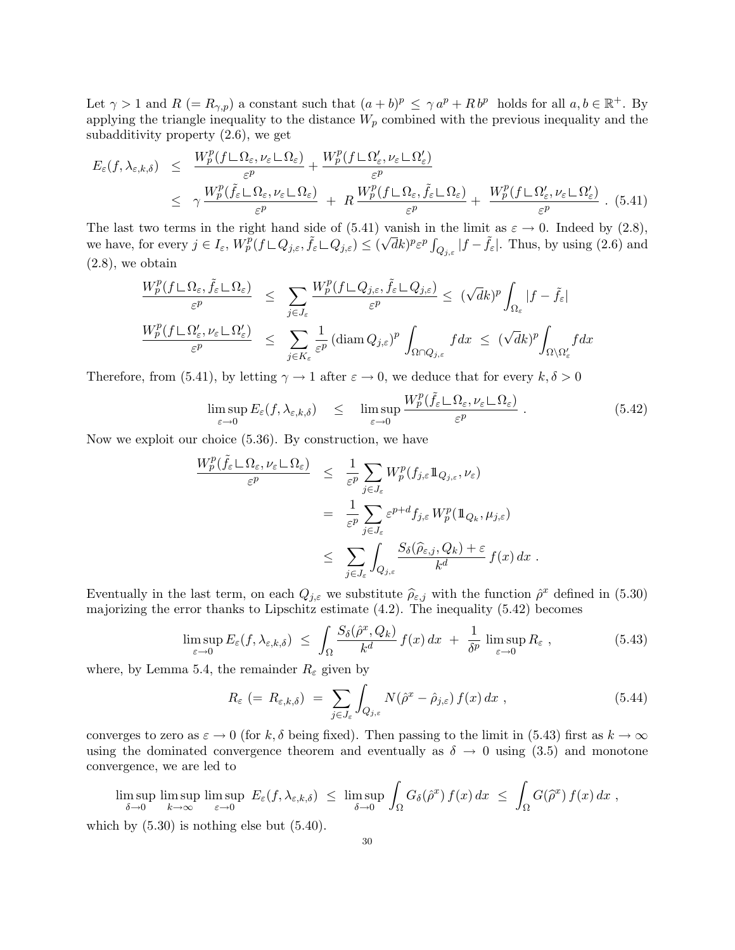Let  $\gamma > 1$  and  $R (= R_{\gamma,p})$  a constant such that  $(a + b)^p \leq \gamma a^p + R b^p$  holds for all  $a, b \in \mathbb{R}^+$ . By applying the triangle inequality to the distance  $W_p$  combined with the previous inequality and the subadditivity property (2.6), we get

$$
E_{\varepsilon}(f,\lambda_{\varepsilon,k,\delta}) \leq \frac{W_p^p(f \sqcup \Omega_{\varepsilon},\nu_{\varepsilon} \sqcup \Omega_{\varepsilon})}{\varepsilon^p} + \frac{W_p^p(f \sqcup \Omega_{\varepsilon}',\nu_{\varepsilon} \sqcup \Omega_{\varepsilon}')}{\varepsilon^p} \leq \gamma \frac{W_p^p(\tilde{f}_{\varepsilon} \sqcup \Omega_{\varepsilon},\nu_{\varepsilon} \sqcup \Omega_{\varepsilon})}{\varepsilon^p} + R \frac{W_p^p(f \sqcup \Omega_{\varepsilon},\tilde{f}_{\varepsilon} \sqcup \Omega_{\varepsilon})}{\varepsilon^p} + \frac{W_p^p(f \sqcup \Omega_{\varepsilon}',\nu_{\varepsilon} \sqcup \Omega_{\varepsilon}')}{\varepsilon^p}.
$$
(5.41)

The last two terms in the right hand side of (5.41) vanish in the limit as  $\varepsilon \to 0$ . Indeed by (2.8), we have, for every  $j \in I_{\varepsilon}$ ,  $W_p^p(f \sqcup Q_{j,\varepsilon}, \tilde{f}_{\varepsilon} \sqcup Q_{j,\varepsilon}) \leq (\sqrt{d}k)^p \varepsilon^p \int_{Q_{j,\varepsilon}} |f - \tilde{f}_{\varepsilon}|$ . Thus, by using (2.6) and (2.8), we obtain

$$
\frac{W_p^p(f \sqcup \Omega_{\varepsilon}, \tilde{f}_{\varepsilon} \sqcup \Omega_{\varepsilon})}{\varepsilon^p} \leq \sum_{j \in J_{\varepsilon}} \frac{W_p^p(f \sqcup Q_{j,\varepsilon}, \tilde{f}_{\varepsilon} \sqcup Q_{j,\varepsilon})}{\varepsilon^p} \leq (\sqrt{d}k)^p \int_{\Omega_{\varepsilon}} |f - \tilde{f}_{\varepsilon}|
$$
\n
$$
\frac{W_p^p(f \sqcup \Omega_{\varepsilon}', \nu_{\varepsilon} \sqcup \Omega_{\varepsilon}')}{\varepsilon^p} \leq \sum_{j \in K_{\varepsilon}} \frac{1}{\varepsilon^p} (\text{diam } Q_{j,\varepsilon})^p \int_{\Omega \cap Q_{j,\varepsilon}} f dx \leq (\sqrt{d}k)^p \int_{\Omega \setminus \Omega_{\varepsilon}'} f dx
$$

Therefore, from (5.41), by letting  $\gamma \to 1$  after  $\varepsilon \to 0$ , we deduce that for every  $k, \delta > 0$ 

$$
\limsup_{\varepsilon \to 0} E_{\varepsilon}(f, \lambda_{\varepsilon, k, \delta}) \leq \limsup_{\varepsilon \to 0} \frac{W_p^p(\tilde{f}_{\varepsilon} \sqcup \Omega_{\varepsilon}, \nu_{\varepsilon} \sqcup \Omega_{\varepsilon})}{\varepsilon^p} \ . \tag{5.42}
$$

Now we exploit our choice (5.36). By construction, we have

$$
\frac{W_p^p(\tilde{f}_{\varepsilon} \sqcup \Omega_{\varepsilon}, \nu_{\varepsilon} \sqcup \Omega_{\varepsilon})}{\varepsilon^p} \leq \frac{1}{\varepsilon^p} \sum_{j \in J_{\varepsilon}} W_p^p(f_{j,\varepsilon} \mathbb{1}_{Q_{j,\varepsilon}}, \nu_{\varepsilon})
$$
  

$$
= \frac{1}{\varepsilon^p} \sum_{j \in J_{\varepsilon}} \varepsilon^{p+d} f_{j,\varepsilon} W_p^p(\mathbb{1}_{Q_k}, \mu_{j,\varepsilon})
$$
  

$$
\leq \sum_{j \in J_{\varepsilon}} \int_{Q_{j,\varepsilon}} \frac{S_\delta(\hat{\rho}_{\varepsilon,j}, Q_k) + \varepsilon}{k^d} f(x) dx.
$$

Eventually in the last term, on each  $Q_{j,\varepsilon}$  we substitute  $\hat{\rho}_{\varepsilon,j}$  with the function  $\hat{\rho}^x$  defined in (5.30) majorizing the error thanks to Lipschitz estimate  $(4.2)$ . The inequality  $(5.42)$  becomes

$$
\limsup_{\varepsilon \to 0} E_{\varepsilon}(f, \lambda_{\varepsilon, k, \delta}) \leq \int_{\Omega} \frac{S_{\delta}(\hat{\rho}^x, Q_k)}{k^d} f(x) dx + \frac{1}{\delta^p} \limsup_{\varepsilon \to 0} R_{\varepsilon} , \qquad (5.43)
$$

where, by Lemma 5.4, the remainder  $R_{\varepsilon}$  given by

$$
R_{\varepsilon} \ (= \ R_{\varepsilon,k,\delta}) \ = \ \sum_{j \in J_{\varepsilon}} \int_{Q_{j,\varepsilon}} N(\hat{\rho}^x - \hat{\rho}_{j,\varepsilon}) \, f(x) \, dx \ , \tag{5.44}
$$

converges to zero as  $\varepsilon \to 0$  (for k,  $\delta$  being fixed). Then passing to the limit in (5.43) first as  $k \to \infty$ using the dominated convergence theorem and eventually as  $\delta \to 0$  using (3.5) and monotone convergence, we are led to

lim sup  $\delta \rightarrow 0$ lim sup  $k\rightarrow\infty$ lim sup  $\sup_{\varepsilon \to 0} E_{\varepsilon}(f, \lambda_{\varepsilon, k, \delta}) \leq \limsup_{\delta \to 0}$  $\int_{\Omega} G_{\delta}(\hat{\rho}^x) f(x) dx \leq \int$  $\int_{\Omega} G(\widehat{\rho}^x) f(x) dx$ ,

which by  $(5.30)$  is nothing else but  $(5.40)$ .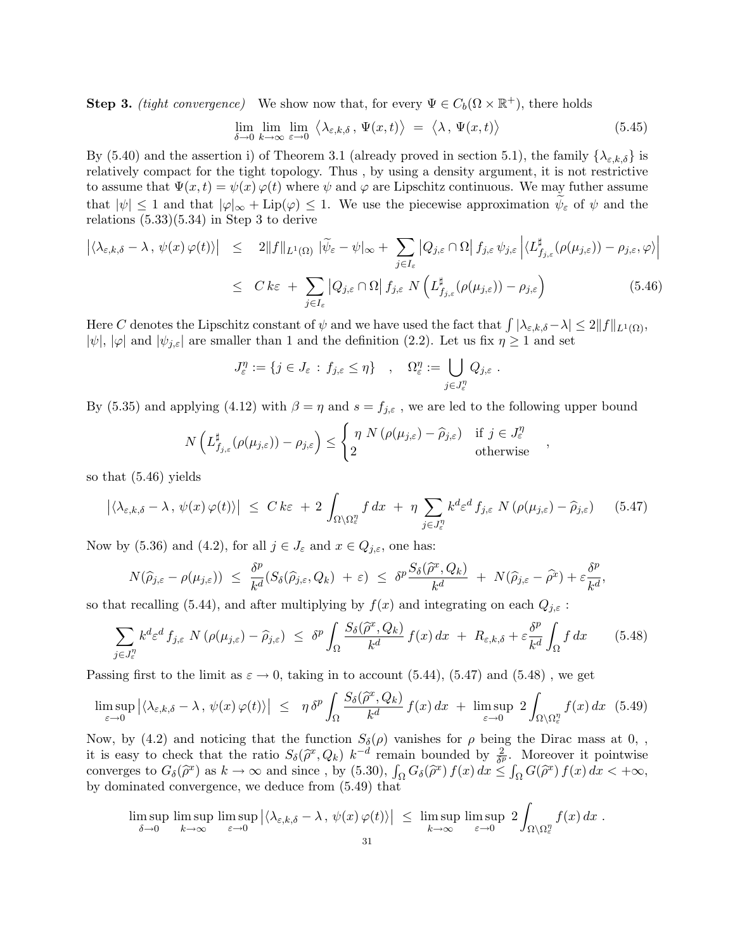**Step 3.** *(tight convergence)* We show now that, for every  $\Psi \in C_b(\Omega \times \mathbb{R}^+)$ , there holds

$$
\lim_{\delta \to 0} \lim_{k \to \infty} \lim_{\varepsilon \to 0} \left\langle \lambda_{\varepsilon,k,\delta}, \Psi(x,t) \right\rangle = \left\langle \lambda, \Psi(x,t) \right\rangle \tag{5.45}
$$

By (5.40) and the assertion i) of Theorem 3.1 (already proved in section 5.1), the family  $\{\lambda_{\varepsilon,k,\delta}\}\$ is relatively compact for the tight topology. Thus , by using a density argument, it is not restrictive to assume that  $\Psi(x,t) = \psi(x) \varphi(t)$  where  $\psi$  and  $\varphi$  are Lipschitz continuous. We may futher assume that  $|\psi| \leq 1$  and that  $|\varphi|_{\infty} + Lip(\varphi) \leq 1$ . We use the piecewise approximation  $\psi_{\varepsilon}$  of  $\psi$  and the relations  $(5.33)(5.34)$  in Step 3 to derive

$$
\left| \langle \lambda_{\varepsilon,k,\delta} - \lambda, \psi(x) \, \varphi(t) \rangle \right| \leq 2 \| f \|_{L^1(\Omega)} \left| \widetilde{\psi}_{\varepsilon} - \psi \right|_{\infty} + \sum_{j \in I_{\varepsilon}} \left| Q_{j,\varepsilon} \cap \Omega \right| f_{j,\varepsilon} \, \psi_{j,\varepsilon} \left| \langle L^{\sharp}_{f_{j,\varepsilon}} (\rho(\mu_{j,\varepsilon})) - \rho_{j,\varepsilon}, \varphi \rangle \right|
$$
  

$$
\leq C k \varepsilon + \sum_{j \in I_{\varepsilon}} \left| Q_{j,\varepsilon} \cap \Omega \right| f_{j,\varepsilon} \, N \left( L^{\sharp}_{f_{j,\varepsilon}} (\rho(\mu_{j,\varepsilon})) - \rho_{j,\varepsilon} \right) \tag{5.46}
$$

Here C denotes the Lipschitz constant of  $\psi$  and we have used the fact that  $\int |\lambda_{\varepsilon,k,\delta}-\lambda| \leq 2 \|f\|_{L^1(\Omega)}$ ,  $|\psi|, |\varphi|$  and  $|\psi_{j,\varepsilon}|$  are smaller than 1 and the definition (2.2). Let us fix  $\eta \ge 1$  and set

$$
J_{\varepsilon}^{\eta} := \{ j \in J_{\varepsilon} : f_{j,\varepsilon} \leq \eta \} \quad , \quad \Omega_{\varepsilon}^{\eta} := \bigcup_{j \in J_{\varepsilon}^{\eta}} Q_{j,\varepsilon} .
$$

By (5.35) and applying (4.12) with  $\beta = \eta$  and  $s = f_{j,\varepsilon}$ , we are led to the following upper bound

$$
N\left(L_{f_{j,\varepsilon}}^{\sharp}(\rho(\mu_{j,\varepsilon}))-\rho_{j,\varepsilon}\right) \leq \begin{cases} \eta N(\rho(\mu_{j,\varepsilon})-\widehat{\rho}_{j,\varepsilon}) & \text{if } j \in J_{\varepsilon}^{\eta} \\ 2 & \text{otherwise} \end{cases},
$$

so that (5.46) yields

$$
\left| \langle \lambda_{\varepsilon,k,\delta} - \lambda \, , \, \psi(x) \, \varphi(t) \rangle \right| \leq C \, k\varepsilon + 2 \int_{\Omega \setminus \Omega_{\varepsilon}^{\eta}} f \, dx + \eta \sum_{j \in J_{\varepsilon}^{\eta}} k^{d} \varepsilon^{d} f_{j,\varepsilon} \, N \left( \rho(\mu_{j,\varepsilon}) - \widehat{\rho}_{j,\varepsilon} \right) \tag{5.47}
$$

Now by (5.36) and (4.2), for all  $j \in J_{\varepsilon}$  and  $x \in Q_{j,\varepsilon}$ , one has:

$$
N(\widehat{\rho}_{j,\varepsilon}-\rho(\mu_{j,\varepsilon}))\ \leq\ \frac{\delta^p}{k^d}(S_{\delta}(\widehat{\rho}_{j,\varepsilon},Q_k)\ +\ \varepsilon)\ \leq\ \delta^p\frac{S_{\delta}(\widehat{\rho}^x,Q_k)}{k^d}\ +\ N(\widehat{\rho}_{j,\varepsilon}-\widehat{\rho}^x)+\varepsilon\frac{\delta^p}{k^d},
$$

so that recalling (5.44), and after multiplying by  $f(x)$  and integrating on each  $Q_{j,\varepsilon}$ :

$$
\sum_{j \in J_{\varepsilon}^n} k^d \varepsilon^d f_{j,\varepsilon} \ N\left(\rho(\mu_{j,\varepsilon}) - \widehat{\rho}_{j,\varepsilon}\right) \ \leq \ \delta^p \int_{\Omega} \frac{S_{\delta}(\widehat{\rho}^x, Q_k)}{k^d} \ f(x) \, dx \ + \ R_{\varepsilon,k,\delta} + \varepsilon \frac{\delta^p}{k^d} \int_{\Omega} f \, dx \tag{5.48}
$$

Passing first to the limit as  $\varepsilon \to 0$ , taking in to account (5.44), (5.47) and (5.48), we get

$$
\limsup_{\varepsilon \to 0} |\langle \lambda_{\varepsilon,k,\delta} - \lambda, \psi(x) \varphi(t) \rangle| \le \eta \, \delta^p \int_{\Omega} \frac{S_{\delta}(\hat{\rho}^x, Q_k)}{k^d} f(x) \, dx + \limsup_{\varepsilon \to 0} 2 \int_{\Omega \setminus \Omega_{\varepsilon}^{\eta}} f(x) \, dx \tag{5.49}
$$

Now, by (4.2) and noticing that the function  $S_\delta(\rho)$  vanishes for  $\rho$  being the Dirac mass at 0, , it is easy to check that the ratio  $S_{\delta}(\hat{\rho}^x, Q_k)$  k<sup>-d</sup> remain bounded by  $\frac{2}{\delta p}$ . Moreover it pointwise converges to  $G_{\delta}(\hat{\rho}^x)$  as  $k \to \infty$  and since, by (5.30),  $\int_{\Omega} G_{\delta}(\hat{\rho}^x) f(x) dx \leq \int_{\Omega} G(\hat{\rho}^x) f(x) dx < +\infty$ , by dominated convergence, we deduce from (5.49) that

$$
\limsup_{\delta \to 0} \limsup_{k \to \infty} \limsup_{\varepsilon \to 0} |\langle \lambda_{\varepsilon,k,\delta} - \lambda, \psi(x) \varphi(t) \rangle| \leq \limsup_{k \to \infty} \limsup_{\varepsilon \to 0} 2 \int_{\Omega \setminus \Omega_{\varepsilon}^{\eta}} f(x) dx.
$$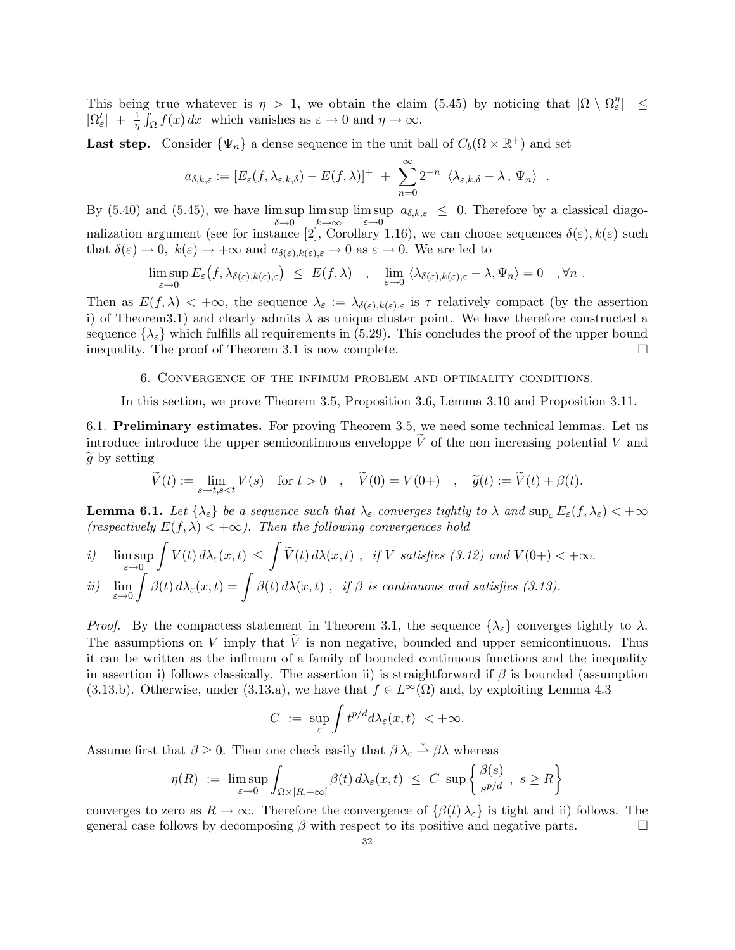This being true whatever is  $\eta > 1$ , we obtain the claim (5.45) by noticing that  $|\Omega \setminus \Omega_{\varepsilon}^{\eta}| \le$  $|\Omega'_{\varepsilon}| + \frac{1}{\eta} \int_{\Omega} f(x) dx$  which vanishes as  $\varepsilon \to 0$  and  $\eta \to \infty$ .

Last step. Consider  $\{\Psi_n\}$  a dense sequence in the unit ball of  $C_b(\Omega \times \mathbb{R}^+)$  and set

$$
a_{\delta,k,\varepsilon} := [E_{\varepsilon}(f,\lambda_{\varepsilon,k,\delta}) - E(f,\lambda)]^+ + \sum_{n=0}^{\infty} 2^{-n} |\langle \lambda_{\varepsilon,k,\delta} - \lambda , \Psi_n \rangle|.
$$

By (5.40) and (5.45), we have  $\limsup_{n \to \infty} \limsup_{n \to \infty} \limsup_{n \to \infty} a_{\delta,k,\varepsilon} \leq 0$ . Therefore by a classical diagonalization argument (see for instance [2], Corollary 1.16), we can choose sequences  $\delta(\varepsilon)$ ,  $k(\varepsilon)$  such that  $\delta(\varepsilon) \to 0$ ,  $k(\varepsilon) \to +\infty$  and  $a_{\delta(\varepsilon),k(\varepsilon),\varepsilon} \to 0$  as  $\varepsilon \to 0$ . We are led to

$$
\limsup_{\varepsilon \to 0} E_{\varepsilon} (f, \lambda_{\delta(\varepsilon), k(\varepsilon), \varepsilon}) \leq E(f, \lambda) \quad , \quad \lim_{\varepsilon \to 0} \langle \lambda_{\delta(\varepsilon), k(\varepsilon), \varepsilon} - \lambda, \Psi_n \rangle = 0 \quad , \forall n .
$$

Then as  $E(f, \lambda) < +\infty$ , the sequence  $\lambda_{\varepsilon} := \lambda_{\delta(\varepsilon), k(\varepsilon), \varepsilon}$  is  $\tau$  relatively compact (by the assertion i) of Theorem3.1) and clearly admits  $\lambda$  as unique cluster point. We have therefore constructed a sequence  $\{\lambda_{\varepsilon}\}\$  which fulfills all requirements in (5.29). This concludes the proof of the upper bound inequality. The proof of Theorem 3.1 is now complete. inequality. The proof of Theorem 3.1 is now complete.

6. Convergence of the infimum problem and optimality conditions.

In this section, we prove Theorem 3.5, Proposition 3.6, Lemma 3.10 and Proposition 3.11.

6.1. Preliminary estimates. For proving Theorem 3.5, we need some technical lemmas. Let us introduce introduce the upper semicontinuous enveloppe  $\tilde{V}$  of the non increasing potential V and  $\tilde{q}$  by setting

$$
\widetilde{V}(t) := \lim_{s \to t, s < t} V(s) \quad \text{for } t > 0 \quad , \quad \widetilde{V}(0) = V(0+) \quad , \quad \widetilde{g}(t) := \widetilde{V}(t) + \beta(t).
$$

**Lemma 6.1.** Let  $\{\lambda_{\varepsilon}\}\$ be a sequence such that  $\lambda_{\varepsilon}$  converges tightly to  $\lambda$  and  $\sup_{\varepsilon} E_{\varepsilon}(f, \lambda_{\varepsilon}) < +\infty$ *(respectively*  $E(f, \lambda) < +\infty$ *). Then the following convergences hold* 

$$
\begin{aligned}\ni) \quad & \limsup_{\varepsilon \to 0} \int V(t) \, d\lambda_{\varepsilon}(x, t) \le \int \widetilde{V}(t) \, d\lambda(x, t) \, , \quad & \text{if } V \text{ satisfies (3.12) and } V(0+) < +\infty. \\
ii) \quad & \lim_{\varepsilon \to 0} \int \beta(t) \, d\lambda_{\varepsilon}(x, t) = \int \beta(t) \, d\lambda(x, t) \, , \quad & \text{if } \beta \text{ is continuous and satisfies (3.13).}\n\end{aligned}
$$

*Proof.* By the compactess statement in Theorem 3.1, the sequence  $\{\lambda_{\varepsilon}\}\)$  converges tightly to  $\lambda$ . The assumptions on V imply that  $\tilde{V}$  is non negative, bounded and upper semicontinuous. Thus it can be written as the infimum of a family of bounded continuous functions and the inequality in assertion i) follows classically. The assertion ii) is straightforward if  $\beta$  is bounded (assumption (3.13.b). Otherwise, under (3.13.a), we have that  $f \in L^{\infty}(\Omega)$  and, by exploiting Lemma 4.3

$$
C \ := \ \sup_{\varepsilon} \int t^{p/d} d\lambda_{\varepsilon}(x,t) \ < +\infty.
$$

Assume first that  $\beta \geq 0$ . Then one check easily that  $\beta \lambda_{\varepsilon} \stackrel{*}{\rightharpoonup} \beta \lambda$  whereas

$$
\eta(R) := \limsup_{\varepsilon \to 0} \int_{\Omega \times [R, +\infty[} \beta(t) d\lambda_{\varepsilon}(x, t) \le C \sup \left\{ \frac{\beta(s)}{s^{p/d}}, s \ge R \right\}
$$

converges to zero as  $R \to \infty$ . Therefore the convergence of  $\{\beta(t) \lambda_{\varepsilon}\}\$ is tight and ii) follows. The general case follows by decomposing  $\beta$  with respect to its positive and negative parts. general case follows by decomposing  $\beta$  with respect to its positive and negative parts.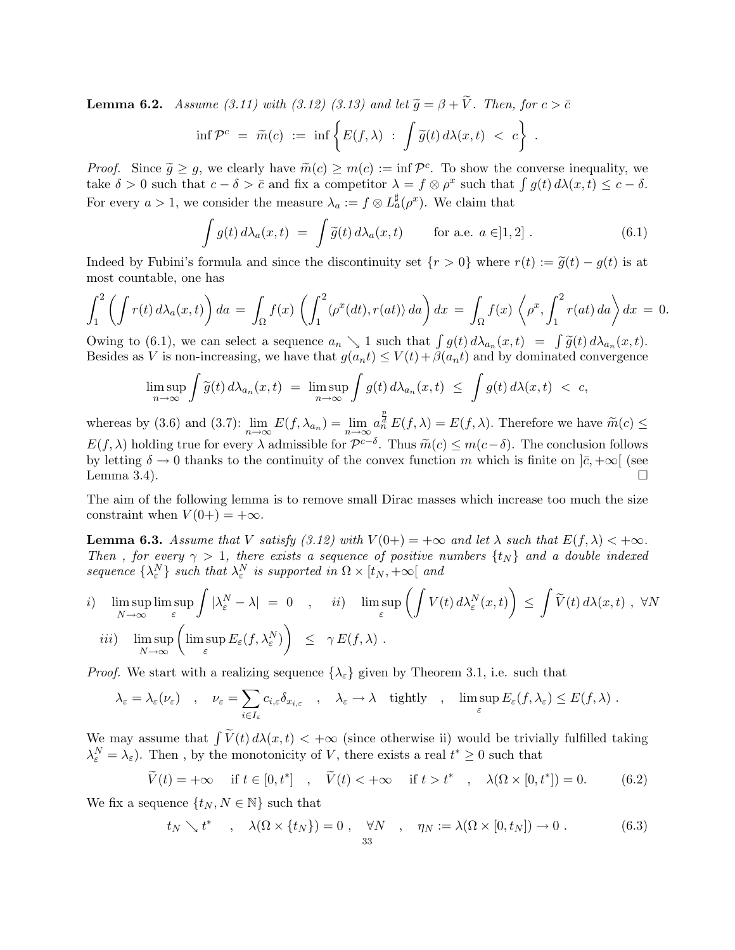**Lemma 6.2.** *Assume (3.11) with (3.12) (3.13) and let*  $\tilde{g} = \beta + \tilde{V}$ *. Then, for*  $c > \bar{c}$ 

$$
\inf \mathcal{P}^c = \widetilde{m}(c) := \inf \left\{ E(f, \lambda) \; : \; \int \widetilde{g}(t) \, d\lambda(x, t) \; < \; c \right\} \; .
$$

*Proof.* Since  $\tilde{g} \geq g$ , we clearly have  $\tilde{m}(c) \geq m(c) := \inf \mathcal{P}^c$ . To show the converse inequality, we take  $\delta > 0$  such that  $c - \delta > \bar{c}$  and fix a competitor  $\lambda = f \otimes \rho^x$  such that  $\int g(t) d\lambda(x, t) \leq c - \delta$ . For every  $a > 1$ , we consider the measure  $\lambda_a := f \otimes L_a^{\sharp}(\rho^x)$ . We claim that

$$
\int g(t) d\lambda_a(x,t) = \int \tilde{g}(t) d\lambda_a(x,t) \quad \text{for a.e. } a \in ]1,2]. \tag{6.1}
$$

Indeed by Fubini's formula and since the discontinuity set  $\{r > 0\}$  where  $r(t) := \tilde{g}(t) - g(t)$  is at most countable, one has

$$
\int_{1}^{2} \left( \int r(t) d\lambda_{a}(x, t) \right) da = \int_{\Omega} f(x) \left( \int_{1}^{2} \langle \rho^{x}(dt), r(at) \rangle da \right) dx = \int_{\Omega} f(x) \left\langle \rho^{x}, \int_{1}^{2} r(at) da \right\rangle dx = 0.
$$

Owing to (6.1), we can select a sequence  $a_n \searrow 1$  such that  $\int g(t) d\lambda_{a_n}(x, t) = \int \widetilde{g}(t) d\lambda_{a_n}(x, t)$ . Besides as V is non-increasing, we have that  $g(a_nt) \le V(t) + \beta(a_nt)$  and by dominated convergence

$$
\limsup_{n\to\infty}\int\widetilde{g}(t)\,d\lambda_{a_n}(x,t) = \limsup_{n\to\infty}\int g(t)\,d\lambda_{a_n}(x,t) \ \leq \ \int g(t)\,d\lambda(x,t) \ < \ c,
$$

whereas by (3.6) and (3.7):  $\lim_{n\to\infty} E(f, \lambda_{a_n}) = \lim_{n\to\infty} a_n^{\frac{p}{a}} E(f, \lambda) = E(f, \lambda)$ . Therefore we have  $\widetilde{m}(c) \leq$  $E(f, \lambda)$  holding true for every  $\lambda$  admissible for  $\mathcal{P}^{c-\delta}$ . Thus  $\widetilde{m}(c) \leq m(c-\delta)$ . The conclusion follows by letting  $\delta \to 0$  thanks to the continuity of the convex function m which is finite on  $]\bar{c}, +\infty[$  (see Lemma 3.4). Lemma 3.4).  $\Box$ 

The aim of the following lemma is to remove small Dirac masses which increase too much the size constraint when  $V(0+) = +\infty$ .

**Lemma 6.3.** Assume that V satisfy (3.12) with  $V(0+) = +\infty$  and let  $\lambda$  such that  $E(f, \lambda) < +\infty$ . *Then*, for every  $\gamma > 1$ , there exists a sequence of positive numbers  $\{t_N\}$  and a double indexed  $sequence \{\lambda_{\varepsilon}^N\}$  *such that*  $\lambda_{\varepsilon}^N$  *is supported in*  $\Omega \times [t_N, +\infty[$  *and* 

*i*) 
$$
\limsup_{N \to \infty} \limsup_{\varepsilon} \int |\lambda_{\varepsilon}^{N} - \lambda| = 0
$$
, *ii*)  $\limsup_{\varepsilon} \left( \int V(t) d\lambda_{\varepsilon}^{N}(x, t) \right) \leq \int \widetilde{V}(t) d\lambda(x, t)$ ,  $\forall N$   
*iii*)  $\limsup_{N \to \infty} \left( \limsup_{\varepsilon} E_{\varepsilon}(f, \lambda_{\varepsilon}^{N}) \right) \leq \gamma E(f, \lambda)$ .

*Proof.* We start with a realizing sequence  $\{\lambda_{\varepsilon}\}\$  given by Theorem 3.1, i.e. such that

$$
\lambda_{\varepsilon} = \lambda_{\varepsilon}(\nu_{\varepsilon}) \quad , \quad \nu_{\varepsilon} = \sum_{i \in I_{\varepsilon}} c_{i,\varepsilon} \delta_{x_{i,\varepsilon}} \quad , \quad \lambda_{\varepsilon} \to \lambda \quad \text{tightly} \quad , \quad \limsup_{\varepsilon} E_{\varepsilon}(f,\lambda_{\varepsilon}) \leq E(f,\lambda) \; .
$$

We may assume that  $\int \widetilde{V}(t) d\lambda(x, t) < +\infty$  (since otherwise ii) would be trivially fulfilled taking  $\lambda_{\varepsilon}^N = \lambda_{\varepsilon}$ ). Then, by the monotonicity of V, there exists a real  $t^* \geq 0$  such that

$$
\widetilde{V}(t) = +\infty \quad \text{if } t \in [0, t^*] \quad , \quad \widetilde{V}(t) < +\infty \quad \text{if } t > t^* \quad , \quad \lambda(\Omega \times [0, t^*]) = 0. \tag{6.2}
$$

We fix a sequence  $\{t_N, N \in \mathbb{N}\}\$  such that

$$
t_N \searrow t^* \quad , \quad \lambda(\Omega \times \{t_N\}) = 0 \quad , \quad \forall N \quad , \quad \eta_N := \lambda(\Omega \times [0, t_N]) \to 0 \; . \tag{6.3}
$$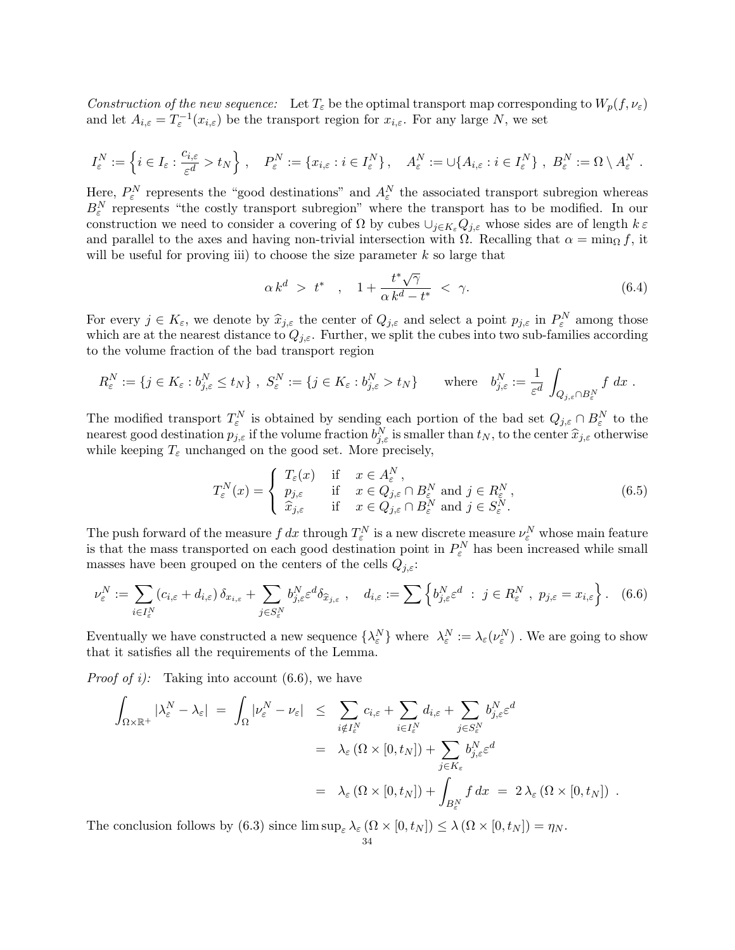*Construction of the new sequence:* Let  $T_{\varepsilon}$  be the optimal transport map corresponding to  $W_p(f, \nu_{\varepsilon})$ and let  $A_{i,\varepsilon} = T_{\varepsilon}^{-1}(x_{i,\varepsilon})$  be the transport region for  $x_{i,\varepsilon}$ . For any large N, we set

$$
I^N_\varepsilon:=\left\{i\in I_\varepsilon:\frac{c_{i,\varepsilon}}{\varepsilon^d}>t_N\right\}\,,\quad P^N_\varepsilon:=\left\{x_{i,\varepsilon}:i\in I^N_\varepsilon\right\},\quad A^N_\varepsilon:=\cup\{A_{i,\varepsilon}:i\in I^N_\varepsilon\}\,,\ B^N_\varepsilon:=\Omega\setminus A^N_\varepsilon\;.
$$

Here,  $P_{\varepsilon}^{N}$  represents the "good destinations" and  $A_{\varepsilon}^{N}$  the associated transport subregion whereas  $B_{\varepsilon}^N$  represents "the costly transport subregion" where the transport has to be modified. In our construction we need to consider a covering of  $\Omega$  by cubes  $\cup_{j\in K_{\varepsilon}}Q_{j,\varepsilon}$  whose sides are of length  $k\in\mathbb{Z}$ and parallel to the axes and having non-trivial intersection with  $\Omega$ . Recalling that  $\alpha = \min_{\Omega} f$ , it will be useful for proving iii) to choose the size parameter  $k$  so large that

$$
\alpha k^d > t^*, \quad 1 + \frac{t^* \sqrt{\gamma}}{\alpha k^d - t^*} < \gamma. \tag{6.4}
$$

For every  $j \in K_{\varepsilon}$ , we denote by  $\widehat{x}_{j,\varepsilon}$  the center of  $Q_{j,\varepsilon}$  and select a point  $p_{j,\varepsilon}$  in  $P_{\varepsilon}^N$  among those which are at the nearest distance to  $Q_{j,\varepsilon}$ . Further, we split the cubes into two sub-families according to the volume fraction of the bad transport region

$$
R_{\varepsilon}^N := \{ j \in K_{\varepsilon} : b_{j,\varepsilon}^N \le t_N \} , S_{\varepsilon}^N := \{ j \in K_{\varepsilon} : b_{j,\varepsilon}^N > t_N \} \quad \text{where} \quad b_{j,\varepsilon}^N := \frac{1}{\varepsilon^d} \int_{Q_{j,\varepsilon} \cap B_{\varepsilon}^N} f \, dx \; .
$$

The modified transport  $T_{\varepsilon}^N$  is obtained by sending each portion of the bad set  $Q_{j,\varepsilon} \cap B_{\varepsilon}^N$  to the nearest good destination  $p_{j,\varepsilon}$  if the volume fraction  $b_{j,\varepsilon}^N$  is smaller than  $t_N$ , to the center  $\widehat{x}_{j,\varepsilon}$  otherwise while keeping  $T_{\varepsilon}$  unchanged on the good set. More precisely,

$$
T_{\varepsilon}^{N}(x) = \begin{cases} T_{\varepsilon}(x) & \text{if } x \in A_{\varepsilon}^{N}, \\ p_{j,\varepsilon} & \text{if } x \in Q_{j,\varepsilon} \cap B_{\varepsilon}^{N} \text{ and } j \in R_{\varepsilon}^{N}, \\ \hat{x}_{j,\varepsilon} & \text{if } x \in Q_{j,\varepsilon} \cap B_{\varepsilon}^{N} \text{ and } j \in S_{\varepsilon}^{N}. \end{cases}
$$
(6.5)

The push forward of the measure  $f dx$  through  $T_{\varepsilon}^N$  is a new discrete measure  $\nu_{\varepsilon}^N$  whose main feature is that the mass transported on each good destination point in  $P_{\varepsilon}^{N}$  has been increased while small masses have been grouped on the centers of the cells  $Q_{j,\varepsilon}$ :

$$
\nu_{\varepsilon}^N := \sum_{i \in I_{\varepsilon}^N} (c_{i,\varepsilon} + d_{i,\varepsilon}) \, \delta_{x_{i,\varepsilon}} + \sum_{j \in S_{\varepsilon}^N} b_{j,\varepsilon}^N \varepsilon^d \delta_{\widehat{x}_{j,\varepsilon}} \;, \quad d_{i,\varepsilon} := \sum_{j \in S_{\varepsilon}^N} \left\{ b_{j,\varepsilon}^N \varepsilon^d \; : \; j \in R_{\varepsilon}^N \; , \; p_{j,\varepsilon} = x_{i,\varepsilon} \right\} . \tag{6.6}
$$

Eventually we have constructed a new sequence  $\{\lambda_{\varepsilon}^N\}$  where  $\lambda_{\varepsilon}^N := \lambda_{\varepsilon}(\nu_{\varepsilon}^N)$ . We are going to show that it satisfies all the requirements of the Lemma.

*Proof of i):* Taking into account (6.6), we have

$$
\int_{\Omega \times \mathbb{R}^+} |\lambda_{\varepsilon}^N - \lambda_{\varepsilon}| = \int_{\Omega} |\nu_{\varepsilon}^N - \nu_{\varepsilon}| \leq \sum_{i \notin I_{\varepsilon}^N} c_{i,\varepsilon} + \sum_{i \in I_{\varepsilon}^N} d_{i,\varepsilon} + \sum_{j \in S_{\varepsilon}^N} b_{j,\varepsilon}^N \varepsilon^d
$$
  
\n
$$
= \lambda_{\varepsilon} (\Omega \times [0, t_N]) + \sum_{j \in K_{\varepsilon}} b_{j,\varepsilon}^N \varepsilon^d
$$
  
\n
$$
= \lambda_{\varepsilon} (\Omega \times [0, t_N]) + \int_{B_{\varepsilon}^N} f dx = 2 \lambda_{\varepsilon} (\Omega \times [0, t_N]) .
$$

The conclusion follows by (6.3) since  $\limsup_{\varepsilon} \lambda_{\varepsilon} (\Omega \times [0, t_N]) \leq \lambda (\Omega \times [0, t_N]) = \eta_N$ .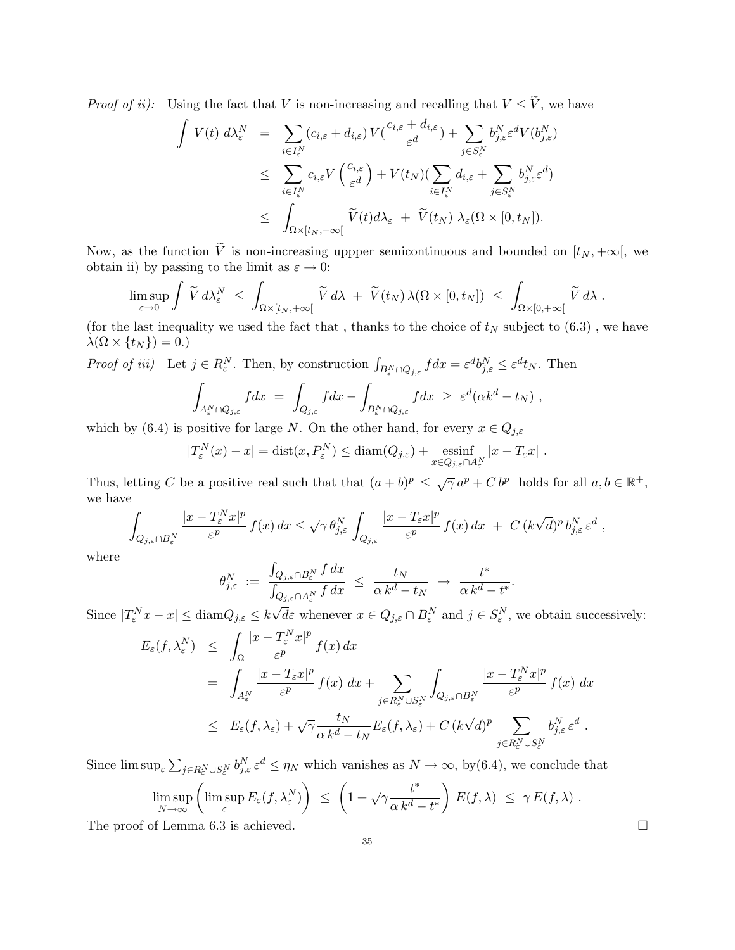*Proof of ii):* Using the fact that V is non-increasing and recalling that  $V \leq \tilde{V}$ , we have

$$
\int V(t) d\lambda_{\varepsilon}^{N} = \sum_{i \in I_{\varepsilon}^{N}} (c_{i,\varepsilon} + d_{i,\varepsilon}) V(\frac{c_{i,\varepsilon} + d_{i,\varepsilon}}{\varepsilon^{d}}) + \sum_{j \in S_{\varepsilon}^{N}} b_{j,\varepsilon}^{N} \varepsilon^{d} V(b_{j,\varepsilon}^{N})
$$
\n
$$
\leq \sum_{i \in I_{\varepsilon}^{N}} c_{i,\varepsilon} V\left(\frac{c_{i,\varepsilon}}{\varepsilon^{d}}\right) + V(t_{N}) \left(\sum_{i \in I_{\varepsilon}^{N}} d_{i,\varepsilon} + \sum_{j \in S_{\varepsilon}^{N}} b_{j,\varepsilon}^{N} \varepsilon^{d}\right)
$$
\n
$$
\leq \int_{\Omega \times [t_{N}, +\infty[} \widetilde{V}(t) d\lambda_{\varepsilon} + \widetilde{V}(t_{N}) \lambda_{\varepsilon} (\Omega \times [0, t_{N}]).
$$

Now, as the function  $\tilde{V}$  is non-increasing uppper semicontinuous and bounded on  $[t_N, +\infty[$ , we obtain ii) by passing to the limit as  $\varepsilon \to 0$ :

$$
\limsup_{\varepsilon\to 0}\int \widetilde{V}\,d\lambda_\varepsilon^N\,\,\leq\,\,\int_{\Omega\times[t_N,+\infty[}\widetilde{V}\,d\lambda\,\,+\,\,\widetilde{V}(t_N)\,\lambda(\Omega\times[0,t_N])\,\,\leq\,\,\int_{\Omega\times[0,+\infty[}\widetilde{V}\,d\lambda\;.
$$

(for the last inequality we used the fact that, thanks to the choice of  $t_N$  subject to  $(6.3)$ , we have  $\lambda(\Omega \times \{t_N\}) = 0.$ 

*Proof of iii*) Let  $j \in R_{\varepsilon}^N$ . Then, by construction  $\int_{B_{\varepsilon}^N \cap Q_{j,\varepsilon}} f dx = \varepsilon^d b_{j,\varepsilon}^N \leq \varepsilon^d t_N$ . Then

$$
\int_{A_\varepsilon^N\cap Q_{j,\varepsilon}} f dx \ = \ \int_{Q_{j,\varepsilon}} f dx \ - \int_{B_\varepsilon^N\cap Q_{j,\varepsilon}} f dx \ \geq \ \varepsilon^d (\alpha k^d - t_N) \ ,
$$

which by (6.4) is positive for large N. On the other hand, for every  $x \in Q_{j,\varepsilon}$ 

$$
|T_{\varepsilon}^{N}(x)-x| = \text{dist}(x, P_{\varepsilon}^{N}) \leq \text{diam}(Q_{j,\varepsilon}) + \underset{x \in Q_{j,\varepsilon} \cap A_{\varepsilon}^{N}}{\text{essinf}} |x - T_{\varepsilon}x|.
$$

Thus, letting C be a positive real such that that  $(a + b)^p \leq \sqrt{\gamma} a^p + C b^p$  holds for all  $a, b \in \mathbb{R}^+$ , we have

$$
\int_{Q_{j,\varepsilon}\cap B_{\varepsilon}^N}\frac{|x-T_{\varepsilon}^Nx|^p}{\varepsilon^p}f(x)\,dx\leq \sqrt{\gamma}\,\theta_{j,\varepsilon}^N\,\int_{Q_{j,\varepsilon}}\frac{|x-T_{\varepsilon}x|^p}{\varepsilon^p}\,f(x)\,dx\,+\,C\,(k\sqrt{d})^p\,b_{j,\varepsilon}^N\,\varepsilon^d\,,
$$

where

$$
\theta^N_{j,\varepsilon} \ := \ \frac{\int_{Q_{j,\varepsilon}\cap B^N_\varepsilon} f\,dx}{\int_{Q_{j,\varepsilon}\cap A^N_\varepsilon} f\,dx} \ \le \ \frac{t_N}{\alpha \,k^d - t_N} \ \to \ \frac{t^*}{\alpha \,k^d - t^*}.
$$

Since  $|T_{\varepsilon}^N x - x| \leq \text{diam} Q_{j,\varepsilon} \leq k\sqrt{d\varepsilon}$  whenever  $x \in Q_{j,\varepsilon} \cap B_{\varepsilon}^N$  and  $j \in S_{\varepsilon}^N$ , we obtain successively:

$$
E_{\varepsilon}(f,\lambda_{\varepsilon}^{N}) \leq \int_{\Omega} \frac{|x-T_{\varepsilon}^{N}x|^{p}}{\varepsilon^{p}} f(x) dx
$$
  
\n
$$
= \int_{A_{\varepsilon}^{N}} \frac{|x-T_{\varepsilon}x|^{p}}{\varepsilon^{p}} f(x) dx + \sum_{j \in R_{\varepsilon}^{N} \cup S_{\varepsilon}^{N}} \int_{Q_{j,\varepsilon} \cap B_{\varepsilon}^{N}} \frac{|x-T_{\varepsilon}^{N}x|^{p}}{\varepsilon^{p}} f(x) dx
$$
  
\n
$$
\leq E_{\varepsilon}(f,\lambda_{\varepsilon}) + \sqrt{\gamma} \frac{t_{N}}{\alpha k^{d}-t_{N}} E_{\varepsilon}(f,\lambda_{\varepsilon}) + C (k\sqrt{d})^{p} \sum_{j \in R_{\varepsilon}^{N} \cup S_{\varepsilon}^{N}} b_{j,\varepsilon}^{N} \varepsilon^{d}.
$$

Since  $\limsup_{\varepsilon} \sum_{j \in R_{\varepsilon}^N \cup S_{\varepsilon}^N} b_{j,\varepsilon}^N \varepsilon^d \leq \eta_N$  which vanishes as  $N \to \infty$ , by (6.4), we conclude that

$$
\limsup_{N \to \infty} \left( \limsup_{\varepsilon} E_{\varepsilon}(f, \lambda_{\varepsilon}^{N}) \right) \leq \left( 1 + \sqrt{\gamma} \frac{t^*}{\alpha k^d - t^*} \right) E(f, \lambda) \leq \gamma E(f, \lambda) .
$$
  
The proof of Lemma 6.3 is achieved.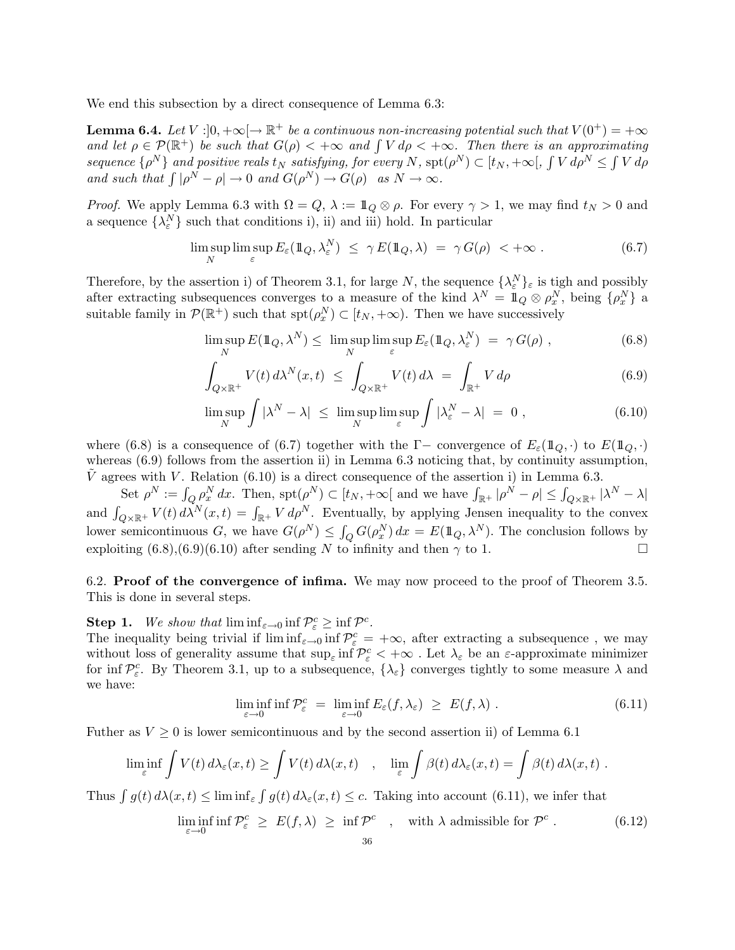We end this subsection by a direct consequence of Lemma 6.3:

**Lemma 6.4.** Let  $V : ]0, +\infty[ \to \mathbb{R}^+$  be a continuous non-increasing potential such that  $V(0^+) = +\infty$ *and let*  $\rho \in \mathcal{P}(\mathbb{R}^+)$  *be such that*  $G(\rho) < +\infty$  *and*  $\int V d\rho < +\infty$ *. Then there is an approximating sequence*  $\{\rho^N\}$  *and positive reals*  $t_N$  *satisfying, for every*  $N$ ,  $\text{spt}(\rho^N) \subset [t_N, +\infty[, \int V d\rho^N \leq \int V d\rho$ *and such that*  $\int |\rho^N - \rho| \to 0$  *and*  $G(\rho^N) \to G(\rho)$  *as*  $N \to \infty$ *.* 

*Proof.* We apply Lemma 6.3 with  $\Omega = Q$ ,  $\lambda := \mathbb{1}_Q \otimes \rho$ . For every  $\gamma > 1$ , we may find  $t_N > 0$  and a sequence  $\{\lambda_{\varepsilon}^N\}$  such that conditions i), ii) and iii) hold. In particular

$$
\limsup_{N} \limsup_{\varepsilon} E_{\varepsilon}(\mathbb{1}_{Q}, \lambda_{\varepsilon}^{N}) \leq \gamma E(\mathbb{1}_{Q}, \lambda) = \gamma G(\rho) < +\infty.
$$
 (6.7)

Therefore, by the assertion i) of Theorem 3.1, for large N, the sequence  $\{\lambda_{\varepsilon}^{N}\}_{\varepsilon}$  is tigh and possibly after extracting subsequences converges to a measure of the kind  $\lambda^N = \mathbb{1}_Q \otimes \rho_x^N$ , being  $\{\rho_x^N\}$  a suitable family in  $\mathcal{P}(\mathbb{R}^+)$  such that  $\text{spt}(\rho_x^N) \subset [t_N, +\infty)$ . Then we have successively

$$
\limsup_{N} E(\mathbb{1}_{Q}, \lambda^{N}) \leq \limsup_{N} \limsup_{\varepsilon} E_{\varepsilon}(\mathbb{1}_{Q}, \lambda^{N}_{\varepsilon}) = \gamma G(\rho) , \qquad (6.8)
$$

$$
\int_{Q\times\mathbb{R}^+} V(t) d\lambda^N(x,t) \le \int_{Q\times\mathbb{R}^+} V(t) d\lambda = \int_{\mathbb{R}^+} V d\rho \tag{6.9}
$$

$$
\limsup_{N} \int |\lambda^{N} - \lambda| \leq \limsup_{N} \limsup_{\varepsilon} \int |\lambda_{\varepsilon}^{N} - \lambda| = 0 , \qquad (6.10)
$$

where (6.8) is a consequence of (6.7) together with the Γ− convergence of  $E_{\varepsilon}(\mathbb{1}_{Q},\cdot)$  to  $E(\mathbb{1}_{Q},\cdot)$ whereas  $(6.9)$  follows from the assertion ii) in Lemma 6.3 noticing that, by continuity assumption,  $\overline{V}$  agrees with V. Relation (6.10) is a direct consequence of the assertion i) in Lemma 6.3.

Set  $\rho^N := \int_Q \rho^N_x dx$ . Then,  $\operatorname{spt}(\rho^N) \subset [t_N, +\infty[$  and we have  $\int_{\mathbb{R}^+} |\rho^N - \rho| \leq \int_{Q \times \mathbb{R}^+} |\lambda^N - \lambda|$ and  $\int_{Q\times\mathbb{R}^+} V(t) d\lambda^N(x,t) = \int_{\mathbb{R}^+} V d\rho^N$ . Eventually, by applying Jensen inequality to the convex lower semicontinuous G, we have  $G(\rho^N) \leq \int_Q G(\rho_x^N) dx = E(\mathbb{1}_Q, \lambda^N)$ . The conclusion follows by exploiting  $(6.8),(6.9)(6.10)$  after sending N to infinity and then  $\gamma$  to 1.

6.2. Proof of the convergence of infima. We may now proceed to the proof of Theorem 3.5. This is done in several steps.

# **Step 1.** We show that  $\liminf_{\varepsilon \to 0} \inf \mathcal{P}_{\varepsilon}^c \geq \inf \mathcal{P}^c$ .

The inequality being trivial if  $\liminf_{\varepsilon\to 0}$  inf  $\mathcal{P}_{\varepsilon}^c = +\infty$ , after extracting a subsequence, we may without loss of generality assume that  $\sup_{\varepsilon} \inf \mathcal{P}_{\varepsilon}^c < +\infty$ . Let  $\lambda_{\varepsilon}$  be an  $\varepsilon$ -approximate minimizer for inf  $\mathcal{P}_{\varepsilon}^c$ . By Theorem 3.1, up to a subsequence,  $\{\lambda_{\varepsilon}\}\$ converges tightly to some measure  $\lambda$  and we have:

$$
\liminf_{\varepsilon \to 0} \inf \mathcal{P}_{\varepsilon}^c = \liminf_{\varepsilon \to 0} E_{\varepsilon}(f, \lambda_{\varepsilon}) \ge E(f, \lambda) . \tag{6.11}
$$

Futher as  $V \geq 0$  is lower semicontinuous and by the second assertion ii) of Lemma 6.1

$$
\liminf_{\varepsilon} \int V(t) d\lambda_{\varepsilon}(x,t) \ge \int V(t) d\lambda(x,t) , \quad \lim_{\varepsilon} \int \beta(t) d\lambda_{\varepsilon}(x,t) = \int \beta(t) d\lambda(x,t) .
$$

Thus  $\int g(t) d\lambda(x, t) \leq \liminf_{\varepsilon} \int g(t) d\lambda_{\varepsilon}(x, t) \leq c$ . Taking into account (6.11), we infer that

$$
\liminf_{\varepsilon \to 0} \inf \mathcal{P}_{\varepsilon}^c \ge E(f, \lambda) \ge \inf \mathcal{P}^c \quad , \quad \text{with } \lambda \text{ admissible for } \mathcal{P}^c \; . \tag{6.12}
$$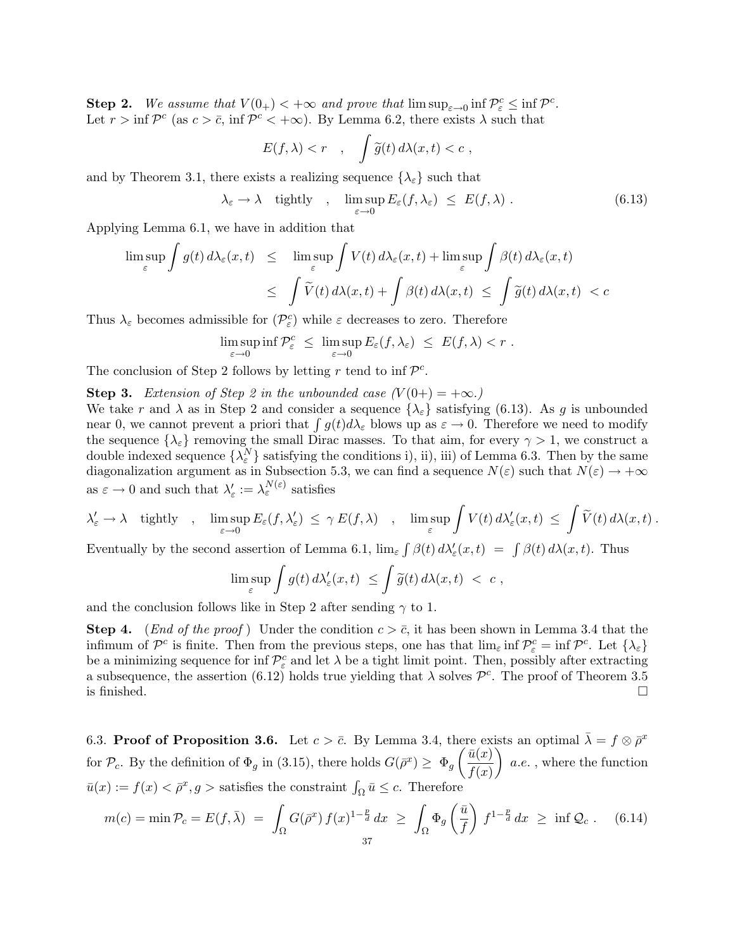Step 2. We assume that  $V(0_+) < +\infty$  and prove that  $\limsup_{\varepsilon\to 0} \inf \mathcal{P}_\varepsilon^c \leq \inf \mathcal{P}^c$ . Let  $r > \inf \mathcal{P}^c$  (as  $c > \bar{c}$ , inf  $\mathcal{P}^c < +\infty$ ). By Lemma 6.2, there exists  $\lambda$  such that

$$
E(f,\lambda) < r \quad , \quad \int \widetilde{g}(t) \, d\lambda(x,t) < c \;,
$$

and by Theorem 3.1, there exists a realizing sequence  $\{\lambda_{\varepsilon}\}\$  such that

$$
\lambda_{\varepsilon} \to \lambda \quad \text{tightly} \quad , \quad \limsup_{\varepsilon \to 0} E_{\varepsilon}(f, \lambda_{\varepsilon}) \leq E(f, \lambda) \ . \tag{6.13}
$$

Applying Lemma 6.1, we have in addition that

$$
\limsup_{\varepsilon} \int g(t) d\lambda_{\varepsilon}(x, t) \leq \limsup_{\varepsilon} \int V(t) d\lambda_{\varepsilon}(x, t) + \limsup_{\varepsilon} \int \beta(t) d\lambda_{\varepsilon}(x, t)
$$
  

$$
\leq \int \widetilde{V}(t) d\lambda(x, t) + \int \beta(t) d\lambda(x, t) \leq \int \widetilde{g}(t) d\lambda(x, t) < c
$$

Thus  $\lambda_\varepsilon$  becomes admissible for  $(\mathcal{P}_\varepsilon^c)$  while  $\varepsilon$  decreases to zero. Therefore

$$
\limsup_{\varepsilon \to 0} \inf \mathcal{P}_{\varepsilon}^c \leq \limsup_{\varepsilon \to 0} E_{\varepsilon}(f, \lambda_{\varepsilon}) \leq E(f, \lambda) < r.
$$

The conclusion of Step 2 follows by letting r tend to inf  $\mathcal{P}^c$ .

**Step 3.** *Extension of Step 2 in the unbounded case*  $(V(0+) = +\infty)$ .

We take r and  $\lambda$  as in Step 2 and consider a sequence  $\{\lambda_{\varepsilon}\}\$  satisfying (6.13). As g is unbounded near 0, we cannot prevent a priori that  $\int g(t)d\lambda_{\varepsilon}$  blows up as  $\varepsilon \to 0$ . Therefore we need to modify the sequence  $\{\lambda_{\varepsilon}\}\$  removing the small Dirac masses. To that aim, for every  $\gamma > 1$ , we construct a double indexed sequence  $\{\lambda_{\varepsilon}^N\}$  satisfying the conditions i), ii), iii) of Lemma 6.3. Then by the same diagonalization argument as in Subsection 5.3, we can find a sequence  $N(\varepsilon)$  such that  $N(\varepsilon) \to +\infty$ as  $\varepsilon \to 0$  and such that  $\lambda'_{\varepsilon} := \lambda_{\varepsilon}^{N(\varepsilon)}$  satisfies

$$
\lambda_{\varepsilon}' \to \lambda \quad \text{tightly} \quad, \quad \limsup_{\varepsilon \to 0} E_{\varepsilon}(f,\lambda_{\varepsilon}') \ \leq \ \gamma \ E(f,\lambda) \quad, \quad \limsup_{\varepsilon} \int V(t) \, d \lambda_{\varepsilon}'(x,t) \ \leq \ \int \widetilde{V}(t) \, d \lambda(x,t) \ .
$$

Eventually by the second assertion of Lemma 6.1,  $\lim_{\varepsilon} \int \beta(t) d\lambda'_{\varepsilon}(x,t) = \int \beta(t) d\lambda(x,t)$ . Thus

$$
\limsup_{\varepsilon} \int g(t) d\lambda_{\varepsilon}'(x,t) \leq \int \widetilde{g}(t) d\lambda(x,t) < c ,
$$

and the conclusion follows like in Step 2 after sending  $\gamma$  to 1.

**Step 4.** (*End of the proof*) Under the condition  $c > \bar{c}$ , it has been shown in Lemma 3.4 that the infimum of  $\mathcal{P}^c$  is finite. Then from the previous steps, one has that  $\lim_{\varepsilon} \inf \mathcal{P}^c_{\varepsilon} = \inf \mathcal{P}^c$ . Let  $\{\lambda_{\varepsilon}\}\$ be a minimizing sequence for inf  $\mathcal{P}_{\varepsilon}^{c}$  and let  $\lambda$  be a tight limit point. Then, possibly after extracting a subsequence, the assertion (6.12) holds true yielding that  $\lambda$  solves  $\mathcal{P}^c$ . The proof of Theorem 3.5 is finished. is finished.  $\Box$ 

6.3. Proof of Proposition 3.6. Let  $c > \bar{c}$ . By Lemma 3.4, there exists an optimal  $\bar{\lambda} = f \otimes \bar{\rho}^x$ for  $\mathcal{P}_c$ . By the definition of  $\Phi_g$  in (3.15), there holds  $G(\bar{\rho}^x) \geq \Phi_g \left( \frac{\bar{u}(x)}{f(x)} \right)$  $f(x)$  $\setminus$ a.e. , where the function  $\bar{u}(x) := f(x) < \bar{\rho}^x, g >$  satisfies the constraint  $\int_{\Omega} \bar{u} \leq c$ . Therefore

$$
m(c) = \min \mathcal{P}_c = E(f, \bar{\lambda}) = \int_{\Omega} G(\bar{\rho}^x) f(x)^{1-\frac{p}{d}} dx \ge \int_{\Omega} \Phi_g\left(\frac{\bar{u}}{f}\right) f^{1-\frac{p}{d}} dx \ge \inf \mathcal{Q}_c. \quad (6.14)
$$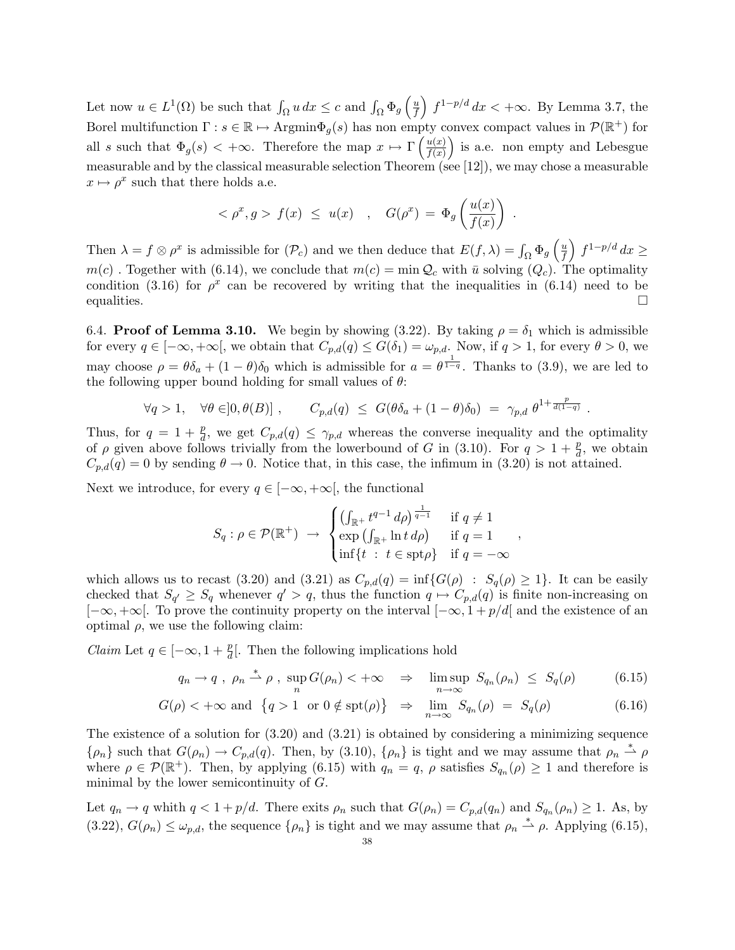Let now  $u \in L^1(\Omega)$  be such that  $\int_{\Omega} u \, dx \leq c$  and  $\int_{\Omega} \Phi_g \left( \frac{u}{f} \right)$ f  $\int f^{1-p/d} dx < +\infty$ . By Lemma 3.7, the Borel multifunction  $\Gamma: s \in \mathbb{R} \mapsto \text{Argmin}\Phi_q(s)$  has non empty convex compact values in  $\mathcal{P}(\mathbb{R}^+)$  for all s such that  $\Phi_g(s) < +\infty$ . Therefore the map  $x \mapsto \Gamma\left(\frac{u(x)}{f(x)}\right)$  $f(x)$ ) is a.e. non empty and Lebesgue measurable and by the classical measurable selection Theorem (see [12]), we may chose a measurable  $x \mapsto \rho^x$  such that there holds a.e.

$$
<\rho^x, g > f(x) \leq u(x)
$$
,  $G(\rho^x) = \Phi_g\left(\frac{u(x)}{f(x)}\right)$ 

.

Then  $\lambda = f \otimes \rho^x$  is admissible for  $(\mathcal{P}_c)$  and we then deduce that  $E(f, \lambda) = \int_{\Omega} \Phi_g \left( \frac{u}{f} \right)$ f  $\int f^{1-p/d} dx \geq$  $m(c)$ . Together with (6.14), we conclude that  $m(c) = \min Q_c$  with  $\bar{u}$  solving  $(Q_c)$ . The optimality condition (3.16) for  $\rho^x$  can be recovered by writing that the inequalities in (6.14) need to be equalities.  $\Box$ 

6.4. **Proof of Lemma 3.10.** We begin by showing (3.22). By taking  $\rho = \delta_1$  which is admissible for every  $q \in [-\infty, +\infty]$ , we obtain that  $C_{p,d}(q) \leq G(\delta_1) = \omega_{p,d}$ . Now, if  $q > 1$ , for every  $\theta > 0$ , we may choose  $\rho = \theta \delta_a + (1 - \theta) \delta_0$  which is admissible for  $a = \theta^{\frac{1}{1-q}}$ . Thanks to (3.9), we are led to the following upper bound holding for small values of  $\theta$ :

$$
\forall q>1, \quad \forall \theta \in ]0, \theta(B)] , \qquad C_{p,d}(q) \leq G(\theta \delta_a + (1-\theta)\delta_0) = \gamma_{p,d} \theta^{1+\frac{p}{d(1-q)}} .
$$

Thus, for  $q = 1 + \frac{p}{d}$ , we get  $C_{p,d}(q) \leq \gamma_{p,d}$  whereas the converse inequality and the optimality of  $\rho$  given above follows trivially from the lowerbound of G in (3.10). For  $q > 1 + \frac{p}{d}$ , we obtain  $C_{p,d}(q) = 0$  by sending  $\theta \to 0$ . Notice that, in this case, the infimum in (3.20) is not attained.

Next we introduce, for every  $q \in [-\infty, +\infty]$ , the functional

$$
S_q: \rho \in \mathcal{P}(\mathbb{R}^+) \rightarrow \begin{cases} \left(\int_{\mathbb{R}^+} t^{q-1} d\rho\right)^{\frac{1}{q-1}} & \text{if } q \neq 1\\ \exp\left(\int_{\mathbb{R}^+} \ln t \, d\rho\right) & \text{if } q = 1\\ \inf\{t \ : \ t \in \operatorname{spt}\rho\} & \text{if } q = -\infty \end{cases},
$$

which allows us to recast (3.20) and (3.21) as  $C_{p,d}(q) = \inf\{G(\rho) : S_q(\rho) \geq 1\}$ . It can be easily checked that  $S_{q'} \geq S_q$  whenever  $q' > q$ , thus the function  $q \mapsto C_{p,d}(q)$  is finite non-increasing on  $[-\infty, +\infty]$ . To prove the continuity property on the interval  $[-\infty, 1 + p/d]$  and the existence of an optimal  $\rho$ , we use the following claim:

*Claim* Let  $q \in [-\infty, 1 + \frac{p}{d}]$ . Then the following implications hold

$$
q_n \to q \; , \; \rho_n \stackrel{*}{\rightharpoonup} \rho \; , \; \sup_n G(\rho_n) < +\infty \quad \Rightarrow \quad \limsup_{n \to \infty} \; S_{q_n}(\rho_n) \; \leq \; S_q(\rho) \tag{6.15}
$$

$$
G(\rho) < +\infty \text{ and } \{q > 1 \text{ or } 0 \notin \text{spt}(\rho)\} \Rightarrow \lim_{n \to \infty} S_{q_n}(\rho) = S_q(\rho) \tag{6.16}
$$

The existence of a solution for (3.20) and (3.21) is obtained by considering a minimizing sequence  $\{\rho_n\}$  such that  $G(\rho_n) \to C_{p,d}(q)$ . Then, by (3.10),  $\{\rho_n\}$  is tight and we may assume that  $\rho_n \stackrel{*}{\rightharpoonup} \rho$ where  $\rho \in \mathcal{P}(\mathbb{R}^+)$ . Then, by applying (6.15) with  $q_n = q$ ,  $\rho$  satisfies  $S_{q_n}(\rho) \geq 1$  and therefore is minimal by the lower semicontinuity of G.

Let  $q_n \to q$  whith  $q < 1 + p/d$ . There exits  $\rho_n$  such that  $G(\rho_n) = C_{p,d}(q_n)$  and  $S_{q_n}(\rho_n) \geq 1$ . As, by  $(3.22), G(\rho_n) \leq \omega_{p,d}$ , the sequence  $\{\rho_n\}$  is tight and we may assume that  $\rho_n \stackrel{*}{\rightharpoonup} \rho$ . Applying  $(6.15)$ ,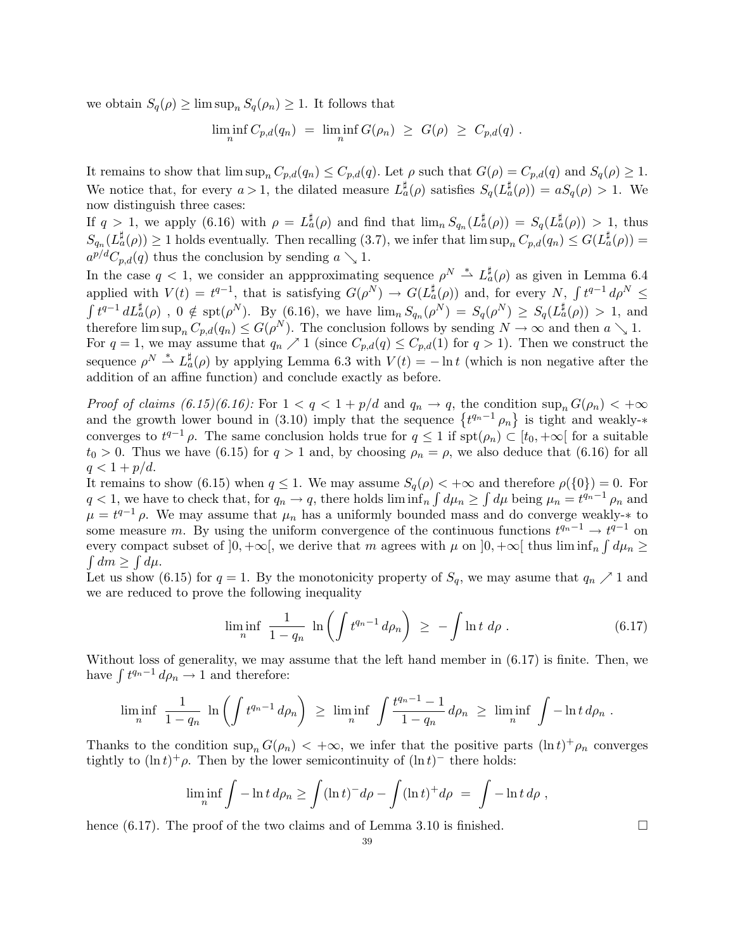we obtain  $S_q(\rho) \geq \limsup_n S_q(\rho_n) \geq 1$ . It follows that

$$
\liminf_n C_{p,d}(q_n) = \liminf_n G(\rho_n) \geq G(\rho) \geq C_{p,d}(q) .
$$

It remains to show that  $\limsup_n C_{p,d}(q_n) \leq C_{p,d}(q)$ . Let  $\rho$  such that  $G(\rho) = C_{p,d}(q)$  and  $S_q(\rho) \geq 1$ . We notice that, for every  $a > 1$ , the dilated measure  $L_a^{\sharp}(\rho)$  satisfies  $S_q(L_a^{\sharp}(\rho)) = aS_q(\rho) > 1$ . We now distinguish three cases:

If  $q > 1$ , we apply (6.16) with  $\rho = L^{\sharp}_{a}(\rho)$  and find that  $\lim_{n} S_{q_n}(L^{\sharp}_{a}(\rho)) = S_q(L^{\sharp}_{a}(\rho)) > 1$ , thus  $S_{q_n}(L^{\sharp}_{\alpha}(\rho)) \geq 1$  holds eventually. Then recalling (3.7), we infer that  $\limsup_n C_{p,d}(q_n) \leq G(L^{\sharp}_{\alpha}(\rho)) =$  $a^{p/d}C_{p,d}(q)$  thus the conclusion by sending  $a \searrow 1$ .

In the case  $q < 1$ , we consider an appproximating sequence  $\rho^N \stackrel{*}{\rightharpoonup} L^{\sharp}_{a}(\rho)$  as given in Lemma 6.4 applied with  $V(t) = t^{q-1}$ , that is satisfying  $G(\rho^N) \to G(L^{\sharp}_{a}(\rho))$  and, for every  $N$ ,  $\int t^{q-1} d\rho^N \leq$  $\int t^{q-1} dL_a^{\sharp}(\rho)$ ,  $0 \notin \text{spt}(\rho^N)$ . By  $(6.16)$ , we have  $\lim_n S_{q_n}(\rho^N) = S_q(\rho^N) \geq S_q(L_a^{\sharp}(\rho)) > 1$ , and therefore  $\limsup_n C_{p,d}(q_n) \leq G(\rho^N)$ . The conclusion follows by sending  $N \to \infty$  and then  $a \searrow 1$ . For  $q = 1$ , we may assume that  $q_n \nearrow 1$  (since  $C_{p,d}(q) \leq C_{p,d}(1)$  for  $q > 1$ ). Then we construct the

sequence  $\rho^N \stackrel{*}{\rightharpoonup} L_a^{\sharp}(\rho)$  by applying Lemma 6.3 with  $V(t) = -\ln t$  (which is non negative after the addition of an affine function) and conclude exactly as before.

*Proof of claims (6.15)(6.16):* For  $1 < q < 1 + p/d$  and  $q_n \to q$ , the condition  $\sup_n G(\rho_n) < +\infty$ and the growth lower bound in (3.10) imply that the sequence  $\{t^{q_n-1} \rho_n\}$  is tight and weakly- $*$ converges to  $t^{q-1}\rho$ . The same conclusion holds true for  $q \leq 1$  if  $\text{spt}(\rho_n) \subset [t_0, +\infty]$  for a suitable  $t_0 > 0$ . Thus we have (6.15) for  $q > 1$  and, by choosing  $\rho_n = \rho$ , we also deduce that (6.16) for all  $q < 1 + p/d$ .

It remains to show (6.15) when  $q \leq 1$ . We may assume  $S_q(\rho) < +\infty$  and therefore  $\rho({0}) = 0$ . For  $q < 1$ , we have to check that, for  $q_n \to q$ , there holds  $\liminf_{n} \int d\mu_n \ge \int d\mu$  being  $\mu_n = t^{q_n-1} \rho_n$  and  $\mu = t^{q-1} \rho$ . We may assume that  $\mu_n$  has a uniformly bounded mass and do converge weakly- $*$  to some measure m. By using the uniform convergence of the continuous functions  $t^{q_n-1} \to t^{q-1}$  on every compact subset of  $]0, +\infty[$ , we derive that m agrees with  $\mu$  on  $]0, +\infty[$  thus  $\liminf_{n} \int d\mu_n \ge$  $\int dm \geq \int d\mu$ .

Let us show (6.15) for  $q = 1$ . By the monotonicity property of  $S_q$ , we may asume that  $q_n \nearrow 1$  and we are reduced to prove the following inequality

$$
\liminf_{n} \frac{1}{1 - q_n} \ln \left( \int t^{q_n - 1} d\rho_n \right) \ge - \int \ln t \ d\rho \ . \tag{6.17}
$$

Without loss of generality, we may assume that the left hand member in (6.17) is finite. Then, we have  $\int t^{q_n-1} d\rho_n \to 1$  and therefore:

$$
\liminf_{n} \frac{1}{1-q_n} \ln \left( \int t^{q_n-1} d\rho_n \right) \ge \liminf_{n} \int \frac{t^{q_n-1}-1}{1-q_n} d\rho_n \ge \liminf_{n} \int -\ln t \, d\rho_n .
$$

Thanks to the condition  $\sup_n G(\rho_n) < +\infty$ , we infer that the positive parts  $(\ln t)^+ \rho_n$  converges tightly to  $(\ln t)^+ \rho$ . Then by the lower semicontinuity of  $(\ln t)^-$  there holds:

$$
\liminf_{n} \int -\ln t \, d\rho_n \ge \int (\ln t)^{-} d\rho - \int (\ln t)^{+} d\rho = \int -\ln t \, d\rho,
$$

hence  $(6.17)$ . The proof of the two claims and of Lemma 3.10 is finished.  $\Box$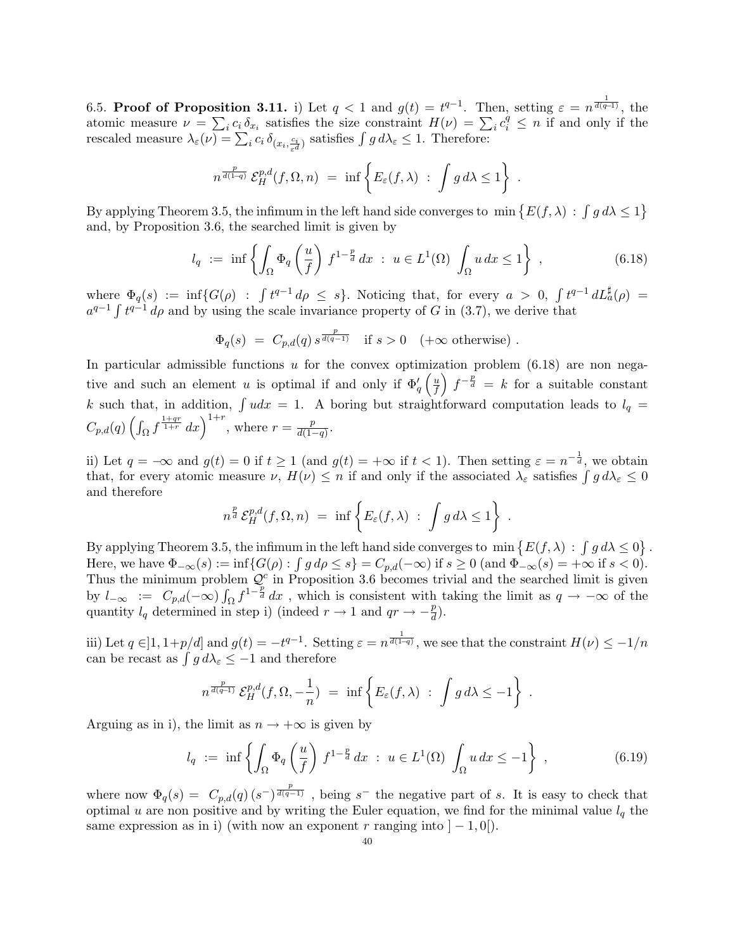6.5. Proof of Proposition 3.11. i) Let  $q < 1$  and  $q(t) = t^{q-1}$ . Then, setting  $\varepsilon = n^{\frac{1}{d(q-1)}}$ , the atomic measure  $\nu = \sum_i c_i \delta_{x_i}$  satisfies the size constraint  $H(\nu) = \sum_i c_i^q \leq n$  if and only if the rescaled measure  $\lambda_{\varepsilon}(\nu) = \sum_{i} c_i \delta_{(x_i, \frac{c_i}{\varepsilon^d})}$  satisfies  $\int g d\lambda_{\varepsilon} \leq 1$ . Therefore:

$$
n^{\frac{p}{d(1-q)}} \mathcal{E}_H^{p,d}(f,\Omega,n) = \inf \left\{ E_{\varepsilon}(f,\lambda) : \int g d\lambda \le 1 \right\}
$$

By applying Theorem 3.5, the infimum in the left hand side converges to  $\min \{E(f,\lambda) : \int g d\lambda \leq 1\}$ and, by Proposition 3.6, the searched limit is given by

$$
l_q := \inf \left\{ \int_{\Omega} \Phi_q \left( \frac{u}{f} \right) f^{1 - \frac{p}{d}} dx \; : \; u \in L^1(\Omega) \int_{\Omega} u \, dx \le 1 \right\} \;, \tag{6.18}
$$

.

where  $\Phi_q(s) := \inf \{ G(\rho) : \int t^{q-1} d\rho \leq s \}.$  Noticing that, for every  $a > 0$ ,  $\int t^{q-1} dL_a^{\sharp}(\rho) =$  $a^{q-1} \int t^{q-1} d\rho$  and by using the scale invariance property of G in (3.7), we derive that

$$
\Phi_q(s) \ = \ C_{p,d}(q) \, s^{\frac{p}{d(q-1)}} \quad \text{if } s > 0 \quad (+\infty \text{ otherwise}) \ .
$$

In particular admissible functions u for the convex optimization problem  $(6.18)$  are non negative and such an element u is optimal if and only if  $\Phi'_{q}$  $\int u$ f  $\int f^{-\frac{p}{d}} = k$  for a suitable constant k such that, in addition,  $\int u dx = 1$ . A boring but straightforward computation leads to  $l_q =$  $C_{p,d}(q) \left( \int_{\Omega} f^{\frac{1+qr}{1+r}} dx \right)^{1+r}$ , where  $r = \frac{p}{d(1-q)}$ .

ii) Let  $q = -\infty$  and  $g(t) = 0$  if  $t \ge 1$  (and  $g(t) = +\infty$  if  $t < 1$ ). Then setting  $\varepsilon = n^{-\frac{1}{d}}$ , we obtain that, for every atomic measure  $\nu$ ,  $H(\nu) \leq n$  if and only if the associated  $\lambda_{\varepsilon}$  satisfies  $\int g d\lambda_{\varepsilon} \leq 0$ and therefore

$$
n^{\frac{p}{d}} \mathcal{E}_H^{p,d}(f,\Omega,n) = \inf \left\{ E_{\varepsilon}(f,\lambda) : \int g d\lambda \le 1 \right\} .
$$

By applying Theorem 3.5, the infimum in the left hand side converges to  $\min \{E(f, \lambda) : \int g d\lambda \le 0\}$ . Here, we have  $\Phi_{-\infty}(s) := \inf \{ G(\rho) : \int g \, d\rho \leq s \} = C_{p,d}(-\infty)$  if  $s \geq 0$  (and  $\Phi_{-\infty}(s) = +\infty$  if  $s < 0$ ). Thus the minimum problem  $Q^c$  in Proposition 3.6 becomes trivial and the searched limit is given by  $l_{-\infty}$  :=  $C_{p,d}(-\infty)\int_{\Omega}f^{1-\frac{p}{d}}dx$ , which is consistent with taking the limit as  $q \to -\infty$  of the quantity  $l_q$  determined in step i) (indeed  $r \to 1$  and  $qr \to -\frac{p}{d}$ ).

iii) Let  $q \in ]1, 1+p/d]$  and  $g(t) = -t^{q-1}$ . Setting  $\varepsilon = n^{\frac{1}{d(1-q)}}$ , we see that the constraint  $H(\nu) \leq -1/n$ can be recast as  $\int g d\lambda_{\varepsilon} \leq -1$  and therefore

$$
n^{\frac{p}{d(q-1)}} \mathcal{E}_H^{p,d}(f,\Omega,-\frac{1}{n}) = \inf \left\{ E_{\varepsilon}(f,\lambda) : \int g d\lambda \leq -1 \right\} .
$$

Arguing as in i), the limit as  $n \to +\infty$  is given by

$$
l_q := \inf \left\{ \int_{\Omega} \Phi_q \left( \frac{u}{f} \right) f^{1 - \frac{p}{d}} dx \; : \; u \in L^1(\Omega) \int_{\Omega} u \, dx \le -1 \right\} , \tag{6.19}
$$

where now  $\Phi_q(s) = C_{p,d}(q) (s^{-})^{\frac{p}{d(q-1)}}$ , being s<sup>-</sup> the negative part of s. It is easy to check that optimal u are non positive and by writing the Euler equation, we find for the minimal value  $l_q$  the same expression as in i) (with now an exponent r ranging into  $|-1,0|$ ).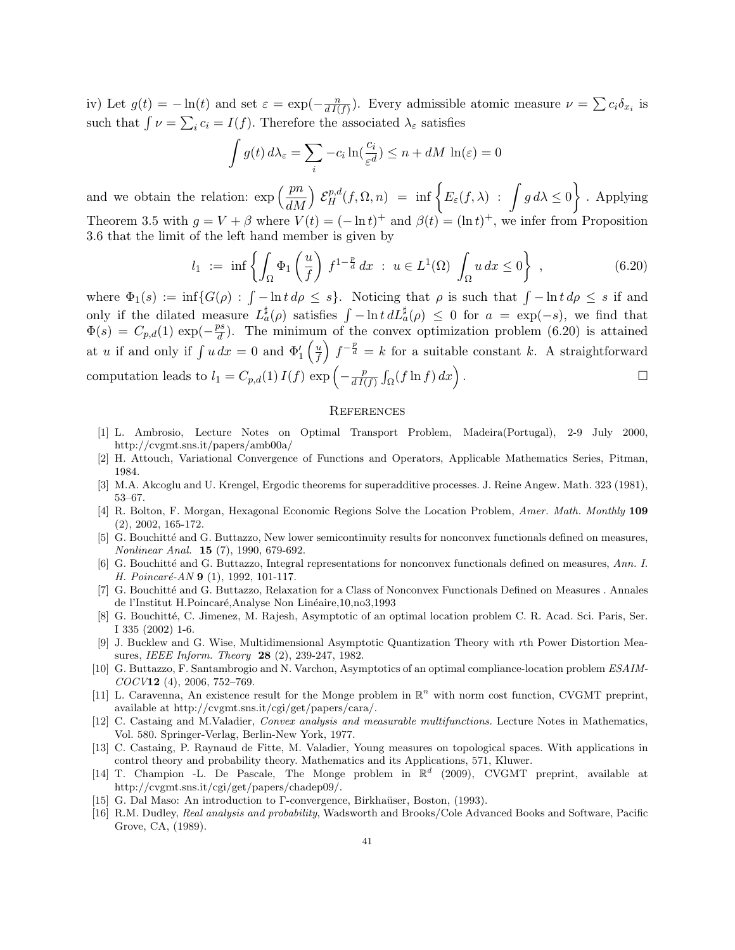iv) Let  $g(t) = -\ln(t)$  and set  $\varepsilon = \exp(-\frac{n}{dI(f)})$ . Every admissible atomic measure  $\nu = \sum c_i \delta_{x_i}$  is such that  $\int \nu = \sum_i c_i = I(f)$ . Therefore the associated  $\lambda_{\varepsilon}$  satisfies

$$
\int g(t) d\lambda_{\varepsilon} = \sum_{i} -c_{i} \ln(\frac{c_{i}}{\varepsilon^{d}}) \le n + dM \ln(\varepsilon) = 0
$$

and we obtain the relation:  $\exp\left(\frac{p n}{dM}\right)$  $\int \mathcal{E}_H^{p,d}(f,\Omega,n) = \inf \Big\{ E_{\varepsilon}(f,\lambda) : \int g d\lambda \leq 0 \Big\}$ / . Applying Theorem 3.5 with  $g = V + \beta$  where  $V(t) = (-\ln t)^+$  and  $\beta(t) = (\ln t)^+$ , we infer from Proposition 3.6 that the limit of the left hand member is given by

$$
l_1 := \inf \left\{ \int_{\Omega} \Phi_1 \left( \frac{u}{f} \right) f^{1 - \frac{p}{d}} dx \; : \; u \in L^1(\Omega) \int_{\Omega} u \, dx \le 0 \right\} , \tag{6.20}
$$

where  $\Phi_1(s) := \inf \{ G(\rho) : \int -\ln t \, d\rho \leq s \}.$  Noticing that  $\rho$  is such that  $\int -\ln t \, d\rho \leq s$  if and only if the dilated measure  $L_a^{\sharp}(\rho)$  satisfies  $\int -\ln t \, dL_a^{\sharp}(\rho) \leq 0$  for  $a = \exp(-s)$ , we find that  $\Phi(s) = C_{p,d}(1) \exp(-\frac{ps}{d})$ . The minimum of the convex optimization problem (6.20) is attained at u if and only if  $\int u dx = 0$  and  $\Phi'_1$  $\int u$ f  $\int f^{-\frac{p}{d}} = k$  for a suitable constant k. A straightforward computation leads to  $l_1 = C_{p,d}(1) I(f) \exp \left(-\frac{p}{d I(f)} \int_{\Omega} (f \ln f) dx\right)$ .  $\Box$ 

#### **REFERENCES**

- [1] L. Ambrosio, Lecture Notes on Optimal Transport Problem, Madeira(Portugal), 2-9 July 2000, http://cvgmt.sns.it/papers/amb00a/
- [2] H. Attouch, Variational Convergence of Functions and Operators, Applicable Mathematics Series, Pitman, 1984.
- [3] M.A. Akcoglu and U. Krengel, Ergodic theorems for superadditive processes. J. Reine Angew. Math. 323 (1981), 53–67.
- [4] R. Bolton, F. Morgan, Hexagonal Economic Regions Solve the Location Problem, *Amer. Math. Monthly* 109 (2), 2002, 165-172.
- [5] G. Bouchitté and G. Buttazzo, New lower semicontinuity results for nonconvex functionals defined on measures, *Nonlinear Anal.* 15 (7), 1990, 679-692.
- [6] G. Bouchitt´e and G. Buttazzo, Integral representations for nonconvex functionals defined on measures, *Ann. I. H. Poincaré-AN* 9 (1), 1992, 101-117.
- [7] G. Bouchitt´e and G. Buttazzo, Relaxation for a Class of Nonconvex Functionals Defined on Measures . Annales de l'Institut H.Poincaré,Analyse Non Linéaire,10,no3,1993
- [8] G. Bouchitt´e, C. Jimenez, M. Rajesh, Asymptotic of an optimal location problem C. R. Acad. Sci. Paris, Ser. I 335 (2002) 1-6.
- [9] J. Bucklew and G. Wise, Multidimensional Asymptotic Quantization Theory with *r*th Power Distortion Measures, *IEEE Inform. Theory* 28 (2), 239-247, 1982.
- [10] G. Buttazzo, F. Santambrogio and N. Varchon, Asymptotics of an optimal compliance-location problem *ESAIM-COCV*12 (4), 2006, 752–769.
- [11] L. Caravenna, An existence result for the Monge problem in  $\mathbb{R}^n$  with norm cost function, CVGMT preprint, available at http://cvgmt.sns.it/cgi/get/papers/cara/.
- [12] C. Castaing and M.Valadier, *Convex analysis and measurable multifunctions.* Lecture Notes in Mathematics, Vol. 580. Springer-Verlag, Berlin-New York, 1977.
- [13] C. Castaing, P. Raynaud de Fitte, M. Valadier, Young measures on topological spaces. With applications in control theory and probability theory. Mathematics and its Applications, 571, Kluwer.
- [14] T. Champion -L. De Pascale, The Monge problem in  $\mathbb{R}^d$  (2009), CVGMT preprint, available at http://cvgmt.sns.it/cgi/get/papers/chadep09/.
- [15] G. Dal Maso: An introduction to Γ-convergence, Birkhaüser, Boston, (1993).
- [16] R.M. Dudley, *Real analysis and probability*, Wadsworth and Brooks/Cole Advanced Books and Software, Pacific Grove, CA, (1989).